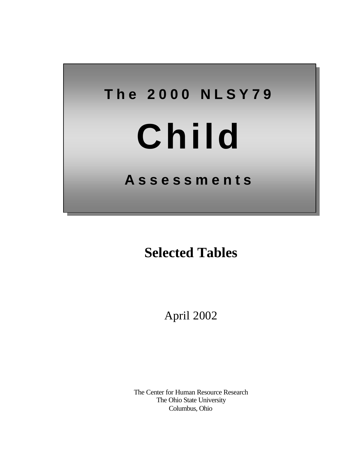# **The 2000 NLSY79**

# **Child**

# **Assessments**

# **Selected Tables**

April 2002

The Center for Human Resource Research The Ohio State University Columbus, Ohio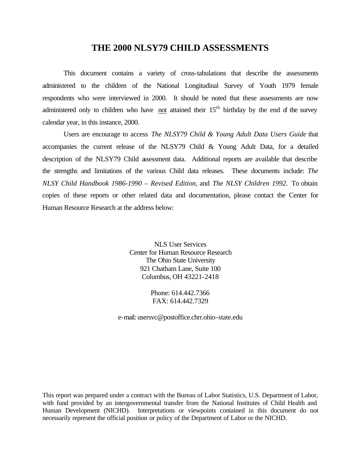#### **THE 2000 NLSY79 CHILD ASSESSMENTS**

This document contains a variety of cross-tabulations that describe the assessments administered to the children of the National Longitudinal Survey of Youth 1979 female respondents who were interviewed in 2000. It should be noted that these assessments are now administered only to children who have not attained their  $15<sup>th</sup>$  birthday by the end of the survey calendar year, in this instance, 2000.

Users are encourage to access *The NLSY79 Child & Young Adult Data Users Guide* that accompanies the current release of the NLSY79 Child & Young Adult Data, for a detailed description of the NLSY79 Child assessment data. Additional reports are available that describe the strengths and limitations of the various Child data releases. These documents include: *The NLSY Child Handbook 1986-1990 – Revised Edition*, and *The NLSY Children 1992*. To obtain copies of these reports or other related data and documentation, please contact the Center for Human Resource Research at the address below:

> NLS User Services Center for Human Resource Research The Ohio State University 921 Chatham Lane, Suite 100 Columbus, OH 43221-2418

> > Phone: 614.442.7366 FAX: 614.442.7329

e-mail: usersvc@postoffice.chrr.ohio-state.edu

This report was prepared under a contract with the Bureau of Labor Statistics, U.S. Department of Labor, with fund provided by an intergovernmental transfer from the National Institutes of Child Health and Human Development (NICHD). Interpretations or viewpoints contained in this document do not necessarily represent the official position or policy of the Department of Labor or the NICHD.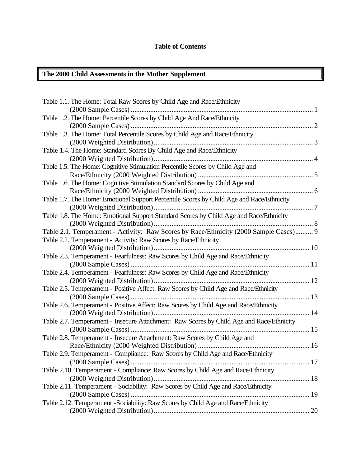#### **Table of Contents**

# **The 2000 Child Assessments in the Mother Supplement**

| Table 1.1. The Home: Total Raw Scores by Child Age and Race/Ethnicity                    |    |
|------------------------------------------------------------------------------------------|----|
|                                                                                          |    |
| Table 1.2. The Home: Percentile Scores by Child Age And Race/Ethnicity                   |    |
|                                                                                          |    |
| Table 1.3. The Home: Total Percentile Scores by Child Age and Race/Ethnicity             |    |
|                                                                                          |    |
| Table 1.4. The Home: Standard Scores By Child Age and Race/Ethnicity                     |    |
|                                                                                          |    |
| Table 1.5. The Home: Cognitive Stimulation Percentile Scores by Child Age and            |    |
|                                                                                          |    |
| Table 1.6. The Home: Cognitive Stimulation Standard Scores by Child Age and              |    |
|                                                                                          |    |
| Table 1.7. The Home: Emotional Support Percentile Scores by Child Age and Race/Ethnicity |    |
|                                                                                          |    |
| Table 1.8. The Home: Emotional Support Standard Scores by Child Age and Race/Ethnicity   |    |
|                                                                                          |    |
| Table 2.1. Temperament - Activity: Raw Scores by Race/Ethnicity (2000 Sample Cases) 9    |    |
| Table 2.2. Temperament - Activity: Raw Scores by Race/Ethnicity                          |    |
|                                                                                          |    |
| Table 2.3. Temperament - Fearfulness: Raw Scores by Child Age and Race/Ethnicity         |    |
|                                                                                          |    |
| Table 2.4. Temperament - Fearfulness: Raw Scores by Child Age and Race/Ethnicity         |    |
|                                                                                          |    |
| Table 2.5. Temperament - Positive Affect: Raw Scores by Child Age and Race/Ethnicity     |    |
|                                                                                          |    |
| Table 2.6. Temperament - Positive Affect: Raw Scores by Child Age and Race/Ethnicity     |    |
| (2000 Weighted Distribution)                                                             |    |
| Table 2.7. Temperament - Insecure Attachment: Raw Scores by Child Age and Race/Ethnicity |    |
|                                                                                          |    |
| Table 2.8. Temperament - Insecure Attachment: Raw Scores by Child Age and                |    |
|                                                                                          |    |
| Table 2.9. Temperament - Compliance: Raw Scores by Child Age and Race/Ethnicity          |    |
|                                                                                          | 17 |
| Table 2.10. Temperament - Compliance: Raw Scores by Child Age and Race/Ethnicity         |    |
|                                                                                          |    |
| Table 2.11. Temperament - Sociability: Raw Scores by Child Age and Race/Ethnicity        |    |
|                                                                                          |    |
| Table 2.12. Temperament - Sociability: Raw Scores by Child Age and Race/Ethnicity        |    |
|                                                                                          |    |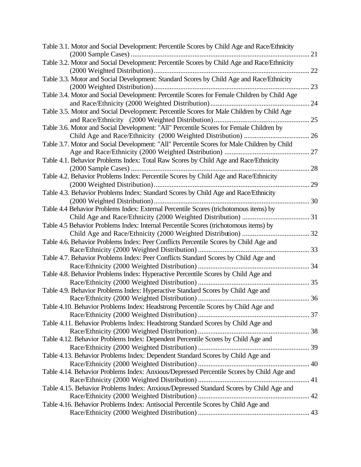| Table 3.1. Motor and Social Development: Percentile Scores by Child Age and Race/Ethnicity  |    |
|---------------------------------------------------------------------------------------------|----|
|                                                                                             | 21 |
| Table 3.2. Motor and Social Development: Percentile Scores by Child Age and Race/Ethnicity  | 22 |
| Table 3.3. Motor and Social Development: Standard Scores by Child Age and Race/Ethnicity    |    |
|                                                                                             | 23 |
| Table 3.4. Motor and Social Development: Percentile Scores for Female Children by Child Age |    |
|                                                                                             | 24 |
| Table 3.5. Motor and Social Development: Percentile Scores for Male Children by Child Age   |    |
|                                                                                             | 25 |
| Table 3.6. Motor and Social Development: "All" Percentile Scores for Female Children by     |    |
|                                                                                             | 26 |
| Table 3.7. Motor and Social Development: "All" Percentile Scores for Male Children by Child |    |
|                                                                                             | 27 |
| Table 4.1. Behavior Problems Index: Total Raw Scores by Child Age and Race/Ethnicity        |    |
|                                                                                             | 28 |
| Table 4.2. Behavior Problems Index: Percentile Scores by Child Age and Race/Ethnicity       |    |
|                                                                                             | 29 |
| Table 4.3. Behavior Problems Index: Standard Scores by Child Age and Race/Ethnicity         |    |
|                                                                                             | 30 |
| Table 4.4 Behavior Problems Index: External Percentile Scores (trichotomous items) by       |    |
| Child Age and Race/Ethnicity (2000 Weighted Distribution)                                   |    |
| Table 4.5 Behavior Problems Index: Internal Percentile Scores (trichotomous items) by       |    |
|                                                                                             |    |
| Table 4.6. Behavior Problems Index: Peer Conflicts Percentile Scores by Child Age and       |    |
| Race/Ethnicity (2000 Weighted Distribution)                                                 | 33 |
| Table 4.7. Behavior Problems Index: Peer Conflicts Standard Scores by Child Age and         |    |
|                                                                                             |    |
| Table 4.8. Behavior Problems Index: Hyperactive Percentile Scores by Child Age and          |    |
|                                                                                             |    |
| Table 4.9. Behavior Problems Index: Hyperactive Standard Scores by Child Age and            |    |
|                                                                                             |    |
| Table 4.10. Behavior Problems Index: Headstrong Percentile Scores by Child Age and          |    |
|                                                                                             |    |
| Table 4.11. Behavior Problems Index: Headstrong Standard Scores by Child Age and            |    |
|                                                                                             |    |
| Table 4.12. Behavior Problems Index: Dependent Percentile Scores by Child Age and           |    |
|                                                                                             |    |
| Table 4.13. Behavior Problems Index: Dependent Standard Scores by Child Age and             |    |
|                                                                                             |    |
| Table 4.14. Behavior Problems Index: Anxious/Depressed Percentile Scores by Child Age and   |    |
|                                                                                             |    |
|                                                                                             |    |
| Table 4.15. Behavior Problems Index: Anxious/Depressed Standard Scores by Child Age and     |    |
|                                                                                             |    |
| Table 4.16. Behavior Problems Index: Antisocial Percentile Scores by Child Age and          |    |
|                                                                                             |    |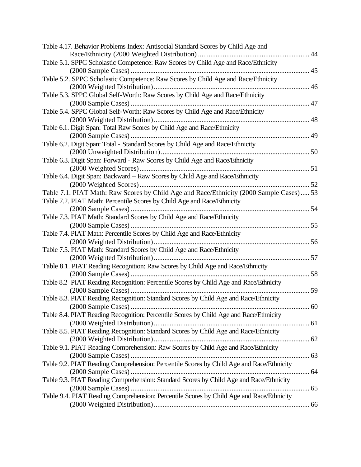| Table 4.17. Behavior Problems Index: Antisocial Standard Scores by Child Age and         |  |
|------------------------------------------------------------------------------------------|--|
| Table 5.1. SPPC Scholastic Competence: Raw Scores by Child Age and Race/Ethnicity        |  |
|                                                                                          |  |
| Table 5.2. SPPC Scholastic Competence: Raw Scores by Child Age and Race/Ethnicity        |  |
|                                                                                          |  |
| Table 5.3. SPPC Global Self-Worth: Raw Scores by Child Age and Race/Ethnicity            |  |
|                                                                                          |  |
| Table 5.4. SPPC Global Self-Worth: Raw Scores by Child Age and Race/Ethnicity            |  |
|                                                                                          |  |
| Table 6.1. Digit Span: Total Raw Scores by Child Age and Race/Ethnicity                  |  |
| Table 6.2. Digit Span: Total - Standard Scores by Child Age and Race/Ethnicity           |  |
|                                                                                          |  |
| Table 6.3. Digit Span: Forward - Raw Scores by Child Age and Race/Ethnicity              |  |
|                                                                                          |  |
| Table 6.4. Digit Span: Backward - Raw Scores by Child Age and Race/Ethnicity             |  |
|                                                                                          |  |
| Table 7.1. PIAT Math: Raw Scores by Child Age and Race/Ethnicity (2000 Sample Cases) 53  |  |
| Table 7.2. PIAT Math: Percentile Scores by Child Age and Race/Ethnicity                  |  |
|                                                                                          |  |
| Table 7.3. PIAT Math: Standard Scores by Child Age and Race/Ethnicity                    |  |
|                                                                                          |  |
| Table 7.4. PIAT Math: Percentile Scores by Child Age and Race/Ethnicity                  |  |
|                                                                                          |  |
| Table 7.5. PIAT Math: Standard Scores by Child Age and Race/Ethnicity                    |  |
| Table 8.1. PIAT Reading Recognition: Raw Scores by Child Age and Race/Ethnicity          |  |
|                                                                                          |  |
| Table 8.2 PIAT Reading Recognition: Percentile Scores by Child Age and Race/Ethnicity    |  |
|                                                                                          |  |
| Table 8.3. PIAT Reading Recognition: Standard Scores by Child Age and Race/Ethnicity     |  |
|                                                                                          |  |
| Table 8.4. PIAT Reading Recognition: Percentile Scores by Child Age and Race/Ethnicity   |  |
|                                                                                          |  |
| Table 8.5. PIAT Reading Recognition: Standard Scores by Child Age and Race/Ethnicity     |  |
|                                                                                          |  |
| Table 9.1. PIAT Reading Comprehension: Raw Scores by Child Age and Race/Ethnicity        |  |
|                                                                                          |  |
| Table 9.2. PIAT Reading Comprehension: Percentile Scores by Child Age and Race/Ethnicity |  |
| Table 9.3. PIAT Reading Comprehension: Standard Scores by Child Age and Race/Ethnicity   |  |
|                                                                                          |  |
| Table 9.4. PIAT Reading Comprehension: Percentile Scores by Child Age and Race/Ethnicity |  |
|                                                                                          |  |
|                                                                                          |  |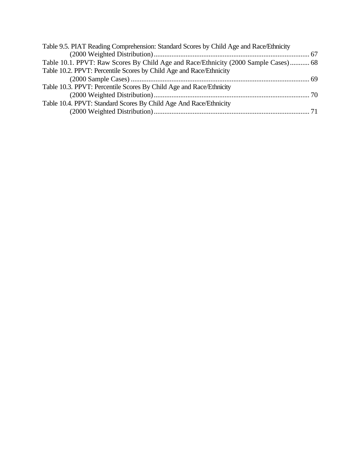| Table 9.5. PIAT Reading Comprehension: Standard Scores by Child Age and Race/Ethnicity |  |
|----------------------------------------------------------------------------------------|--|
|                                                                                        |  |
| Table 10.1. PPVT: Raw Scores By Child Age and Race/Ethnicity (2000 Sample Cases) 68    |  |
| Table 10.2. PPVT: Percentile Scores by Child Age and Race/Ethnicity                    |  |
|                                                                                        |  |
| Table 10.3. PPVT: Percentile Scores By Child Age and Race/Ethnicity                    |  |
|                                                                                        |  |
| Table 10.4. PPVT: Standard Scores By Child Age And Race/Ethnicity                      |  |
|                                                                                        |  |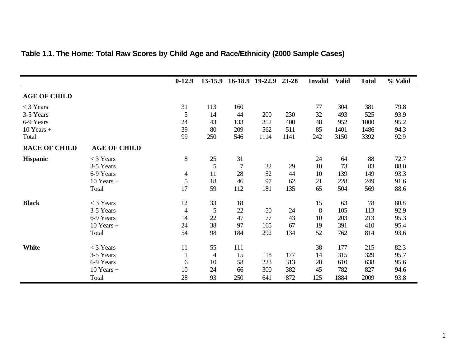|                      |                     | $0-12.9$       | $13 - 15.9$    |                | 16-18.9 19-22.9 | 23-28 | <b>Invalid</b> | <b>Valid</b> | <b>Total</b> | % Valid |
|----------------------|---------------------|----------------|----------------|----------------|-----------------|-------|----------------|--------------|--------------|---------|
| <b>AGE OF CHILD</b>  |                     |                |                |                |                 |       |                |              |              |         |
| $<$ 3 Years          |                     | 31             | 113            | 160            |                 |       | 77             | 304          | 381          | 79.8    |
| 3-5 Years            |                     | 5              | 14             | 44             | 200             | 230   | 32             | 493          | 525          | 93.9    |
| 6-9 Years            |                     | 24             | 43             | 133            | 352             | 400   | 48             | 952          | 1000         | 95.2    |
| $10$ Years $+$       |                     | 39             | 80             | 209            | 562             | 511   | 85             | 1401         | 1486         | 94.3    |
| Total                |                     | 99             | 250            | 546            | 1114            | 1141  | 242            | 3150         | 3392         | 92.9    |
| <b>RACE OF CHILD</b> | <b>AGE OF CHILD</b> |                |                |                |                 |       |                |              |              |         |
| <b>Hispanic</b>      | $<$ 3 Years         | 8              | 25             | 31             |                 |       | 24             | 64           | 88           | 72.7    |
|                      | 3-5 Years           |                | $\mathfrak{S}$ | $\overline{7}$ | 32              | 29    | 10             | 73           | 83           | 88.0    |
|                      | 6-9 Years           | 4              | 11             | 28             | 52              | 44    | 10             | 139          | 149          | 93.3    |
|                      | $10$ Years $+$      | 5              | 18             | 46             | 97              | 62    | 21             | 228          | 249          | 91.6    |
|                      | Total               | 17             | 59             | 112            | 181             | 135   | 65             | 504          | 569          | 88.6    |
| <b>Black</b>         | $<$ 3 Years         | 12             | 33             | 18             |                 |       | 15             | 63           | 78           | 80.8    |
|                      | 3-5 Years           | $\overline{4}$ | 5              | 22             | 50              | 24    | 8              | 105          | 113          | 92.9    |
|                      | 6-9 Years           | 14             | 22             | 47             | 77              | 43    | 10             | 203          | 213          | 95.3    |
|                      | $10$ Years $+$      | 24             | 38             | 97             | 165             | 67    | 19             | 391          | 410          | 95.4    |
|                      | Total               | 54             | 98             | 184            | 292             | 134   | 52             | 762          | 814          | 93.6    |
| <b>White</b>         | $<$ 3 Years         | 11             | 55             | 111            |                 |       | 38             | 177          | 215          | 82.3    |
|                      | 3-5 Years           | 1              | $\overline{4}$ | 15             | 118             | 177   | 14             | 315          | 329          | 95.7    |
|                      | 6-9 Years           | 6              | 10             | 58             | 223             | 313   | 28             | 610          | 638          | 95.6    |
|                      | $10$ Years $+$      | 10             | 24             | 66             | 300             | 382   | 45             | 782          | 827          | 94.6    |
|                      | Total               | 28             | 93             | 250            | 641             | 872   | 125            | 1884         | 2009         | 93.8    |

# **Table 1.1. The Home: Total Raw Scores by Child Age and Race/Ethnicity (2000 Sample Cases)**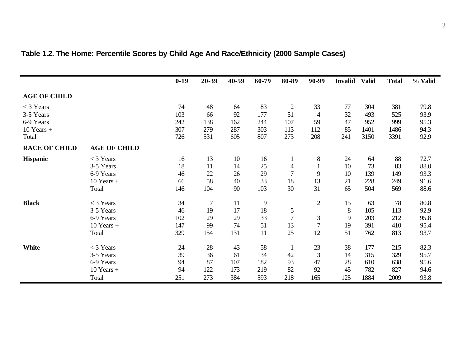|                      |                     | $0-19$ | 20-39          | 40-59 | 60-79 | 80-89          | 90-99          | <b>Invalid</b> | <b>Valid</b> | <b>Total</b> | % Valid |
|----------------------|---------------------|--------|----------------|-------|-------|----------------|----------------|----------------|--------------|--------------|---------|
| <b>AGE OF CHILD</b>  |                     |        |                |       |       |                |                |                |              |              |         |
| $<$ 3 Years          |                     | 74     | 48             | 64    | 83    | $\mathbf{2}$   | 33             | 77             | 304          | 381          | 79.8    |
| 3-5 Years            |                     | 103    | 66             | 92    | 177   | 51             | $\overline{4}$ | 32             | 493          | 525          | 93.9    |
| 6-9 Years            |                     | 242    | 138            | 162   | 244   | 107            | 59             | 47             | 952          | 999          | 95.3    |
| $10$ Years $+$       |                     | 307    | 279            | 287   | 303   | 113            | 112            | 85             | 1401         | 1486         | 94.3    |
| Total                |                     | 726    | 531            | 605   | 807   | 273            | 208            | 241            | 3150         | 3391         | 92.9    |
| <b>RACE OF CHILD</b> | <b>AGE OF CHILD</b> |        |                |       |       |                |                |                |              |              |         |
| <b>Hispanic</b>      | $<$ 3 Years         | 16     | 13             | 10    | 16    | $\mathbf{1}$   | $8\,$          | 24             | 64           | 88           | 72.7    |
|                      | 3-5 Years           | 18     | 11             | 14    | 25    | 4              |                | 10             | 73           | 83           | 88.0    |
|                      | 6-9 Years           | 46     | 22             | 26    | 29    | $\overline{7}$ | 9              | 10             | 139          | 149          | 93.3    |
|                      | $10$ Years +        | 66     | 58             | 40    | 33    | 18             | 13             | 21             | 228          | 249          | 91.6    |
|                      | Total               | 146    | 104            | 90    | 103   | 30             | 31             | 65             | 504          | 569          | 88.6    |
| <b>Black</b>         | $<$ 3 Years         | 34     | $\overline{7}$ | 11    | 9     |                | $\overline{2}$ | 15             | 63           | 78           | 80.8    |
|                      | 3-5 Years           | 46     | 19             | 17    | 18    | 5              |                | $\, 8$         | 105          | 113          | 92.9    |
|                      | 6-9 Years           | 102    | 29             | 29    | 33    | $\overline{7}$ | 3              | 9              | 203          | 212          | 95.8    |
|                      | $10$ Years $+$      | 147    | 99             | 74    | 51    | 13             | $\overline{7}$ | 19             | 391          | 410          | 95.4    |
|                      | Total               | 329    | 154            | 131   | 111   | 25             | 12             | 51             | 762          | 813          | 93.7    |
| White                | $<$ 3 Years         | 24     | 28             | 43    | 58    | $\mathbf{1}$   | 23             | 38             | 177          | 215          | 82.3    |
|                      | 3-5 Years           | 39     | 36             | 61    | 134   | 42             | 3              | 14             | 315          | 329          | 95.7    |
|                      | 6-9 Years           | 94     | 87             | 107   | 182   | 93             | 47             | 28             | 610          | 638          | 95.6    |
|                      | $10$ Years $+$      | 94     | 122            | 173   | 219   | 82             | 92             | 45             | 782          | 827          | 94.6    |
|                      | Total               | 251    | 273            | 384   | 593   | 218            | 165            | 125            | 1884         | 2009         | 93.8    |

# **Table 1.2. The Home: Percentile Scores by Child Age And Race/Ethnicity (2000 Sample Cases)**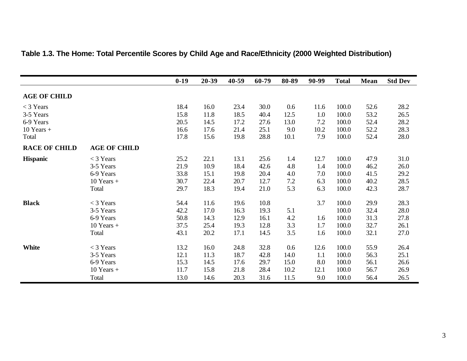|                      |                     | $0-19$ | 20-39 | 40-59 | 60-79 | 80-89 | 90-99 | <b>Total</b> | Mean | <b>Std Dev</b> |
|----------------------|---------------------|--------|-------|-------|-------|-------|-------|--------------|------|----------------|
| <b>AGE OF CHILD</b>  |                     |        |       |       |       |       |       |              |      |                |
| $<$ 3 Years          |                     | 18.4   | 16.0  | 23.4  | 30.0  | 0.6   | 11.6  | 100.0        | 52.6 | 28.2           |
| 3-5 Years            |                     | 15.8   | 11.8  | 18.5  | 40.4  | 12.5  | 1.0   | 100.0        | 53.2 | 26.5           |
| 6-9 Years            |                     | 20.5   | 14.5  | 17.2  | 27.6  | 13.0  | 7.2   | 100.0        | 52.4 | 28.2           |
| $10$ Years +         |                     | 16.6   | 17.6  | 21.4  | 25.1  | 9.0   | 10.2  | 100.0        | 52.2 | 28.3           |
| Total                |                     | 17.8   | 15.6  | 19.8  | 28.8  | 10.1  | 7.9   | 100.0        | 52.4 | 28.0           |
| <b>RACE OF CHILD</b> | <b>AGE OF CHILD</b> |        |       |       |       |       |       |              |      |                |
| <b>Hispanic</b>      | $<$ 3 Years         | 25.2   | 22.1  | 13.1  | 25.6  | 1.4   | 12.7  | 100.0        | 47.9 | 31.0           |
|                      | 3-5 Years           | 21.9   | 10.9  | 18.4  | 42.6  | 4.8   | 1.4   | 100.0        | 46.2 | 26.0           |
|                      | 6-9 Years           | 33.8   | 15.1  | 19.8  | 20.4  | 4.0   | 7.0   | 100.0        | 41.5 | 29.2           |
|                      | $10$ Years +        | 30.7   | 22.4  | 20.7  | 12.7  | 7.2   | 6.3   | 100.0        | 40.2 | 28.5           |
|                      | Total               | 29.7   | 18.3  | 19.4  | 21.0  | 5.3   | 6.3   | 100.0        | 42.3 | 28.7           |
| <b>Black</b>         | $<$ 3 Years         | 54.4   | 11.6  | 19.6  | 10.8  |       | 3.7   | 100.0        | 29.9 | 28.3           |
|                      | 3-5 Years           | 42.2   | 17.0  | 16.3  | 19.3  | 5.1   |       | 100.0        | 32.4 | 28.0           |
|                      | 6-9 Years           | 50.8   | 14.3  | 12.9  | 16.1  | 4.2   | 1.6   | 100.0        | 31.3 | 27.8           |
|                      | $10$ Years $+$      | 37.5   | 25.4  | 19.3  | 12.8  | 3.3   | 1.7   | 100.0        | 32.7 | 26.1           |
|                      | Total               | 43.1   | 20.2  | 17.1  | 14.5  | 3.5   | 1.6   | 100.0        | 32.1 | 27.0           |
| <b>White</b>         | $<$ 3 Years         | 13.2   | 16.0  | 24.8  | 32.8  | 0.6   | 12.6  | 100.0        | 55.9 | 26.4           |
|                      | 3-5 Years           | 12.1   | 11.3  | 18.7  | 42.8  | 14.0  | 1.1   | 100.0        | 56.3 | 25.1           |
|                      | 6-9 Years           | 15.3   | 14.5  | 17.6  | 29.7  | 15.0  | 8.0   | 100.0        | 56.1 | 26.6           |
|                      | $10$ Years $+$      | 11.7   | 15.8  | 21.8  | 28.4  | 10.2  | 12.1  | 100.0        | 56.7 | 26.9           |
|                      | Total               | 13.0   | 14.6  | 20.3  | 31.6  | 11.5  | 9.0   | 100.0        | 56.4 | 26.5           |

# **Table 1.3. The Home: Total Percentile Scores by Child Age and Race/Ethnicity (2000 Weighted Distribution)**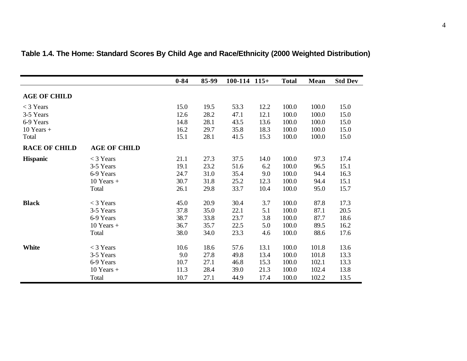|                      |                     | $0 - 84$ | 85-99 | $100-114$ $115+$ |      | <b>Total</b> | Mean  | <b>Std Dev</b> |
|----------------------|---------------------|----------|-------|------------------|------|--------------|-------|----------------|
| <b>AGE OF CHILD</b>  |                     |          |       |                  |      |              |       |                |
| $<$ 3 Years          |                     | 15.0     | 19.5  | 53.3             | 12.2 | 100.0        | 100.0 | 15.0           |
| 3-5 Years            |                     | 12.6     | 28.2  | 47.1             | 12.1 | 100.0        | 100.0 | 15.0           |
| 6-9 Years            |                     | 14.8     | 28.1  | 43.5             | 13.6 | 100.0        | 100.0 | 15.0           |
| $10$ Years +         |                     | 16.2     | 29.7  | 35.8             | 18.3 | 100.0        | 100.0 | 15.0           |
| Total                |                     | 15.1     | 28.1  | 41.5             | 15.3 | 100.0        | 100.0 | 15.0           |
| <b>RACE OF CHILD</b> | <b>AGE OF CHILD</b> |          |       |                  |      |              |       |                |
| <b>Hispanic</b>      | $<$ 3 Years         | 21.1     | 27.3  | 37.5             | 14.0 | 100.0        | 97.3  | 17.4           |
|                      | 3-5 Years           | 19.1     | 23.2  | 51.6             | 6.2  | 100.0        | 96.5  | 15.1           |
|                      | 6-9 Years           | 24.7     | 31.0  | 35.4             | 9.0  | 100.0        | 94.4  | 16.3           |
|                      | $10$ Years +        | 30.7     | 31.8  | 25.2             | 12.3 | 100.0        | 94.4  | 15.1           |
|                      | Total               | 26.1     | 29.8  | 33.7             | 10.4 | 100.0        | 95.0  | 15.7           |
| <b>Black</b>         | $<$ 3 Years         | 45.0     | 20.9  | 30.4             | 3.7  | 100.0        | 87.8  | 17.3           |
|                      | 3-5 Years           | 37.8     | 35.0  | 22.1             | 5.1  | 100.0        | 87.1  | 20.5           |
|                      | 6-9 Years           | 38.7     | 33.8  | 23.7             | 3.8  | 100.0        | 87.7  | 18.6           |
|                      | $10$ Years +        | 36.7     | 35.7  | 22.5             | 5.0  | 100.0        | 89.5  | 16.2           |
|                      | Total               | 38.0     | 34.0  | 23.3             | 4.6  | 100.0        | 88.6  | 17.6           |
| <b>White</b>         | $<$ 3 Years         | 10.6     | 18.6  | 57.6             | 13.1 | 100.0        | 101.8 | 13.6           |
|                      | 3-5 Years           | 9.0      | 27.8  | 49.8             | 13.4 | 100.0        | 101.8 | 13.3           |
|                      | 6-9 Years           | 10.7     | 27.1  | 46.8             | 15.3 | 100.0        | 102.1 | 13.3           |
|                      | $10$ Years +        | 11.3     | 28.4  | 39.0             | 21.3 | 100.0        | 102.4 | 13.8           |
|                      | Total               | 10.7     | 27.1  | 44.9             | 17.4 | 100.0        | 102.2 | 13.5           |

# **Table 1.4. The Home: Standard Scores By Child Age and Race/Ethnicity (2000 Weighted Distribution)**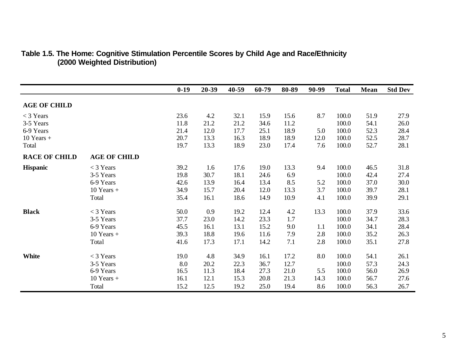|                      |                     | $0-19$ | 20-39 | 40-59 | 60-79 | 80-89 | 90-99 | <b>Total</b> | Mean | <b>Std Dev</b> |
|----------------------|---------------------|--------|-------|-------|-------|-------|-------|--------------|------|----------------|
| <b>AGE OF CHILD</b>  |                     |        |       |       |       |       |       |              |      |                |
| $<$ 3 Years          |                     | 23.6   | 4.2   | 32.1  | 15.9  | 15.6  | 8.7   | 100.0        | 51.9 | 27.9           |
| 3-5 Years            |                     | 11.8   | 21.2  | 21.2  | 34.6  | 11.2  |       | 100.0        | 54.1 | 26.0           |
| 6-9 Years            |                     | 21.4   | 12.0  | 17.7  | 25.1  | 18.9  | 5.0   | 100.0        | 52.3 | 28.4           |
| $10$ Years $+$       |                     | 20.7   | 13.3  | 16.3  | 18.9  | 18.9  | 12.0  | 100.0        | 52.5 | 28.7           |
| Total                |                     | 19.7   | 13.3  | 18.9  | 23.0  | 17.4  | 7.6   | 100.0        | 52.7 | 28.1           |
| <b>RACE OF CHILD</b> | <b>AGE OF CHILD</b> |        |       |       |       |       |       |              |      |                |
| <b>Hispanic</b>      | $<$ 3 Years         | 39.2   | 1.6   | 17.6  | 19.0  | 13.3  | 9.4   | 100.0        | 46.5 | 31.8           |
|                      | 3-5 Years           | 19.8   | 30.7  | 18.1  | 24.6  | 6.9   |       | 100.0        | 42.4 | 27.4           |
|                      | 6-9 Years           | 42.6   | 13.9  | 16.4  | 13.4  | 8.5   | 5.2   | 100.0        | 37.0 | 30.0           |
|                      | $10$ Years +        | 34.9   | 15.7  | 20.4  | 12.0  | 13.3  | 3.7   | 100.0        | 39.7 | 28.1           |
|                      | Total               | 35.4   | 16.1  | 18.6  | 14.9  | 10.9  | 4.1   | 100.0        | 39.9 | 29.1           |
| <b>Black</b>         | $<$ 3 Years         | 50.0   | 0.9   | 19.2  | 12.4  | 4.2   | 13.3  | 100.0        | 37.9 | 33.6           |
|                      | 3-5 Years           | 37.7   | 23.0  | 14.2  | 23.3  | 1.7   |       | 100.0        | 34.7 | 28.3           |
|                      | 6-9 Years           | 45.5   | 16.1  | 13.1  | 15.2  | 9.0   | 1.1   | 100.0        | 34.1 | 28.4           |
|                      | $10$ Years +        | 39.3   | 18.8  | 19.6  | 11.6  | 7.9   | 2.8   | 100.0        | 35.2 | 26.3           |
|                      | Total               | 41.6   | 17.3  | 17.1  | 14.2  | 7.1   | 2.8   | 100.0        | 35.1 | 27.8           |
| <b>White</b>         | $<$ 3 Years         | 19.0   | 4.8   | 34.9  | 16.1  | 17.2  | 8.0   | 100.0        | 54.1 | 26.1           |
|                      | 3-5 Years           | 8.0    | 20.2  | 22.3  | 36.7  | 12.7  |       | 100.0        | 57.3 | 24.3           |
|                      | 6-9 Years           | 16.5   | 11.3  | 18.4  | 27.3  | 21.0  | 5.5   | 100.0        | 56.0 | 26.9           |
|                      | $10$ Years $+$      | 16.1   | 12.1  | 15.3  | 20.8  | 21.3  | 14.3  | 100.0        | 56.7 | 27.6           |
|                      | Total               | 15.2   | 12.5  | 19.2  | 25.0  | 19.4  | 8.6   | 100.0        | 56.3 | 26.7           |

#### **Table 1.5. The Home: Cognitive Stimulation Percentile Scores by Child Age and Race/Ethnicity (2000 Weighted Distribution)**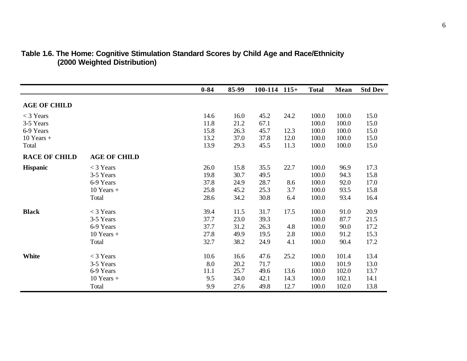|                      |                     | $0 - 84$ | 85-99 | $100-114$ $115+$ |      | <b>Total</b> | Mean  | <b>Std Dev</b> |
|----------------------|---------------------|----------|-------|------------------|------|--------------|-------|----------------|
| <b>AGE OF CHILD</b>  |                     |          |       |                  |      |              |       |                |
| $<$ 3 Years          |                     | 14.6     | 16.0  | 45.2             | 24.2 | 100.0        | 100.0 | 15.0           |
| 3-5 Years            |                     | 11.8     | 21.2  | 67.1             |      | 100.0        | 100.0 | 15.0           |
| 6-9 Years            |                     | 15.8     | 26.3  | 45.7             | 12.3 | 100.0        | 100.0 | 15.0           |
| $10$ Years +         |                     | 13.2     | 37.0  | 37.8             | 12.0 | 100.0        | 100.0 | 15.0           |
| Total                |                     | 13.9     | 29.3  | 45.5             | 11.3 | 100.0        | 100.0 | 15.0           |
| <b>RACE OF CHILD</b> | <b>AGE OF CHILD</b> |          |       |                  |      |              |       |                |
| <b>Hispanic</b>      | $<$ 3 Years         | 26.0     | 15.8  | 35.5             | 22.7 | 100.0        | 96.9  | 17.3           |
|                      | 3-5 Years           | 19.8     | 30.7  | 49.5             |      | 100.0        | 94.3  | 15.8           |
|                      | 6-9 Years           | 37.8     | 24.9  | 28.7             | 8.6  | 100.0        | 92.0  | 17.0           |
|                      | $10$ Years +        | 25.8     | 45.2  | 25.3             | 3.7  | 100.0        | 93.5  | 15.8           |
|                      | Total               | 28.6     | 34.2  | 30.8             | 6.4  | 100.0        | 93.4  | 16.4           |
| <b>Black</b>         | $<$ 3 Years         | 39.4     | 11.5  | 31.7             | 17.5 | 100.0        | 91.0  | 20.9           |
|                      | 3-5 Years           | 37.7     | 23.0  | 39.3             |      | 100.0        | 87.7  | 21.5           |
|                      | 6-9 Years           | 37.7     | 31.2  | 26.3             | 4.8  | 100.0        | 90.0  | 17.2           |
|                      | $10$ Years +        | 27.8     | 49.9  | 19.5             | 2.8  | 100.0        | 91.2  | 15.3           |
|                      | Total               | 32.7     | 38.2  | 24.9             | 4.1  | 100.0        | 90.4  | 17.2           |
| <b>White</b>         | $<$ 3 Years         | 10.6     | 16.6  | 47.6             | 25.2 | 100.0        | 101.4 | 13.4           |
|                      | 3-5 Years           | 8.0      | 20.2  | 71.7             |      | 100.0        | 101.9 | 13.0           |
|                      | 6-9 Years           | 11.1     | 25.7  | 49.6             | 13.6 | 100.0        | 102.0 | 13.7           |
|                      | $10$ Years $+$      | 9.5      | 34.0  | 42.1             | 14.3 | 100.0        | 102.1 | 14.1           |
|                      | Total               | 9.9      | 27.6  | 49.8             | 12.7 | 100.0        | 102.0 | 13.8           |

#### **Table 1.6. The Home: Cognitive Stimulation Standard Scores by Child Age and Race/Ethnicity (2000 Weighted Distribution)**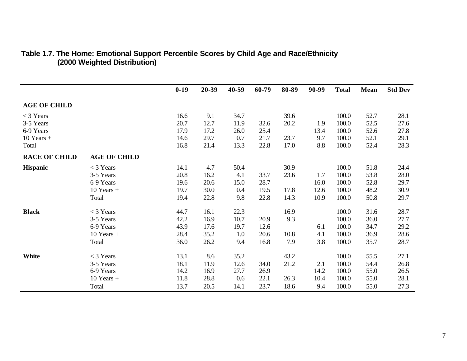|                      |                     | $0-19$ | 20-39 | 40-59 | 60-79 | 80-89 | 90-99 | <b>Total</b> | <b>Mean</b> | <b>Std Dev</b> |
|----------------------|---------------------|--------|-------|-------|-------|-------|-------|--------------|-------------|----------------|
| <b>AGE OF CHILD</b>  |                     |        |       |       |       |       |       |              |             |                |
| $<$ 3 Years          |                     | 16.6   | 9.1   | 34.7  |       | 39.6  |       | 100.0        | 52.7        | 28.1           |
| 3-5 Years            |                     | 20.7   | 12.7  | 11.9  | 32.6  | 20.2  | 1.9   | 100.0        | 52.5        | 27.6           |
| 6-9 Years            |                     | 17.9   | 17.2  | 26.0  | 25.4  |       | 13.4  | 100.0        | 52.6        | 27.8           |
| $10$ Years $+$       |                     | 14.6   | 29.7  | 0.7   | 21.7  | 23.7  | 9.7   | 100.0        | 52.1        | 29.1           |
| Total                |                     | 16.8   | 21.4  | 13.3  | 22.8  | 17.0  | 8.8   | 100.0        | 52.4        | 28.3           |
| <b>RACE OF CHILD</b> | <b>AGE OF CHILD</b> |        |       |       |       |       |       |              |             |                |
| <b>Hispanic</b>      | $<$ 3 Years         | 14.1   | 4.7   | 50.4  |       | 30.9  |       | 100.0        | 51.8        | 24.4           |
|                      | 3-5 Years           | 20.8   | 16.2  | 4.1   | 33.7  | 23.6  | 1.7   | 100.0        | 53.8        | 28.0           |
|                      | 6-9 Years           | 19.6   | 20.6  | 15.0  | 28.7  |       | 16.0  | 100.0        | 52.8        | 29.7           |
|                      | $10$ Years +        | 19.7   | 30.0  | 0.4   | 19.5  | 17.8  | 12.6  | 100.0        | 48.2        | 30.9           |
|                      | Total               | 19.4   | 22.8  | 9.8   | 22.8  | 14.3  | 10.9  | 100.0        | 50.8        | 29.7           |
| <b>Black</b>         | $<$ 3 Years         | 44.7   | 16.1  | 22.3  |       | 16.9  |       | 100.0        | 31.6        | 28.7           |
|                      | 3-5 Years           | 42.2   | 16.9  | 10.7  | 20.9  | 9.3   |       | 100.0        | 36.0        | 27.7           |
|                      | 6-9 Years           | 43.9   | 17.6  | 19.7  | 12.6  |       | 6.1   | 100.0        | 34.7        | 29.2           |
|                      | $10$ Years $+$      | 28.4   | 35.2  | 1.0   | 20.6  | 10.8  | 4.1   | 100.0        | 36.9        | 28.6           |
|                      | Total               | 36.0   | 26.2  | 9.4   | 16.8  | 7.9   | 3.8   | 100.0        | 35.7        | 28.7           |
| White                | $<$ 3 Years         | 13.1   | 8.6   | 35.2  |       | 43.2  |       | 100.0        | 55.5        | 27.1           |
|                      | 3-5 Years           | 18.1   | 11.9  | 12.6  | 34.0  | 21.2  | 2.1   | 100.0        | 54.4        | 26.8           |
|                      | 6-9 Years           | 14.2   | 16.9  | 27.7  | 26.9  |       | 14.2  | 100.0        | 55.0        | 26.5           |
|                      | $10$ Years +        | 11.8   | 28.8  | 0.6   | 22.1  | 26.3  | 10.4  | 100.0        | 55.0        | 28.1           |
|                      | Total               | 13.7   | 20.5  | 14.1  | 23.7  | 18.6  | 9.4   | 100.0        | 55.0        | 27.3           |

#### **Table 1.7. The Home: Emotional Support Percentile Scores by Child Age and Race/Ethnicity (2000 Weighted Distribution)**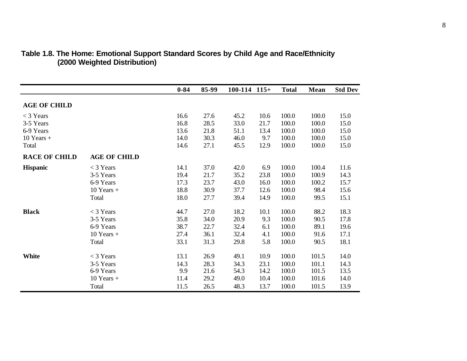|                      |                     | $0 - 84$ | 85-99 | $100-114$ $115+$ |      | <b>Total</b> | <b>Mean</b> | <b>Std Dev</b> |
|----------------------|---------------------|----------|-------|------------------|------|--------------|-------------|----------------|
| <b>AGE OF CHILD</b>  |                     |          |       |                  |      |              |             |                |
| $<$ 3 Years          |                     | 16.6     | 27.6  | 45.2             | 10.6 | 100.0        | 100.0       | 15.0           |
| 3-5 Years            |                     | 16.8     | 28.5  | 33.0             | 21.7 | 100.0        | 100.0       | 15.0           |
| 6-9 Years            |                     | 13.6     | 21.8  | 51.1             | 13.4 | 100.0        | 100.0       | 15.0           |
| $10$ Years $+$       |                     | 14.0     | 30.3  | 46.0             | 9.7  | 100.0        | 100.0       | 15.0           |
| Total                |                     | 14.6     | 27.1  | 45.5             | 12.9 | 100.0        | 100.0       | 15.0           |
| <b>RACE OF CHILD</b> | <b>AGE OF CHILD</b> |          |       |                  |      |              |             |                |
| <b>Hispanic</b>      | $<$ 3 Years         | 14.1     | 37.0  | 42.0             | 6.9  | 100.0        | 100.4       | 11.6           |
|                      | 3-5 Years           | 19.4     | 21.7  | 35.2             | 23.8 | 100.0        | 100.9       | 14.3           |
|                      | 6-9 Years           | 17.3     | 23.7  | 43.0             | 16.0 | 100.0        | 100.2       | 15.7           |
|                      | $10$ Years +        | 18.8     | 30.9  | 37.7             | 12.6 | 100.0        | 98.4        | 15.6           |
|                      | Total               | 18.0     | 27.7  | 39.4             | 14.9 | 100.0        | 99.5        | 15.1           |
| <b>Black</b>         | $<$ 3 Years         | 44.7     | 27.0  | 18.2             | 10.1 | 100.0        | 88.2        | 18.3           |
|                      | 3-5 Years           | 35.8     | 34.0  | 20.9             | 9.3  | 100.0        | 90.5        | 17.8           |
|                      | 6-9 Years           | 38.7     | 22.7  | 32.4             | 6.1  | 100.0        | 89.1        | 19.6           |
|                      | $10$ Years +        | 27.4     | 36.1  | 32.4             | 4.1  | 100.0        | 91.6        | 17.1           |
|                      | Total               | 33.1     | 31.3  | 29.8             | 5.8  | 100.0        | 90.5        | 18.1           |
| <b>White</b>         | $<$ 3 Years         | 13.1     | 26.9  | 49.1             | 10.9 | 100.0        | 101.5       | 14.0           |
|                      | 3-5 Years           | 14.3     | 28.3  | 34.3             | 23.1 | 100.0        | 101.1       | 14.3           |
|                      | 6-9 Years           | 9.9      | 21.6  | 54.3             | 14.2 | 100.0        | 101.5       | 13.5           |
|                      | $10$ Years +        | 11.4     | 29.2  | 49.0             | 10.4 | 100.0        | 101.6       | 14.0           |
|                      | Total               | 11.5     | 26.5  | 48.3             | 13.7 | 100.0        | 101.5       | 13.9           |

#### **Table 1.8. The Home: Emotional Support Standard Scores by Child Age and Race/Ethnicity (2000 Weighted Distribution)**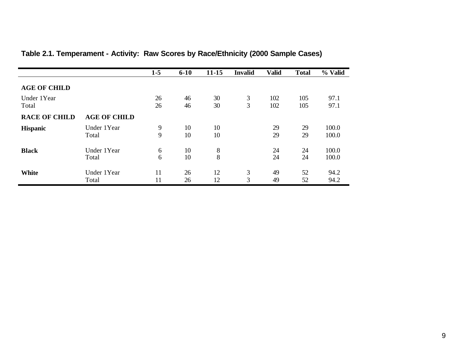|                      |                      | $1-5$    | $6 - 10$ | $11 - 15$ | <b>Invalid</b> | <b>Valid</b> | <b>Total</b> | % Valid        |
|----------------------|----------------------|----------|----------|-----------|----------------|--------------|--------------|----------------|
| <b>AGE OF CHILD</b>  |                      |          |          |           |                |              |              |                |
| Under 1Year<br>Total |                      | 26<br>26 | 46<br>46 | 30<br>30  | 3<br>3         | 102<br>102   | 105<br>105   | 97.1<br>97.1   |
| <b>RACE OF CHILD</b> | <b>AGE OF CHILD</b>  |          |          |           |                |              |              |                |
| <b>Hispanic</b>      | Under 1Year          | 9        | 10       | 10        |                | 29           | 29           | 100.0          |
|                      | Total                | 9        | 10       | 10        |                | 29           | 29           | 100.0          |
| <b>Black</b>         | Under 1Year<br>Total | 6<br>6   | 10<br>10 | 8<br>8    |                | 24<br>24     | 24<br>24     | 100.0<br>100.0 |
| <b>White</b>         | Under 1Year          | 11       | 26       | 12        | 3              | 49           | 52           | 94.2           |
|                      | Total                | 11       | 26       | 12        | 3              | 49           | 52           | 94.2           |

# **Table 2.1. Temperament - Activity: Raw Scores by Race/Ethnicity (2000 Sample Cases)**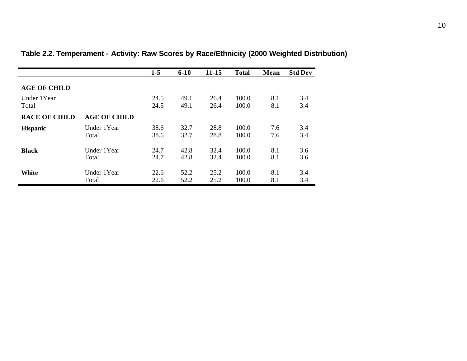|                      |                     | $1-5$ | $6 - 10$ | 11-15 | <b>Total</b> | Mean | <b>Std Dev</b> |
|----------------------|---------------------|-------|----------|-------|--------------|------|----------------|
| <b>AGE OF CHILD</b>  |                     |       |          |       |              |      |                |
| Under 1Year          |                     | 24.5  | 49.1     | 26.4  | 100.0        | 8.1  | 3.4            |
| Total                |                     | 24.5  | 49.1     | 26.4  | 100.0        | 8.1  | 3.4            |
| <b>RACE OF CHILD</b> | <b>AGE OF CHILD</b> |       |          |       |              |      |                |
| <b>Hispanic</b>      | Under 1Year         | 38.6  | 32.7     | 28.8  | 100.0        | 7.6  | 3.4            |
|                      | Total               | 38.6  | 32.7     | 28.8  | 100.0        | 7.6  | 3.4            |
| <b>Black</b>         | Under 1Year         | 24.7  | 42.8     | 32.4  | 100.0        | 8.1  | 3.6            |
|                      | Total               | 24.7  | 42.8     | 32.4  | 100.0        | 8.1  | 3.6            |
| White                | Under 1Year         | 22.6  | 52.2     | 25.2  | 100.0        | 8.1  | 3.4            |
|                      | Total               | 22.6  | 52.2     | 25.2  | 100.0        | 8.1  | 3.4            |

# **Table 2.2. Temperament - Activity: Raw Scores by Race/Ethnicity (2000 Weighted Distribution)**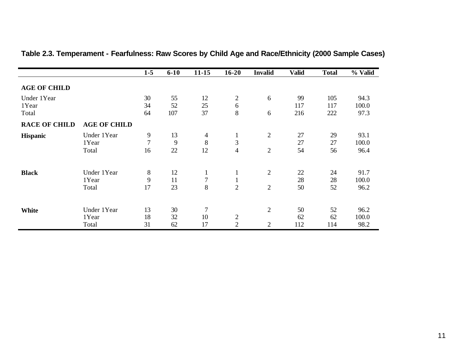|                               |                               | $1 - 5$                   | $6 - 10$        | $11 - 15$                 | $16 - 20$                                      | <b>Invalid</b>                   | <b>Valid</b>     | <b>Total</b>      | % Valid               |
|-------------------------------|-------------------------------|---------------------------|-----------------|---------------------------|------------------------------------------------|----------------------------------|------------------|-------------------|-----------------------|
| <b>AGE OF CHILD</b>           |                               |                           |                 |                           |                                                |                                  |                  |                   |                       |
| Under 1Year<br>1Year<br>Total |                               | 30<br>34<br>64            | 55<br>52<br>107 | 12<br>25<br>37            | $\overline{2}$<br>$6\,$<br>8                   | 6<br>6                           | 99<br>117<br>216 | 105<br>117<br>222 | 94.3<br>100.0<br>97.3 |
| <b>RACE OF CHILD</b>          | <b>AGE OF CHILD</b>           |                           |                 |                           |                                                |                                  |                  |                   |                       |
| <b>Hispanic</b>               | Under 1Year<br>1Year<br>Total | 9<br>$\overline{7}$<br>16 | 13<br>9<br>22   | $\overline{4}$<br>8<br>12 | $\mathbf{1}$<br>3<br>$\overline{\mathcal{A}}$  | $\overline{2}$<br>$\overline{2}$ | 27<br>27<br>54   | 29<br>27<br>56    | 93.1<br>100.0<br>96.4 |
| <b>Black</b>                  | Under 1Year<br>1Year<br>Total | 8<br>9<br>17              | 12<br>11<br>23  | $\perp$<br>7<br>8         | $\mathbf{1}$<br>$\mathbf{1}$<br>$\overline{2}$ | $\overline{2}$<br>$\overline{2}$ | 22<br>28<br>50   | 24<br>28<br>52    | 91.7<br>100.0<br>96.2 |
| <b>White</b>                  | Under 1Year<br>1Year<br>Total | 13<br>18<br>31            | 30<br>32<br>62  | 7<br>10<br>17             | $\mathbf{2}$<br>$\overline{2}$                 | $\overline{2}$<br>$\overline{c}$ | 50<br>62<br>112  | 52<br>62<br>114   | 96.2<br>100.0<br>98.2 |

# **Table 2.3. Temperament - Fearfulness: Raw Scores by Child Age and Race/Ethnicity (2000 Sample Cases)**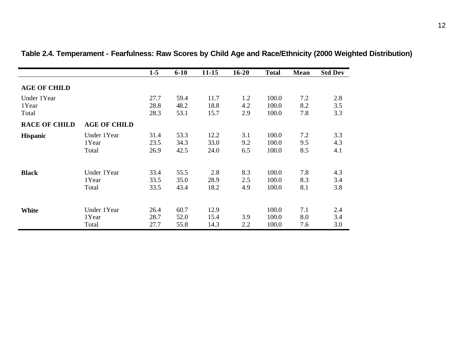|                               |                               | $1-5$                | $6 - 10$             | $11 - 15$            | $16 - 20$         | <b>Total</b>            | Mean              | <b>Std Dev</b>    |
|-------------------------------|-------------------------------|----------------------|----------------------|----------------------|-------------------|-------------------------|-------------------|-------------------|
| <b>AGE OF CHILD</b>           |                               |                      |                      |                      |                   |                         |                   |                   |
| Under 1Year<br>1Year<br>Total |                               | 27.7<br>28.8<br>28.3 | 59.4<br>48.2<br>53.1 | 11.7<br>18.8<br>15.7 | 1.2<br>4.2<br>2.9 | 100.0<br>100.0<br>100.0 | 7.2<br>8.2<br>7.8 | 2.8<br>3.5<br>3.3 |
| <b>RACE OF CHILD</b>          | <b>AGE OF CHILD</b>           |                      |                      |                      |                   |                         |                   |                   |
| <b>Hispanic</b>               | Under 1Year<br>1Year<br>Total | 31.4<br>23.5<br>26.9 | 53.3<br>34.3<br>42.5 | 12.2<br>33.0<br>24.0 | 3.1<br>9.2<br>6.5 | 100.0<br>100.0<br>100.0 | 7.2<br>9.5<br>8.5 | 3.3<br>4.3<br>4.1 |
| <b>Black</b>                  | Under 1Year<br>1Year<br>Total | 33.4<br>33.5<br>33.5 | 55.5<br>35.0<br>43.4 | 2.8<br>28.9<br>18.2  | 8.3<br>2.5<br>4.9 | 100.0<br>100.0<br>100.0 | 7.8<br>8.3<br>8.1 | 4.3<br>3.4<br>3.8 |
| <b>White</b>                  | Under 1Year<br>1Year<br>Total | 26.4<br>28.7<br>27.7 | 60.7<br>52.0<br>55.8 | 12.9<br>15.4<br>14.3 | 3.9<br>2.2        | 100.0<br>100.0<br>100.0 | 7.1<br>8.0<br>7.6 | 2.4<br>3.4<br>3.0 |

**Table 2.4. Temperament - Fearfulness: Raw Scores by Child Age and Race/Ethnicity (2000 Weighted Distribution)**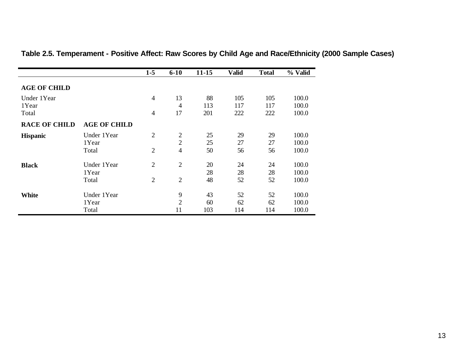|                      |                     | $1-5$          | $6 - 10$                         | $11 - 15$  | <b>Valid</b> | <b>Total</b> | % Valid        |
|----------------------|---------------------|----------------|----------------------------------|------------|--------------|--------------|----------------|
| <b>AGE OF CHILD</b>  |                     |                |                                  |            |              |              |                |
| Under 1Year          |                     | $\overline{4}$ | 13                               | 88         | 105          | 105          | 100.0          |
| 1Year<br>Total       |                     | $\overline{4}$ | $\overline{4}$<br>17             | 113<br>201 | 117<br>222   | 117<br>222   | 100.0<br>100.0 |
| <b>RACE OF CHILD</b> | <b>AGE OF CHILD</b> |                |                                  |            |              |              |                |
| <b>Hispanic</b>      | Under 1Year         | $\overline{2}$ | $\overline{2}$                   | 25         | 29           | 29           | 100.0          |
|                      | 1 Year<br>Total     | $\overline{2}$ | $\overline{2}$<br>$\overline{4}$ | 25<br>50   | 27<br>56     | 27<br>56     | 100.0<br>100.0 |
| <b>Black</b>         | Under 1Year         | $\overline{2}$ | $\overline{2}$                   | 20         | 24           | 24           | 100.0          |
|                      | 1Year               |                |                                  | 28         | 28           | 28           | 100.0          |
|                      | Total               | $\overline{2}$ | $\overline{2}$                   | 48         | 52           | 52           | 100.0          |
| <b>White</b>         | Under 1Year         |                | 9                                | 43         | 52           | 52           | 100.0          |
|                      | 1Year               |                | $\overline{2}$                   | 60         | 62           | 62           | 100.0          |
|                      | Total               |                | 11                               | 103        | 114          | 114          | 100.0          |

### **Table 2.5. Temperament - Positive Affect: Raw Scores by Child Age and Race/Ethnicity (2000 Sample Cases)**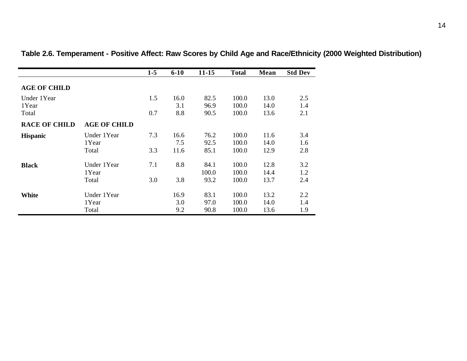|                      |                     | $1-5$ | $6 - 10$    | $11 - 15$    | <b>Total</b>   | Mean         | <b>Std Dev</b> |
|----------------------|---------------------|-------|-------------|--------------|----------------|--------------|----------------|
| <b>AGE OF CHILD</b>  |                     |       |             |              |                |              |                |
| Under 1Year<br>1Year |                     | 1.5   | 16.0<br>3.1 | 82.5<br>96.9 | 100.0<br>100.0 | 13.0<br>14.0 | 2.5<br>1.4     |
| Total                |                     | 0.7   | 8.8         | 90.5         | 100.0          | 13.6         | 2.1            |
| <b>RACE OF CHILD</b> | <b>AGE OF CHILD</b> |       |             |              |                |              |                |
| <b>Hispanic</b>      | Under 1Year         | 7.3   | 16.6        | 76.2         | 100.0          | 11.6         | 3.4            |
|                      | 1Year               |       | 7.5         | 92.5         | 100.0          | 14.0         | 1.6            |
|                      | Total               | 3.3   | 11.6        | 85.1         | 100.0          | 12.9         | 2.8            |
| <b>Black</b>         | Under 1Year         | 7.1   | 8.8         | 84.1         | 100.0          | 12.8         | 3.2            |
|                      | 1 Year              |       |             | 100.0        | 100.0          | 14.4         | 1.2            |
|                      | Total               | 3.0   | 3.8         | 93.2         | 100.0          | 13.7         | 2.4            |
| <b>White</b>         | Under 1Year         |       | 16.9        | 83.1         | 100.0          | 13.2         | 2.2            |
|                      | 1Year               |       | 3.0         | 97.0         | 100.0          | 14.0         | 1.4            |
|                      | Total               |       | 9.2         | 90.8         | 100.0          | 13.6         | 1.9            |

**Table 2.6. Temperament - Positive Affect: Raw Scores by Child Age and Race/Ethnicity (2000 Weighted Distribution)**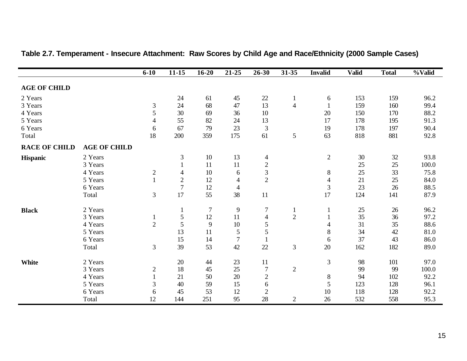|                      |                     | $6 - 10$       | $11 - 15$      | $16 - 20$ | $21 - 25$      | 26-30          | $31 - 35$      | <b>Invalid</b>           | <b>Valid</b> | <b>Total</b> | $\sqrt[0]{\text{Valid}}$ |
|----------------------|---------------------|----------------|----------------|-----------|----------------|----------------|----------------|--------------------------|--------------|--------------|--------------------------|
|                      |                     |                |                |           |                |                |                |                          |              |              |                          |
| <b>AGE OF CHILD</b>  |                     |                |                |           |                |                |                |                          |              |              |                          |
| 2 Years              |                     |                | 24             | 61        | 45             | 22             | $\mathbf{1}$   | 6                        | 153          | 159          | 96.2                     |
| 3 Years              |                     | 3              | 24             | 68        | 47             | 13             | $\overline{4}$ |                          | 159          | 160          | 99.4                     |
| 4 Years              |                     | 5              | 30             | 69        | 36             | 10             |                | 20                       | 150          | 170          | 88.2                     |
| 5 Years              |                     | 4              | 55             | 82        | 24             | 13             |                | 17                       | 178          | 195          | 91.3                     |
| 6 Years              |                     | 6              | 67             | 79        | 23             | 3              |                | 19                       | 178          | 197          | 90.4                     |
| Total                |                     | 18             | 200            | 359       | 175            | 61             | $\mathfrak{S}$ | 63                       | 818          | 881          | 92.8                     |
| <b>RACE OF CHILD</b> | <b>AGE OF CHILD</b> |                |                |           |                |                |                |                          |              |              |                          |
| Hispanic             | 2 Years             |                | 3              | $10\,$    | 13             | $\overline{4}$ |                | $\overline{2}$           | 30           | 32           | 93.8                     |
|                      | 3 Years             |                |                | 11        | 11             | $\sqrt{2}$     |                |                          | 25           | 25           | 100.0                    |
|                      | 4 Years             | $\overline{c}$ | $\overline{4}$ | 10        | 6              | $\overline{3}$ |                | $8\,$                    | 25           | 33           | 75.8                     |
|                      | 5 Years             | $\mathbf{1}$   | $\sqrt{2}$     | 12        | $\overline{4}$ | $\overline{2}$ |                | $\overline{\mathcal{A}}$ | 21           | 25           | 84.0                     |
|                      | 6 Years             |                | $\overline{7}$ | 12        | $\overline{4}$ |                |                | $\mathfrak 3$            | 23           | 26           | 88.5                     |
|                      | Total               | 3              | 17             | 55        | 38             | 11             |                | 17                       | 124          | 141          | 87.9                     |
| <b>Black</b>         | 2 Years             |                |                | $\tau$    | $\overline{9}$ | $\overline{7}$ | $\mathbf{1}$   |                          | 25           | 26           | 96.2                     |
|                      | 3 Years             | 1              | 5              | 12        | 11             | $\overline{4}$ | $\overline{2}$ |                          | 35           | 36           | 97.2                     |
|                      | 4 Years             | $\overline{2}$ | 5              | 9         | $10\,$         | 5              |                | 4                        | 31           | 35           | 88.6                     |
|                      | 5 Years             |                | 13             | 11        | $\sqrt{5}$     | 5              |                | $8\,$                    | 34           | 42           | 81.0                     |
|                      | 6 Years             |                | 15             | 14        | $\overline{7}$ |                |                | 6                        | 37           | 43           | 86.0                     |
|                      | Total               | 3              | 39             | 53        | 42             | 22             | 3              | $20\,$                   | 162          | 182          | 89.0                     |
| White                | 2 Years             |                | $20\,$         | 44        | 23             | 11             |                | 3                        | 98           | 101          | 97.0                     |
|                      | 3 Years             | $\overline{c}$ | 18             | 45        | 25             | $\overline{7}$ | $\overline{2}$ |                          | 99           | 99           | 100.0                    |
|                      | 4 Years             |                | 21             | 50        | 20             | $\sqrt{2}$     |                | $\,8\,$                  | 94           | 102          | 92.2                     |
|                      | 5 Years             | 3              | 40             | 59        | 15             | 6              |                | 5                        | 123          | 128          | 96.1                     |
|                      | 6 Years             | 6              | 45             | 53        | 12             | $\overline{2}$ |                | 10                       | 118          | 128          | 92.2                     |
|                      | Total               | 12             | 144            | 251       | 95             | 28             | $\overline{2}$ | 26                       | 532          | 558          | 95.3                     |

### **Table 2.7. Temperament - Insecure Attachment: Raw Scores by Child Age and Race/Ethnicity (2000 Sample Cases)**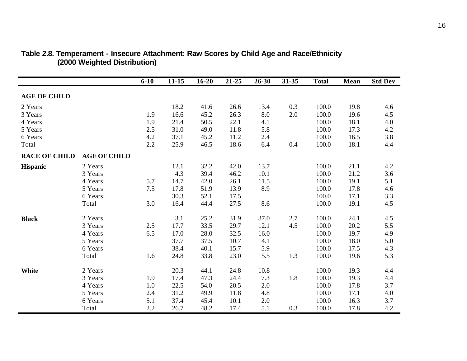|                      |                     | $6 - 10$ | $11 - 15$ | $16 - 20$ | 21-25 | 26-30 | 31-35 | <b>Total</b> | Mean | <b>Std Dev</b> |
|----------------------|---------------------|----------|-----------|-----------|-------|-------|-------|--------------|------|----------------|
| <b>AGE OF CHILD</b>  |                     |          |           |           |       |       |       |              |      |                |
|                      |                     |          |           |           |       |       |       |              |      |                |
| 2 Years              |                     |          | 18.2      | 41.6      | 26.6  | 13.4  | 0.3   | 100.0        | 19.8 | 4.6            |
| 3 Years              |                     | 1.9      | 16.6      | 45.2      | 26.3  | 8.0   | 2.0   | 100.0        | 19.6 | 4.5            |
| 4 Years              |                     | 1.9      | 21.4      | 50.5      | 22.1  | 4.1   |       | 100.0        | 18.1 | 4.0            |
| 5 Years              |                     | 2.5      | 31.0      | 49.0      | 11.8  | 5.8   |       | 100.0        | 17.3 | 4.2            |
| 6 Years              |                     | 4.2      | 37.1      | 45.2      | 11.2  | 2.4   |       | 100.0        | 16.5 | 3.8            |
| Total                |                     | 2.2      | 25.9      | 46.5      | 18.6  | 6.4   | 0.4   | 100.0        | 18.1 | 4.4            |
| <b>RACE OF CHILD</b> | <b>AGE OF CHILD</b> |          |           |           |       |       |       |              |      |                |
| <b>Hispanic</b>      | 2 Years             |          | 12.1      | 32.2      | 42.0  | 13.7  |       | 100.0        | 21.1 | 4.2            |
|                      | 3 Years             |          | 4.3       | 39.4      | 46.2  | 10.1  |       | 100.0        | 21.2 | 3.6            |
|                      | 4 Years             | 5.7      | 14.7      | 42.0      | 26.1  | 11.5  |       | 100.0        | 19.1 | 5.1            |
|                      | 5 Years             | 7.5      | 17.8      | 51.9      | 13.9  | 8.9   |       | 100.0        | 17.8 | 4.6            |
|                      | 6 Years             |          | 30.3      | 52.1      | 17.5  |       |       | 100.0        | 17.1 | 3.3            |
|                      | Total               | 3.0      | 16.4      | 44.4      | 27.5  | 8.6   |       | 100.0        | 19.1 | 4.5            |
| <b>Black</b>         | 2 Years             |          | 3.1       | 25.2      | 31.9  | 37.0  | 2.7   | 100.0        | 24.1 | 4.5            |
|                      | 3 Years             | 2.5      | 17.7      | 33.5      | 29.7  | 12.1  | 4.5   | 100.0        | 20.2 | 5.5            |
|                      | 4 Years             | 6.5      | 17.0      | 28.0      | 32.5  | 16.0  |       | 100.0        | 19.7 | 4.9            |
|                      | 5 Years             |          | 37.7      | 37.5      | 10.7  | 14.1  |       | 100.0        | 18.0 | 5.0            |
|                      | 6 Years             |          | 38.4      | 40.1      | 15.7  | 5.9   |       | 100.0        | 17.5 | 4.3            |
|                      | Total               | 1.6      | 24.8      | 33.8      | 23.0  | 15.5  | 1.3   | 100.0        | 19.6 | 5.3            |
| <b>White</b>         | 2 Years             |          | 20.3      | 44.1      | 24.8  | 10.8  |       | 100.0        | 19.3 | 4.4            |
|                      | 3 Years             | 1.9      | 17.4      | 47.3      | 24.4  | 7.3   | 1.8   | 100.0        | 19.3 | 4.4            |
|                      | 4 Years             | 1.0      | 22.5      | 54.0      | 20.5  | 2.0   |       | 100.0        | 17.8 | 3.7            |
|                      | 5 Years             | 2.4      | 31.2      | 49.9      | 11.8  | 4.8   |       | 100.0        | 17.1 | 4.0            |
|                      | 6 Years             | 5.1      | 37.4      | 45.4      | 10.1  |       |       | 100.0        | 16.3 | 3.7            |
|                      |                     |          |           |           |       | 2.0   |       |              |      |                |
|                      | Total               | 2.2      | 26.7      | 48.2      | 17.4  | 5.1   | 0.3   | 100.0        | 17.8 | 4.2            |

#### **Table 2.8. Temperament - Insecure Attachment: Raw Scores by Child Age and Race/Ethnicity (2000 Weighted Distribution)**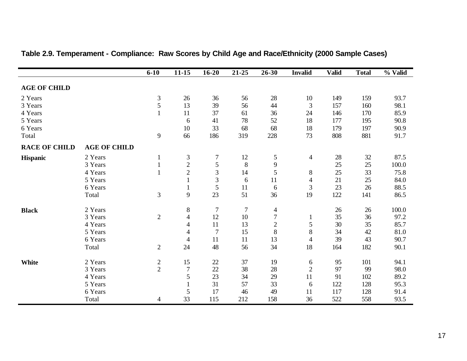|                      |                     | $6 - 10$       | $11 - 15$                | $16 - 20$      | 21-25   | 26-30          | <b>Invalid</b> | <b>Valid</b> | <b>Total</b> | % Valid |
|----------------------|---------------------|----------------|--------------------------|----------------|---------|----------------|----------------|--------------|--------------|---------|
|                      |                     |                |                          |                |         |                |                |              |              |         |
| <b>AGE OF CHILD</b>  |                     |                |                          |                |         |                |                |              |              |         |
| 2 Years              |                     | 3              | 26                       | 36             | 56      | 28             | 10             | 149          | 159          | 93.7    |
| 3 Years              |                     | 5              | 13                       | 39             | 56      | 44             | $\mathfrak{Z}$ | 157          | 160          | 98.1    |
| 4 Years              |                     |                | 11                       | 37             | 61      | 36             | 24             | 146          | 170          | 85.9    |
| 5 Years              |                     |                | 6                        | 41             | 78      | 52             | 18             | 177          | 195          | 90.8    |
| 6 Years              |                     |                | 10                       | 33             | 68      | 68             | 18             | 179          | 197          | 90.9    |
| Total                |                     | 9              | 66                       | 186            | 319     | 228            | 73             | 808          | 881          | 91.7    |
| <b>RACE OF CHILD</b> | <b>AGE OF CHILD</b> |                |                          |                |         |                |                |              |              |         |
| <b>Hispanic</b>      | 2 Years             | $\mathbf{1}$   | 3                        | $\tau$         | 12      | $\mathfrak{S}$ | $\overline{4}$ | 28           | 32           | 87.5    |
|                      | 3 Years             |                | $\overline{c}$           | 5              | $\,8\,$ | $\overline{9}$ |                | 25           | 25           | 100.0   |
|                      | 4 Years             |                | $\overline{2}$           | 3              | 14      | 5              | $8\,$          | 25           | 33           | 75.8    |
|                      | 5 Years             |                | $\mathbf{1}$             | 3              | 6       | 11             | $\overline{4}$ | 21           | 25           | 84.0    |
|                      | 6 Years             |                | $\mathbf{1}$             | $\mathfrak{S}$ | 11      | 6              | $\mathfrak{Z}$ | 23           | 26           | 88.5    |
|                      | Total               | 3              | 9                        | 23             | 51      | 36             | 19             | 122          | 141          | 86.5    |
| <b>Black</b>         | 2 Years             |                | $8\,$                    | $\tau$         | $\tau$  | $\overline{4}$ |                | 26           | 26           | 100.0   |
|                      | 3 Years             | $\overline{2}$ | $\overline{4}$           | 12             | 10      | $\overline{7}$ | $\mathbf{1}$   | 35           | 36           | 97.2    |
|                      | 4 Years             |                | $\overline{4}$           | 11             | 13      | $\overline{2}$ | 5              | 30           | 35           | 85.7    |
|                      | 5 Years             |                | $\overline{4}$           | $\overline{7}$ | 15      | 8              | 8              | 34           | 42           | 81.0    |
|                      | 6 Years             |                | $\overline{\mathcal{A}}$ | 11             | 11      | 13             | $\overline{4}$ | 39           | 43           | 90.7    |
|                      | Total               | $\overline{2}$ | 24                       | 48             | 56      | 34             | 18             | 164          | 182          | 90.1    |
| White                | 2 Years             |                | 15                       | $22\,$         | 37      | 19             | 6              | 95           | 101          | 94.1    |
|                      | 3 Years             | $\frac{2}{2}$  | $\boldsymbol{7}$         | $22\,$         | 38      | 28             | $\overline{2}$ | 97           | 99           | 98.0    |
|                      | 4 Years             |                | 5                        | 23             | 34      | 29             | 11             | 91           | 102          | 89.2    |
|                      | 5 Years             |                | $\mathbf{1}$             | 31             | 57      | 33             | 6              | 122          | 128          | 95.3    |
|                      | 6 Years             |                | 5                        | 17             | 46      | 49             | 11             | 117          | 128          | 91.4    |
|                      |                     |                |                          |                |         |                |                |              |              |         |
|                      | Total               | 4              | 33                       | 115            | 212     | 158            | 36             | 522          | 558          | 93.5    |

# **Table 2.9. Temperament - Compliance: Raw Scores by Child Age and Race/Ethnicity (2000 Sample Cases)**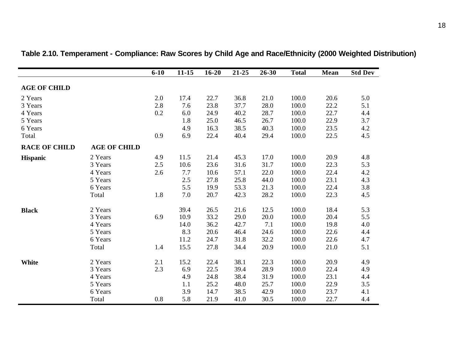|                      |                     | $6 - 10$ | $11 - 15$ | $16 - 20$ | 21-25 | 26-30 | <b>Total</b> | Mean | <b>Std Dev</b> |
|----------------------|---------------------|----------|-----------|-----------|-------|-------|--------------|------|----------------|
| <b>AGE OF CHILD</b>  |                     |          |           |           |       |       |              |      |                |
|                      |                     |          |           |           |       |       |              |      |                |
| 2 Years              |                     | 2.0      | 17.4      | 22.7      | 36.8  | 21.0  | 100.0        | 20.6 | 5.0            |
| 3 Years              |                     | 2.8      | 7.6       | 23.8      | 37.7  | 28.0  | 100.0        | 22.2 | 5.1            |
| 4 Years              |                     | 0.2      | 6.0       | 24.9      | 40.2  | 28.7  | 100.0        | 22.7 | 4.4            |
| 5 Years              |                     |          | 1.8       | 25.0      | 46.5  | 26.7  | 100.0        | 22.9 | 3.7            |
| 6 Years              |                     |          | 4.9       | 16.3      | 38.5  | 40.3  | 100.0        | 23.5 | 4.2            |
| Total                |                     | 0.9      | 6.9       | 22.4      | 40.4  | 29.4  | 100.0        | 22.5 | 4.5            |
| <b>RACE OF CHILD</b> | <b>AGE OF CHILD</b> |          |           |           |       |       |              |      |                |
| <b>Hispanic</b>      | 2 Years             | 4.9      | 11.5      | 21.4      | 45.3  | 17.0  | 100.0        | 20.9 | 4.8            |
|                      | 3 Years             | 2.5      | 10.6      | 23.6      | 31.6  | 31.7  | 100.0        | 22.3 | 5.3            |
|                      | 4 Years             | 2.6      | 7.7       | 10.6      | 57.1  | 22.0  | 100.0        | 22.4 | 4.2            |
|                      | 5 Years             |          | 2.5       | 27.8      | 25.8  | 44.0  | 100.0        | 23.1 | 4.3            |
|                      | 6 Years             |          | 5.5       | 19.9      | 53.3  | 21.3  | 100.0        | 22.4 | 3.8            |
|                      | Total               | 1.8      | 7.0       | 20.7      | 42.3  | 28.2  | 100.0        | 22.3 | 4.5            |
| <b>Black</b>         | 2 Years             |          | 39.4      | 26.5      | 21.6  | 12.5  | 100.0        | 18.4 | 5.3            |
|                      | 3 Years             | 6.9      | 10.9      | 33.2      | 29.0  | 20.0  | 100.0        | 20.4 | 5.5            |
|                      | 4 Years             |          | 14.0      | 36.2      | 42.7  | 7.1   | 100.0        | 19.8 | 4.0            |
|                      | 5 Years             |          | 8.3       | 20.6      | 46.4  | 24.6  | 100.0        | 22.6 | 4.4            |
|                      | 6 Years             |          | 11.2      | 24.7      | 31.8  | 32.2  | 100.0        | 22.6 | 4.7            |
|                      | Total               | 1.4      | 15.5      | 27.8      | 34.4  | 20.9  | 100.0        | 21.0 | 5.1            |
| <b>White</b>         | 2 Years             | 2.1      | 15.2      | 22.4      | 38.1  | 22.3  | 100.0        | 20.9 | 4.9            |
|                      | 3 Years             | 2.3      | 6.9       | 22.5      | 39.4  | 28.9  | 100.0        | 22.4 | 4.9            |
|                      | 4 Years             |          | 4.9       | 24.8      | 38.4  | 31.9  | 100.0        | 23.1 | 4.4            |
|                      | 5 Years             |          | 1.1       | 25.2      | 48.0  | 25.7  | 100.0        | 22.9 | 3.5            |
|                      | 6 Years             |          | 3.9       | 14.7      | 38.5  | 42.9  | 100.0        | 23.7 | 4.1            |
|                      | Total               | 0.8      | 5.8       | 21.9      | 41.0  | 30.5  | 100.0        | 22.7 | 4.4            |

**Table 2.10. Temperament - Compliance: Raw Scores by Child Age and Race/Ethnicity (2000 Weighted Distribution)**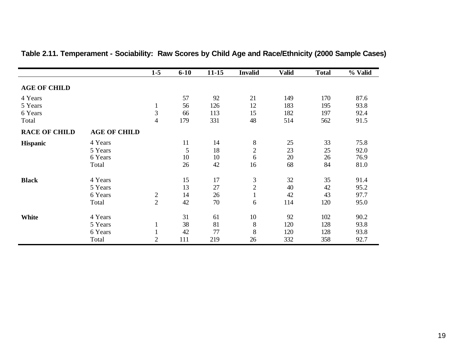|                      |                     | $1 - 5$        | $6 - 10$ | $11 - 15$ | <b>Invalid</b> | <b>Valid</b> | <b>Total</b> | % Valid |
|----------------------|---------------------|----------------|----------|-----------|----------------|--------------|--------------|---------|
| <b>AGE OF CHILD</b>  |                     |                |          |           |                |              |              |         |
| 4 Years              |                     |                | 57       | 92        | 21             | 149          | 170          | 87.6    |
| 5 Years              |                     | $\mathbf{1}$   | 56       | 126       | 12             | 183          | 195          | 93.8    |
| 6 Years              |                     | $\mathfrak{Z}$ | 66       | 113       | 15             | 182          | 197          | 92.4    |
| Total                |                     | $\overline{4}$ | 179      | 331       | 48             | 514          | 562          | 91.5    |
| <b>RACE OF CHILD</b> | <b>AGE OF CHILD</b> |                |          |           |                |              |              |         |
| <b>Hispanic</b>      | 4 Years             |                | 11       | 14        | $8\,$          | 25           | 33           | 75.8    |
|                      | 5 Years             |                | 5        | 18        | $\mathbf{2}$   | 23           | 25           | 92.0    |
|                      | 6 Years             |                | 10       | 10        | 6              | 20           | 26           | 76.9    |
|                      | Total               |                | 26       | 42        | 16             | 68           | 84           | 81.0    |
| <b>Black</b>         | 4 Years             |                | 15       | 17        | $\mathfrak{Z}$ | 32           | 35           | 91.4    |
|                      | 5 Years             |                | 13       | 27        | $\mathbf{2}$   | 40           | 42           | 95.2    |
|                      | 6 Years             | $\mathbf{2}$   | 14       | 26        | $\mathbf{1}$   | 42           | 43           | 97.7    |
|                      | Total               | $\overline{2}$ | 42       | 70        | 6              | 114          | 120          | 95.0    |
| <b>White</b>         | 4 Years             |                | 31       | 61        | 10             | 92           | 102          | 90.2    |
|                      | 5 Years             | $\mathbf{1}$   | 38       | 81        | $8\,$          | 120          | 128          | 93.8    |
|                      | 6 Years             |                | 42       | 77        | $8\,$          | 120          | 128          | 93.8    |
|                      | Total               | $\overline{2}$ | 111      | 219       | 26             | 332          | 358          | 92.7    |

# **Table 2.11. Temperament - Sociability: Raw Scores by Child Age and Race/Ethnicity (2000 Sample Cases)**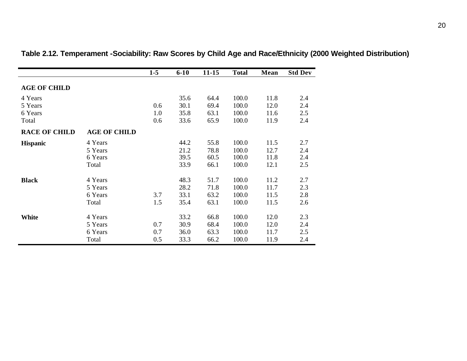|                      |                     | $1 - 5$ | $6 - 10$ | $11 - 15$ | <b>Total</b> | Mean | <b>Std Dev</b> |
|----------------------|---------------------|---------|----------|-----------|--------------|------|----------------|
| <b>AGE OF CHILD</b>  |                     |         |          |           |              |      |                |
| 4 Years              |                     |         | 35.6     | 64.4      | 100.0        | 11.8 | 2.4            |
| 5 Years              |                     | 0.6     | 30.1     | 69.4      | 100.0        | 12.0 | 2.4            |
| 6 Years              |                     | 1.0     | 35.8     | 63.1      | 100.0        | 11.6 | 2.5            |
| Total                |                     | 0.6     | 33.6     | 65.9      | 100.0        | 11.9 | 2.4            |
| <b>RACE OF CHILD</b> | <b>AGE OF CHILD</b> |         |          |           |              |      |                |
| <b>Hispanic</b>      | 4 Years             |         | 44.2     | 55.8      | 100.0        | 11.5 | 2.7            |
|                      | 5 Years             |         | 21.2     | 78.8      | 100.0        | 12.7 | 2.4            |
|                      | 6 Years             |         | 39.5     | 60.5      | 100.0        | 11.8 | 2.4            |
|                      | Total               |         | 33.9     | 66.1      | 100.0        | 12.1 | 2.5            |
| <b>Black</b>         | 4 Years             |         | 48.3     | 51.7      | 100.0        | 11.2 | 2.7            |
|                      | 5 Years             |         | 28.2     | 71.8      | 100.0        | 11.7 | 2.3            |
|                      | 6 Years             | 3.7     | 33.1     | 63.2      | 100.0        | 11.5 | 2.8            |
|                      | Total               | 1.5     | 35.4     | 63.1      | 100.0        | 11.5 | 2.6            |
| <b>White</b>         | 4 Years             |         | 33.2     | 66.8      | 100.0        | 12.0 | 2.3            |
|                      | 5 Years             | 0.7     | 30.9     | 68.4      | 100.0        | 12.0 | 2.4            |
|                      | 6 Years             | 0.7     | 36.0     | 63.3      | 100.0        | 11.7 | 2.5            |
|                      | Total               | 0.5     | 33.3     | 66.2      | 100.0        | 11.9 | 2.4            |

**Table 2.12. Temperament -Sociability: Raw Scores by Child Age and Race/Ethnicity (2000 Weighted Distribution)**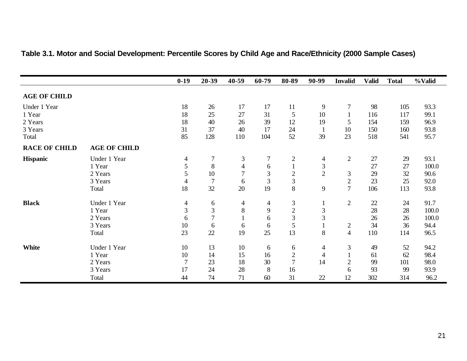|                      |                     | $0-19$         | 20-39          | $40 - 59$      | 60-79          | 80-89          | 90-99          | <b>Invalid</b> | <b>Valid</b> | <b>Total</b> | %Valid |
|----------------------|---------------------|----------------|----------------|----------------|----------------|----------------|----------------|----------------|--------------|--------------|--------|
| <b>AGE OF CHILD</b>  |                     |                |                |                |                |                |                |                |              |              |        |
| Under 1 Year         |                     | 18             | 26             | 17             | 17             | 11             | 9              | 7              | 98           | 105          | 93.3   |
| 1 Year               |                     | 18             | 25             | 27             | 31             | 5              | 10             |                | 116          | 117          | 99.1   |
| 2 Years              |                     | 18             | 40             | 26             | 39             | 12             | 19             | 5              | 154          | 159          | 96.9   |
| 3 Years              |                     | 31             | 37             | 40             | 17             | 24             |                | 10             | 150          | 160          | 93.8   |
| Total                |                     | 85             | 128            | 110            | 104            | 52             | 39             | 23             | 518          | 541          | 95.7   |
| <b>RACE OF CHILD</b> | <b>AGE OF CHILD</b> |                |                |                |                |                |                |                |              |              |        |
| <b>Hispanic</b>      | Under 1 Year        | 4              | 7              | 3              | 7              | $\mathbf{2}$   | 4              | $\sqrt{2}$     | 27           | 29           | 93.1   |
|                      | 1 Year              | 5              | 8              | $\overline{4}$ | 6              |                | 3              |                | 27           | 27           | 100.0  |
|                      | 2 Years             | 5              | 10             |                | 3              | $\mathbf{2}$   | $\overline{2}$ | 3              | 29           | 32           | 90.6   |
|                      | 3 Years             | 4              | $\overline{7}$ | 6              | $\mathfrak{Z}$ | $\mathfrak{Z}$ |                | $\sqrt{2}$     | 23           | 25           | 92.0   |
|                      | Total               | 18             | 32             | 20             | 19             | 8              | 9              | $\overline{7}$ | 106          | 113          | 93.8   |
| <b>Black</b>         | Under 1 Year        | 4              | 6              | 4              | 4              | 3              |                | $\overline{2}$ | 22           | 24           | 91.7   |
|                      | 1 Year              | $\mathfrak{Z}$ | 3              | 8              | 9              | $\overline{2}$ | 3              |                | 28           | 28           | 100.0  |
|                      | 2 Years             | 6              | $\overline{7}$ |                | 6              | 3              | 3              |                | 26           | 26           | 100.0  |
|                      | 3 Years             | 10             | 6              | 6              | 6              | 5              |                | $\overline{c}$ | 34           | 36           | 94.4   |
|                      | Total               | 23             | 22             | 19             | 25             | 13             | 8              | $\overline{4}$ | 110          | 114          | 96.5   |
| <b>White</b>         | Under 1 Year        | 10             | 13             | 10             | 6              | 6              | 4              | 3              | 49           | 52           | 94.2   |
|                      | 1 Year              | 10             | 14             | 15             | 16             | $\mathbf{2}$   | 4              |                | 61           | 62           | 98.4   |
|                      | 2 Years             | 7              | 23             | 18             | 30             | $\overline{7}$ | 14             | $\overline{2}$ | 99           | 101          | 98.0   |
|                      | 3 Years             | 17             | 24             | 28             | 8              | 16             |                | 6              | 93           | 99           | 93.9   |
|                      | Total               | 44             | 74             | 71             | 60             | 31             | 22             | 12             | 302          | 314          | 96.2   |

# **Table 3.1. Motor and Social Development: Percentile Scores by Child Age and Race/Ethnicity (2000 Sample Cases)**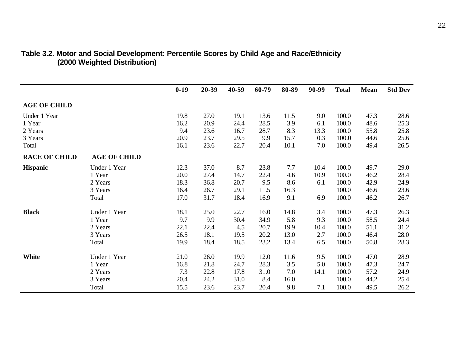|                      |                     | $0-19$ | 20-39 | 40-59 | 60-79 | 80-89 | 90-99 | <b>Total</b> | Mean | <b>Std Dev</b> |
|----------------------|---------------------|--------|-------|-------|-------|-------|-------|--------------|------|----------------|
| <b>AGE OF CHILD</b>  |                     |        |       |       |       |       |       |              |      |                |
| Under 1 Year         |                     | 19.8   | 27.0  | 19.1  | 13.6  | 11.5  | 9.0   | 100.0        | 47.3 | 28.6           |
| 1 Year               |                     | 16.2   | 20.9  | 24.4  | 28.5  | 3.9   | 6.1   | 100.0        | 48.6 | 25.3           |
| 2 Years              |                     | 9.4    | 23.6  | 16.7  | 28.7  | 8.3   | 13.3  | 100.0        | 55.8 | 25.8           |
| 3 Years              |                     | 20.9   | 23.7  | 29.5  | 9.9   | 15.7  | 0.3   | 100.0        | 44.6 | 25.6           |
| Total                |                     | 16.1   | 23.6  | 22.7  | 20.4  | 10.1  | 7.0   | 100.0        | 49.4 | 26.5           |
| <b>RACE OF CHILD</b> | <b>AGE OF CHILD</b> |        |       |       |       |       |       |              |      |                |
| <b>Hispanic</b>      | Under 1 Year        | 12.3   | 37.0  | 8.7   | 23.8  | 7.7   | 10.4  | 100.0        | 49.7 | 29.0           |
|                      | 1 Year              | 20.0   | 27.4  | 14.7  | 22.4  | 4.6   | 10.9  | 100.0        | 46.2 | 28.4           |
|                      | 2 Years             | 18.3   | 36.8  | 20.7  | 9.5   | 8.6   | 6.1   | 100.0        | 42.9 | 24.9           |
|                      | 3 Years             | 16.4   | 26.7  | 29.1  | 11.5  | 16.3  |       | 100.0        | 46.6 | 23.6           |
|                      | Total               | 17.0   | 31.7  | 18.4  | 16.9  | 9.1   | 6.9   | 100.0        | 46.2 | 26.7           |
| <b>Black</b>         | Under 1 Year        | 18.1   | 25.0  | 22.7  | 16.0  | 14.8  | 3.4   | 100.0        | 47.3 | 26.3           |
|                      | 1 Year              | 9.7    | 9.9   | 30.4  | 34.9  | 5.8   | 9.3   | 100.0        | 58.5 | 24.4           |
|                      | 2 Years             | 22.1   | 22.4  | 4.5   | 20.7  | 19.9  | 10.4  | 100.0        | 51.1 | 31.2           |
|                      | 3 Years             | 26.5   | 18.1  | 19.5  | 20.2  | 13.0  | 2.7   | 100.0        | 46.4 | 28.0           |
|                      | Total               | 19.9   | 18.4  | 18.5  | 23.2  | 13.4  | 6.5   | 100.0        | 50.8 | 28.3           |
| <b>White</b>         | Under 1 Year        | 21.0   | 26.0  | 19.9  | 12.0  | 11.6  | 9.5   | 100.0        | 47.0 | 28.9           |
|                      | 1 Year              | 16.8   | 21.8  | 24.7  | 28.3  | 3.5   | 5.0   | 100.0        | 47.3 | 24.7           |
|                      | 2 Years             | 7.3    | 22.8  | 17.8  | 31.0  | 7.0   | 14.1  | 100.0        | 57.2 | 24.9           |
|                      | 3 Years             | 20.4   | 24.2  | 31.0  | 8.4   | 16.0  |       | 100.0        | 44.2 | 25.4           |
|                      | Total               | 15.5   | 23.6  | 23.7  | 20.4  | 9.8   | 7.1   | 100.0        | 49.5 | 26.2           |

#### **Table 3.2. Motor and Social Development: Percentile Scores by Child Age and Race/Ethnicity (2000 Weighted Distribution)**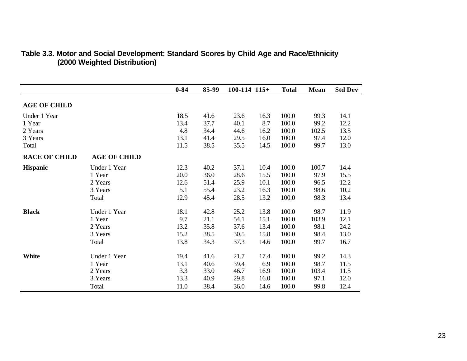|                      |                     | $0 - 84$ | 85-99 | $100-114$ $115+$ |      | <b>Total</b> | Mean  | <b>Std Dev</b> |
|----------------------|---------------------|----------|-------|------------------|------|--------------|-------|----------------|
| <b>AGE OF CHILD</b>  |                     |          |       |                  |      |              |       |                |
| Under 1 Year         |                     | 18.5     | 41.6  | 23.6             | 16.3 | 100.0        | 99.3  | 14.1           |
| 1 Year               |                     | 13.4     | 37.7  | 40.1             | 8.7  | 100.0        | 99.2  | 12.2           |
| 2 Years              |                     | 4.8      | 34.4  | 44.6             | 16.2 | 100.0        | 102.5 | 13.5           |
| 3 Years              |                     | 13.1     | 41.4  | 29.5             | 16.0 | 100.0        | 97.4  | 12.0           |
| Total                |                     | 11.5     | 38.5  | 35.5             | 14.5 | 100.0        | 99.7  | 13.0           |
| <b>RACE OF CHILD</b> | <b>AGE OF CHILD</b> |          |       |                  |      |              |       |                |
| <b>Hispanic</b>      | Under 1 Year        | 12.3     | 40.2  | 37.1             | 10.4 | 100.0        | 100.7 | 14.4           |
|                      | 1 Year              | 20.0     | 36.0  | 28.6             | 15.5 | 100.0        | 97.9  | 15.5           |
|                      | 2 Years             | 12.6     | 51.4  | 25.9             | 10.1 | 100.0        | 96.5  | 12.2           |
|                      | 3 Years             | 5.1      | 55.4  | 23.2             | 16.3 | 100.0        | 98.6  | 10.2           |
|                      | Total               | 12.9     | 45.4  | 28.5             | 13.2 | 100.0        | 98.3  | 13.4           |
| <b>Black</b>         | Under 1 Year        | 18.1     | 42.8  | 25.2             | 13.8 | 100.0        | 98.7  | 11.9           |
|                      | 1 Year              | 9.7      | 21.1  | 54.1             | 15.1 | 100.0        | 103.9 | 12.1           |
|                      | 2 Years             | 13.2     | 35.8  | 37.6             | 13.4 | 100.0        | 98.1  | 24.2           |
|                      | 3 Years             | 15.2     | 38.5  | 30.5             | 15.8 | 100.0        | 98.4  | 13.0           |
|                      | Total               | 13.8     | 34.3  | 37.3             | 14.6 | 100.0        | 99.7  | 16.7           |
| <b>White</b>         | Under 1 Year        | 19.4     | 41.6  | 21.7             | 17.4 | 100.0        | 99.2  | 14.3           |
|                      | 1 Year              | 13.1     | 40.6  | 39.4             | 6.9  | 100.0        | 98.7  | 11.5           |
|                      | 2 Years             | 3.3      | 33.0  | 46.7             | 16.9 | 100.0        | 103.4 | 11.5           |
|                      | 3 Years             | 13.3     | 40.9  | 29.8             | 16.0 | 100.0        | 97.1  | 12.0           |
|                      | Total               | 11.0     | 38.4  | 36.0             | 14.6 | 100.0        | 99.8  | 12.4           |

#### **Table 3.3. Motor and Social Development: Standard Scores by Child Age and Race/Ethnicity (2000 Weighted Distribution)**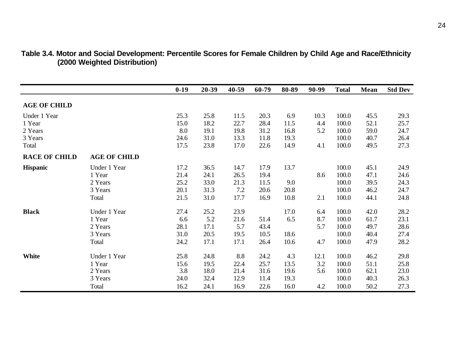|                      |                     | $0-19$ | 20-39 | 40-59 | 60-79 | 80-89 | 90-99 | <b>Total</b> | Mean | <b>Std Dev</b> |
|----------------------|---------------------|--------|-------|-------|-------|-------|-------|--------------|------|----------------|
| <b>AGE OF CHILD</b>  |                     |        |       |       |       |       |       |              |      |                |
| Under 1 Year         |                     | 25.3   | 25.8  | 11.5  | 20.3  | 6.9   | 10.3  | 100.0        | 45.5 | 29.3           |
| 1 Year               |                     | 15.0   | 18.2  | 22.7  | 28.4  | 11.5  | 4.4   | 100.0        | 52.1 | 25.7           |
| 2 Years              |                     | 8.0    | 19.1  | 19.8  | 31.2  | 16.8  | 5.2   | 100.0        | 59.0 | 24.7           |
| 3 Years              |                     | 24.6   | 31.0  | 13.3  | 11.8  | 19.3  |       | 100.0        | 40.7 | 26.4           |
| Total                |                     | 17.5   | 23.8  | 17.0  | 22.6  | 14.9  | 4.1   | 100.0        | 49.5 | 27.3           |
| <b>RACE OF CHILD</b> | <b>AGE OF CHILD</b> |        |       |       |       |       |       |              |      |                |
| <b>Hispanic</b>      | Under 1 Year        | 17.2   | 36.5  | 14.7  | 17.9  | 13.7  |       | 100.0        | 45.1 | 24.9           |
|                      | 1 Year              | 21.4   | 24.1  | 26.5  | 19.4  |       | 8.6   | 100.0        | 47.1 | 24.6           |
|                      | 2 Years             | 25.2   | 33.0  | 21.3  | 11.5  | 9.0   |       | 100.0        | 39.5 | 24.3           |
|                      | 3 Years             | 20.1   | 31.3  | 7.2   | 20.6  | 20.8  |       | 100.0        | 46.2 | 24.7           |
|                      | Total               | 21.5   | 31.0  | 17.7  | 16.9  | 10.8  | 2.1   | 100.0        | 44.1 | 24.8           |
| <b>Black</b>         | Under 1 Year        | 27.4   | 25.2  | 23.9  |       | 17.0  | 6.4   | 100.0        | 42.0 | 28.2           |
|                      | 1 Year              | 6.6    | 5.2   | 21.6  | 51.4  | 6.5   | 8.7   | 100.0        | 61.7 | 23.1           |
|                      | 2 Years             | 28.1   | 17.1  | 5.7   | 43.4  |       | 5.7   | 100.0        | 49.7 | 28.6           |
|                      | 3 Years             | 31.0   | 20.5  | 19.5  | 10.5  | 18.6  |       | 100.0        | 40.4 | 27.4           |
|                      | Total               | 24.2   | 17.1  | 17.1  | 26.4  | 10.6  | 4.7   | 100.0        | 47.9 | 28.2           |
| <b>White</b>         | Under 1 Year        | 25.8   | 24.8  | 8.8   | 24.2  | 4.3   | 12.1  | 100.0        | 46.2 | 29.8           |
|                      | 1 Year              | 15.6   | 19.5  | 22.4  | 25.7  | 13.5  | 3.2   | 100.0        | 51.1 | 25.8           |
|                      | 2 Years             | 3.8    | 18.0  | 21.4  | 31.6  | 19.6  | 5.6   | 100.0        | 62.1 | 23.0           |
|                      | 3 Years             | 24.0   | 32.4  | 12.9  | 11.4  | 19.3  |       | 100.0        | 40.3 | 26.3           |
|                      | Total               | 16.2   | 24.1  | 16.9  | 22.6  | 16.0  | 4.2   | 100.0        | 50.2 | 27.3           |

#### **Table 3.4. Motor and Social Development: Percentile Scores for Female Children by Child Age and Race/Ethnicity (2000 Weighted Distribution)**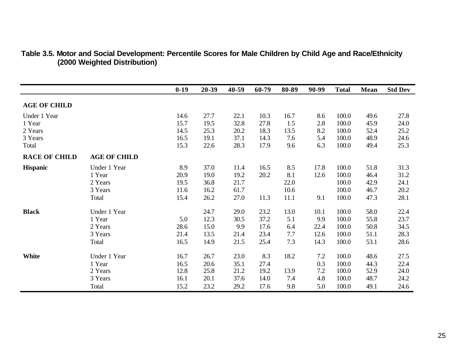|                      |                     | $0-19$ | 20-39 | 40-59 | 60-79 | 80-89 | 90-99 | <b>Total</b> | Mean | <b>Std Dev</b> |
|----------------------|---------------------|--------|-------|-------|-------|-------|-------|--------------|------|----------------|
| <b>AGE OF CHILD</b>  |                     |        |       |       |       |       |       |              |      |                |
| Under 1 Year         |                     | 14.6   | 27.7  | 22.1  | 10.3  | 16.7  | 8.6   | 100.0        | 49.6 | 27.8           |
| 1 Year               |                     | 15.7   | 19.5  | 32.8  | 27.8  | 1.5   | 2.8   | 100.0        | 45.9 | 24.0           |
| 2 Years              |                     | 14.5   | 25.3  | 20.2  | 18.3  | 13.5  | 8.2   | 100.0        | 52.4 | 25.2           |
| 3 Years              |                     | 16.5   | 19.1  | 37.1  | 14.3  | 7.6   | 5.4   | 100.0        | 48.9 | 24.6           |
| Total                |                     | 15.3   | 22.6  | 28.3  | 17.9  | 9.6   | 6.3   | 100.0        | 49.4 | 25.3           |
| <b>RACE OF CHILD</b> | <b>AGE OF CHILD</b> |        |       |       |       |       |       |              |      |                |
| <b>Hispanic</b>      | Under 1 Year        | 8.9    | 37.0  | 11.4  | 16.5  | 8.5   | 17.8  | 100.0        | 51.8 | 31.3           |
|                      | 1 Year              | 20.9   | 19.0  | 19.2  | 20.2  | 8.1   | 12.6  | 100.0        | 46.4 | 31.2           |
|                      | 2 Years             | 19.5   | 36.8  | 21.7  |       | 22.0  |       | 100.0        | 42.9 | 24.1           |
|                      | 3 Years             | 11.6   | 16.2  | 61.7  |       | 10.6  |       | 100.0        | 46.7 | 20.2           |
|                      | Total               | 15.4   | 26.2  | 27.0  | 11.3  | 11.1  | 9.1   | 100.0        | 47.3 | 28.1           |
| <b>Black</b>         | Under 1 Year        |        | 24.7  | 29.0  | 23.2  | 13.0  | 10.1  | 100.0        | 58.0 | 22.4           |
|                      | 1 Year              | 5.0    | 12.3  | 30.5  | 37.2  | 5.1   | 9.9   | 100.0        | 55.8 | 23.7           |
|                      | 2 Years             | 28.6   | 15.0  | 9.9   | 17.6  | 6.4   | 22.4  | 100.0        | 50.8 | 34.5           |
|                      | 3 Years             | 21.4   | 13.5  | 21.4  | 23.4  | 7.7   | 12.6  | 100.0        | 51.1 | 28.3           |
|                      | Total               | 16.5   | 14.9  | 21.5  | 25.4  | 7.3   | 14.3  | 100.0        | 53.1 | 28.6           |
| <b>White</b>         | Under 1 Year        | 16.7   | 26.7  | 23.0  | 8.3   | 18.2  | 7.2   | 100.0        | 48.6 | 27.5           |
|                      | 1 Year              | 16.5   | 20.6  | 35.1  | 27.4  |       | 0.3   | 100.0        | 44.3 | 22.4           |
|                      | 2 Years             | 12.8   | 25.8  | 21.2  | 19.2  | 13.9  | 7.2   | 100.0        | 52.9 | 24.0           |
|                      | 3 Years             | 16.1   | 20.1  | 37.6  | 14.0  | 7.4   | 4.8   | 100.0        | 48.7 | 24.2           |
|                      | Total               | 15.2   | 23.2  | 29.2  | 17.6  | 9.8   | 5.0   | 100.0        | 49.1 | 24.6           |

#### **Table 3.5. Motor and Social Development: Percentile Scores for Male Children by Child Age and Race/Ethnicity (2000 Weighted Distribution)**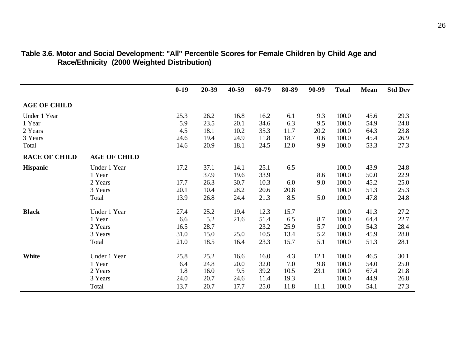|                      |                     | $0-19$ | 20-39 | 40-59 | 60-79 | 80-89 | 90-99 | <b>Total</b> | Mean | <b>Std Dev</b> |
|----------------------|---------------------|--------|-------|-------|-------|-------|-------|--------------|------|----------------|
| <b>AGE OF CHILD</b>  |                     |        |       |       |       |       |       |              |      |                |
| Under 1 Year         |                     | 25.3   | 26.2  | 16.8  | 16.2  | 6.1   | 9.3   | 100.0        | 45.6 | 29.3           |
| 1 Year               |                     | 5.9    | 23.5  | 20.1  | 34.6  | 6.3   | 9.5   | 100.0        | 54.9 | 24.8           |
| 2 Years              |                     | 4.5    | 18.1  | 10.2  | 35.3  | 11.7  | 20.2  | 100.0        | 64.3 | 23.8           |
| 3 Years              |                     | 24.6   | 19.4  | 24.9  | 11.8  | 18.7  | 0.6   | 100.0        | 45.4 | 26.9           |
| Total                |                     | 14.6   | 20.9  | 18.1  | 24.5  | 12.0  | 9.9   | 100.0        | 53.3 | 27.3           |
| <b>RACE OF CHILD</b> | <b>AGE OF CHILD</b> |        |       |       |       |       |       |              |      |                |
| <b>Hispanic</b>      | Under 1 Year        | 17.2   | 37.1  | 14.1  | 25.1  | 6.5   |       | 100.0        | 43.9 | 24.8           |
|                      | 1 Year              |        | 37.9  | 19.6  | 33.9  |       | 8.6   | 100.0        | 50.0 | 22.9           |
|                      | 2 Years             | 17.7   | 26.3  | 30.7  | 10.3  | 6.0   | 9.0   | 100.0        | 45.2 | 25.0           |
|                      | 3 Years             | 20.1   | 10.4  | 28.2  | 20.6  | 20.8  |       | 100.0        | 51.3 | 25.3           |
|                      | Total               | 13.9   | 26.8  | 24.4  | 21.3  | 8.5   | 5.0   | 100.0        | 47.8 | 24.8           |
| <b>Black</b>         | Under 1 Year        | 27.4   | 25.2  | 19.4  | 12.3  | 15.7  |       | 100.0        | 41.3 | 27.2           |
|                      | 1 Year              | 6.6    | 5.2   | 21.6  | 51.4  | 6.5   | 8.7   | 100.0        | 64.4 | 22.7           |
|                      | 2 Years             | 16.5   | 28.7  |       | 23.2  | 25.9  | 5.7   | 100.0        | 54.3 | 28.4           |
|                      | 3 Years             | 31.0   | 15.0  | 25.0  | 10.5  | 13.4  | 5.2   | 100.0        | 45.9 | 28.0           |
|                      | Total               | 21.0   | 18.5  | 16.4  | 23.3  | 15.7  | 5.1   | 100.0        | 51.3 | 28.1           |
| <b>White</b>         | Under 1 Year        | 25.8   | 25.2  | 16.6  | 16.0  | 4.3   | 12.1  | 100.0        | 46.5 | 30.1           |
|                      | 1 Year              | 6.4    | 24.8  | 20.0  | 32.0  | 7.0   | 9.8   | 100.0        | 54.0 | 25.0           |
|                      | 2 Years             | 1.8    | 16.0  | 9.5   | 39.2  | 10.5  | 23.1  | 100.0        | 67.4 | 21.8           |
|                      | 3 Years             | 24.0   | 20.7  | 24.6  | 11.4  | 19.3  |       | 100.0        | 44.9 | 26.8           |
|                      | Total               | 13.7   | 20.7  | 17.7  | 25.0  | 11.8  | 11.1  | 100.0        | 54.1 | 27.3           |

#### **Table 3.6. Motor and Social Development: "All" Percentile Scores for Female Children by Child Age and Race/Ethnicity (2000 Weighted Distribution)**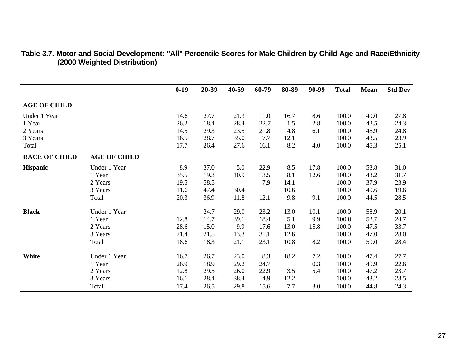|                      |                     | $0-19$ | 20-39 | 40-59 | 60-79 | 80-89 | 90-99 | <b>Total</b> | Mean | <b>Std Dev</b> |
|----------------------|---------------------|--------|-------|-------|-------|-------|-------|--------------|------|----------------|
| <b>AGE OF CHILD</b>  |                     |        |       |       |       |       |       |              |      |                |
| Under 1 Year         |                     | 14.6   | 27.7  | 21.3  | 11.0  | 16.7  | 8.6   | 100.0        | 49.0 | 27.8           |
| 1 Year               |                     | 26.2   | 18.4  | 28.4  | 22.7  | 1.5   | 2.8   | 100.0        | 42.5 | 24.3           |
| 2 Years              |                     | 14.5   | 29.3  | 23.5  | 21.8  | 4.8   | 6.1   | 100.0        | 46.9 | 24.8           |
| 3 Years              |                     | 16.5   | 28.7  | 35.0  | 7.7   | 12.1  |       | 100.0        | 43.5 | 23.9           |
| Total                |                     | 17.7   | 26.4  | 27.6  | 16.1  | 8.2   | 4.0   | 100.0        | 45.3 | 25.1           |
| <b>RACE OF CHILD</b> | <b>AGE OF CHILD</b> |        |       |       |       |       |       |              |      |                |
| <b>Hispanic</b>      | Under 1 Year        | 8.9    | 37.0  | 5.0   | 22.9  | 8.5   | 17.8  | 100.0        | 53.8 | 31.0           |
|                      | 1 Year              | 35.5   | 19.3  | 10.9  | 13.5  | 8.1   | 12.6  | 100.0        | 43.2 | 31.7           |
|                      | 2 Years             | 19.5   | 58.5  |       | 7.9   | 14.1  |       | 100.0        | 37.9 | 23.9           |
|                      | 3 Years             | 11.6   | 47.4  | 30.4  |       | 10.6  |       | 100.0        | 40.6 | 19.6           |
|                      | Total               | 20.3   | 36.9  | 11.8  | 12.1  | 9.8   | 9.1   | 100.0        | 44.5 | 28.5           |
| <b>Black</b>         | Under 1 Year        |        | 24.7  | 29.0  | 23.2  | 13.0  | 10.1  | 100.0        | 58.9 | 20.1           |
|                      | 1 Year              | 12.8   | 14.7  | 39.1  | 18.4  | 5.1   | 9.9   | 100.0        | 52.7 | 24.7           |
|                      | 2 Years             | 28.6   | 15.0  | 9.9   | 17.6  | 13.0  | 15.8  | 100.0        | 47.5 | 33.7           |
|                      | 3 Years             | 21.4   | 21.5  | 13.3  | 31.1  | 12.6  |       | 100.0        | 47.0 | 28.0           |
|                      | Total               | 18.6   | 18.3  | 21.1  | 23.1  | 10.8  | 8.2   | 100.0        | 50.0 | 28.4           |
| White                | Under 1 Year        | 16.7   | 26.7  | 23.0  | 8.3   | 18.2  | 7.2   | 100.0        | 47.4 | 27.7           |
|                      | 1 Year              | 26.9   | 18.9  | 29.2  | 24.7  |       | 0.3   | 100.0        | 40.9 | 22.6           |
|                      | 2 Years             | 12.8   | 29.5  | 26.0  | 22.9  | 3.5   | 5.4   | 100.0        | 47.2 | 23.7           |
|                      | 3 Years             | 16.1   | 28.4  | 38.4  | 4.9   | 12.2  |       | 100.0        | 43.2 | 23.5           |
|                      | Total               | 17.4   | 26.5  | 29.8  | 15.6  | 7.7   | 3.0   | 100.0        | 44.8 | 24.3           |

#### **Table 3.7. Motor and Social Development: "All" Percentile Scores for Male Children by Child Age and Race/Ethnicity (2000 Weighted Distribution)**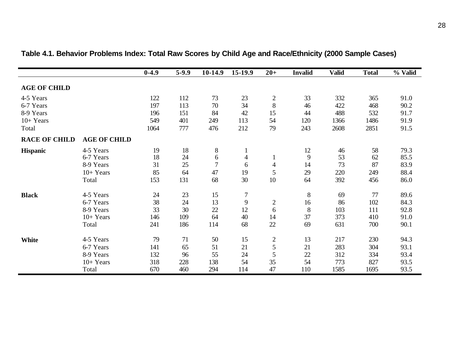|                      |                     | $0-4.9$ | $5-9.9$ | 10-14.9        | 15-19.9        | $20+$            | <b>Invalid</b> | <b>Valid</b> | <b>Total</b> | % Valid |
|----------------------|---------------------|---------|---------|----------------|----------------|------------------|----------------|--------------|--------------|---------|
| <b>AGE OF CHILD</b>  |                     |         |         |                |                |                  |                |              |              |         |
| 4-5 Years            |                     | 122     | 112     | 73             | 23             | $\boldsymbol{2}$ | 33             | 332          | 365          | 91.0    |
| 6-7 Years            |                     | 197     | 113     | 70             | 34             | 8                | 46             | 422          | 468          | 90.2    |
| 8-9 Years            |                     | 196     | 151     | 84             | 42             | 15               | 44             | 488          | 532          | 91.7    |
| $10+Years$           |                     | 549     | 401     | 249            | 113            | 54               | 120            | 1366         | 1486         | 91.9    |
| Total                |                     | 1064    | 777     | 476            | 212            | 79               | 243            | 2608         | 2851         | 91.5    |
| <b>RACE OF CHILD</b> | <b>AGE OF CHILD</b> |         |         |                |                |                  |                |              |              |         |
| <b>Hispanic</b>      | 4-5 Years           | 19      | 18      | $8\,$          | 1              |                  | 12             | 46           | 58           | 79.3    |
|                      | 6-7 Years           | 18      | 24      | 6              | 4              |                  | 9              | 53           | 62           | 85.5    |
|                      | 8-9 Years           | 31      | 25      | $\overline{7}$ | 6              | 4                | 14             | 73           | 87           | 83.9    |
|                      | $10+Years$          | 85      | 64      | 47             | 19             | 5                | 29             | 220          | 249          | 88.4    |
|                      | Total               | 153     | 131     | 68             | 30             | 10               | 64             | 392          | 456          | 86.0    |
| <b>Black</b>         | 4-5 Years           | 24      | 23      | 15             | $\overline{7}$ |                  | $8\,$          | 69           | 77           | 89.6    |
|                      | 6-7 Years           | 38      | 24      | 13             | 9              | $\overline{2}$   | 16             | 86           | 102          | 84.3    |
|                      | 8-9 Years           | 33      | 30      | 22             | 12             | 6                | 8              | 103          | 111          | 92.8    |
|                      | $10+Years$          | 146     | 109     | 64             | 40             | 14               | 37             | 373          | 410          | 91.0    |
|                      | Total               | 241     | 186     | 114            | 68             | 22               | 69             | 631          | 700          | 90.1    |
| White                | 4-5 Years           | 79      | 71      | 50             | 15             | $\boldsymbol{2}$ | 13             | 217          | 230          | 94.3    |
|                      | 6-7 Years           | 141     | 65      | 51             | 21             | 5                | 21             | 283          | 304          | 93.1    |
|                      | 8-9 Years           | 132     | 96      | 55             | 24             | 5                | 22             | 312          | 334          | 93.4    |
|                      | $10+Years$          | 318     | 228     | 138            | 54             | 35               | 54             | 773          | 827          | 93.5    |
|                      | Total               | 670     | 460     | 294            | 114            | 47               | 110            | 1585         | 1695         | 93.5    |

# **Table 4.1. Behavior Problems Index: Total Raw Scores by Child Age and Race/Ethnicity (2000 Sample Cases)**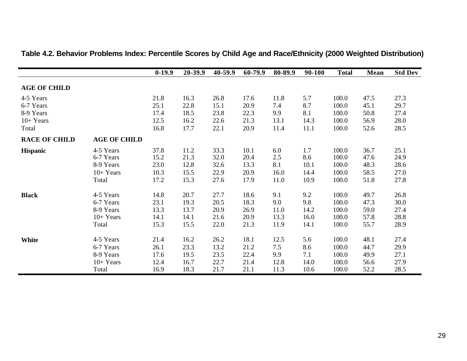|                      |                     | $0-19.9$ | 20-39.9 | 40-59.9 | 60-79.9 | 80-89.9 | 90-100 | <b>Total</b> | <b>Mean</b> | <b>Std Dev</b> |
|----------------------|---------------------|----------|---------|---------|---------|---------|--------|--------------|-------------|----------------|
| <b>AGE OF CHILD</b>  |                     |          |         |         |         |         |        |              |             |                |
| 4-5 Years            |                     | 21.8     | 16.3    | 26.8    | 17.6    | 11.8    | 5.7    | 100.0        | 47.5        | 27.3           |
| 6-7 Years            |                     | 25.1     | 22.8    | 15.1    | 20.9    | 7.4     | 8.7    | 100.0        | 45.1        | 29.7           |
| 8-9 Years            |                     | 17.4     | 18.5    | 23.8    | 22.3    | 9.9     | 8.1    | 100.0        | 50.8        | 27.4           |
| $10+Years$           |                     | 12.5     | 16.2    | 22.6    | 21.3    | 13.1    | 14.3   | 100.0        | 56.9        | 28.0           |
| Total                |                     | 16.8     | 17.7    | 22.1    | 20.9    | 11.4    | 11.1   | 100.0        | 52.6        | 28.5           |
| <b>RACE OF CHILD</b> | <b>AGE OF CHILD</b> |          |         |         |         |         |        |              |             |                |
| <b>Hispanic</b>      | 4-5 Years           | 37.8     | 11.2    | 33.3    | 10.1    | 6.0     | 1.7    | 100.0        | 36.7        | 25.1           |
|                      | 6-7 Years           | 15.2     | 21.3    | 32.0    | 20.4    | 2.5     | 8.6    | 100.0        | 47.6        | 24.9           |
|                      | 8-9 Years           | 23.0     | 12.8    | 32.6    | 13.3    | 8.1     | 10.1   | 100.0        | 48.3        | 28.6           |
|                      | $10+Years$          | 10.3     | 15.5    | 22.9    | 20.9    | 16.0    | 14.4   | 100.0        | 58.5        | 27.0           |
|                      | Total               | 17.2     | 15.3    | 27.6    | 17.9    | 11.0    | 10.9   | 100.0        | 51.8        | 27.8           |
| <b>Black</b>         | 4-5 Years           | 14.8     | 20.7    | 27.7    | 18.6    | 9.1     | 9.2    | 100.0        | 49.7        | 26.8           |
|                      | 6-7 Years           | 23.1     | 19.3    | 20.5    | 18.3    | 9.0     | 9.8    | 100.0        | 47.3        | 30.0           |
|                      | 8-9 Years           | 13.3     | 13.7    | 20.9    | 26.9    | 11.0    | 14.2   | 100.0        | 59.0        | 27.4           |
|                      | $10+Years$          | 14.1     | 14.1    | 21.6    | 20.9    | 13.3    | 16.0   | 100.0        | 57.8        | 28.8           |
|                      | Total               | 15.3     | 15.5    | 22.0    | 21.3    | 11.9    | 14.1   | 100.0        | 55.7        | 28.9           |
| <b>White</b>         | 4-5 Years           | 21.4     | 16.2    | 26.2    | 18.1    | 12.5    | 5.6    | 100.0        | 48.1        | 27.4           |
|                      | 6-7 Years           | 26.1     | 23.3    | 13.2    | 21.2    | 7.5     | 8.6    | 100.0        | 44.7        | 29.9           |
|                      | 8-9 Years           | 17.6     | 19.5    | 23.5    | 22.4    | 9.9     | 7.1    | 100.0        | 49.9        | 27.1           |
|                      | $10+Years$          | 12.4     | 16.7    | 22.7    | 21.4    | 12.8    | 14.0   | 100.0        | 56.6        | 27.9           |
|                      | Total               | 16.9     | 18.3    | 21.7    | 21.1    | 11.3    | 10.6   | 100.0        | 52.2        | 28.5           |

## **Table 4.2. Behavior Problems Index: Percentile Scores by Child Age and Race/Ethnicity (2000 Weighted Distribution)**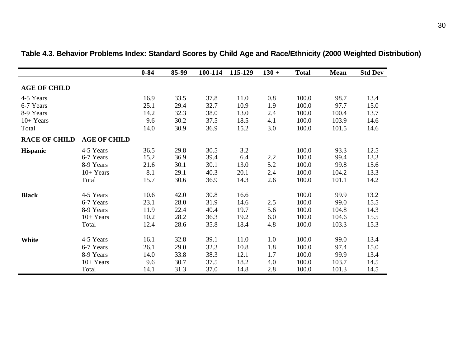|                      |                     | $0 - 84$ | 85-99 | 100-114 | 115-129 | $130 +$ | <b>Total</b> | Mean  | <b>Std Dev</b> |
|----------------------|---------------------|----------|-------|---------|---------|---------|--------------|-------|----------------|
| <b>AGE OF CHILD</b>  |                     |          |       |         |         |         |              |       |                |
| 4-5 Years            |                     | 16.9     | 33.5  | 37.8    | 11.0    | $0.8\,$ | 100.0        | 98.7  | 13.4           |
| 6-7 Years            |                     | 25.1     | 29.4  | 32.7    | 10.9    | 1.9     | 100.0        | 97.7  | 15.0           |
| 8-9 Years            |                     | 14.2     | 32.3  | 38.0    | 13.0    | 2.4     | 100.0        | 100.4 | 13.7           |
| $10+Years$           |                     | 9.6      | 30.2  | 37.5    | 18.5    | 4.1     | 100.0        | 103.9 | 14.6           |
| Total                |                     | 14.0     | 30.9  | 36.9    | 15.2    | 3.0     | 100.0        | 101.5 | 14.6           |
| <b>RACE OF CHILD</b> | <b>AGE OF CHILD</b> |          |       |         |         |         |              |       |                |
| <b>Hispanic</b>      | 4-5 Years           | 36.5     | 29.8  | 30.5    | 3.2     |         | 100.0        | 93.3  | 12.5           |
|                      | 6-7 Years           | 15.2     | 36.9  | 39.4    | 6.4     | 2.2     | 100.0        | 99.4  | 13.3           |
|                      | 8-9 Years           | 21.6     | 30.1  | 30.1    | 13.0    | 5.2     | 100.0        | 99.8  | 15.6           |
|                      | $10+Years$          | 8.1      | 29.1  | 40.3    | 20.1    | 2.4     | 100.0        | 104.2 | 13.3           |
|                      | Total               | 15.7     | 30.6  | 36.9    | 14.3    | 2.6     | 100.0        | 101.1 | 14.2           |
| <b>Black</b>         | 4-5 Years           | 10.6     | 42.0  | 30.8    | 16.6    |         | 100.0        | 99.9  | 13.2           |
|                      | 6-7 Years           | 23.1     | 28.0  | 31.9    | 14.6    | 2.5     | 100.0        | 99.0  | 15.5           |
|                      | 8-9 Years           | 11.9     | 22.4  | 40.4    | 19.7    | 5.6     | 100.0        | 104.8 | 14.3           |
|                      | $10+Years$          | 10.2     | 28.2  | 36.3    | 19.2    | 6.0     | 100.0        | 104.6 | 15.5           |
|                      | Total               | 12.4     | 28.6  | 35.8    | 18.4    | 4.8     | 100.0        | 103.3 | 15.3           |
| White                | 4-5 Years           | 16.1     | 32.8  | 39.1    | 11.0    | 1.0     | 100.0        | 99.0  | 13.4           |
|                      | 6-7 Years           | 26.1     | 29.0  | 32.3    | 10.8    | 1.8     | 100.0        | 97.4  | 15.0           |
|                      | 8-9 Years           | 14.0     | 33.8  | 38.3    | 12.1    | 1.7     | 100.0        | 99.9  | 13.4           |
|                      | $10+Years$          | 9.6      | 30.7  | 37.5    | 18.2    | 4.0     | 100.0        | 103.7 | 14.5           |
|                      | Total               | 14.1     | 31.3  | 37.0    | 14.8    | 2.8     | 100.0        | 101.3 | 14.5           |

**Table 4.3. Behavior Problems Index: Standard Scores by Child Age and Race/Ethnicity (2000 Weighted Distribution)**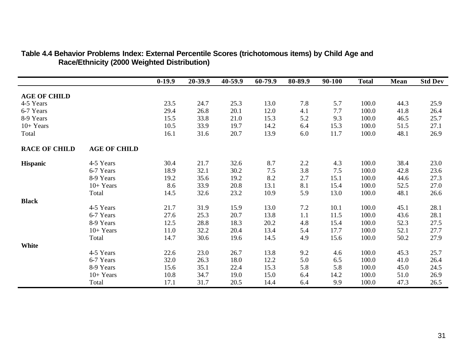|                      |                     | $0-19.9$ | 20-39.9 | 40-59.9 | 60-79.9 | 80-89.9 | 90-100 | <b>Total</b> | <b>Mean</b> | <b>Std Dev</b> |
|----------------------|---------------------|----------|---------|---------|---------|---------|--------|--------------|-------------|----------------|
|                      |                     |          |         |         |         |         |        |              |             |                |
| <b>AGE OF CHILD</b>  |                     |          |         |         |         |         |        |              |             |                |
| 4-5 Years            |                     | 23.5     | 24.7    | 25.3    | 13.0    | 7.8     | 5.7    | 100.0        | 44.3        | 25.9           |
| 6-7 Years            |                     | 29.4     | 26.8    | 20.1    | 12.0    | 4.1     | 7.7    | 100.0        | 41.8        | 26.4           |
| 8-9 Years            |                     | 15.5     | 33.8    | 21.0    | 15.3    | 5.2     | 9.3    | 100.0        | 46.5        | 25.7           |
| $10+Years$           |                     | 10.5     | 33.9    | 19.7    | 14.2    | 6.4     | 15.3   | 100.0        | 51.5        | 27.1           |
| Total                |                     | 16.1     | 31.6    | 20.7    | 13.9    | 6.0     | 11.7   | 100.0        | 48.1        | 26.9           |
| <b>RACE OF CHILD</b> | <b>AGE OF CHILD</b> |          |         |         |         |         |        |              |             |                |
| <b>Hispanic</b>      | 4-5 Years           | 30.4     | 21.7    | 32.6    | 8.7     | 2.2     | 4.3    | 100.0        | 38.4        | 23.0           |
|                      | 6-7 Years           | 18.9     | 32.1    | 30.2    | 7.5     | 3.8     | 7.5    | 100.0        | 42.8        | 23.6           |
|                      | 8-9 Years           | 19.2     | 35.6    | 19.2    | 8.2     | 2.7     | 15.1   | 100.0        | 44.6        | 27.3           |
|                      | $10+Years$          | 8.6      | 33.9    | 20.8    | 13.1    | 8.1     | 15.4   | 100.0        | 52.5        | 27.0           |
|                      | Total               | 14.5     | 32.6    | 23.2    | 10.9    | 5.9     | 13.0   | 100.0        | 48.1        | 26.6           |
| <b>Black</b>         |                     |          |         |         |         |         |        |              |             |                |
|                      | 4-5 Years           | 21.7     | 31.9    | 15.9    | 13.0    | $7.2\,$ | 10.1   | 100.0        | 45.1        | 28.1           |
|                      | 6-7 Years           | 27.6     | 25.3    | 20.7    | 13.8    | 1.1     | 11.5   | 100.0        | 43.6        | 28.1           |
|                      | 8-9 Years           | 12.5     | 28.8    | 18.3    | 20.2    | 4.8     | 15.4   | 100.0        | 52.3        | 27.5           |
|                      | $10+Years$          | 11.0     | 32.2    | 20.4    | 13.4    | 5.4     | 17.7   | 100.0        | 52.1        | 27.7           |
|                      | Total               | 14.7     | 30.6    | 19.6    | 14.5    | 4.9     | 15.6   | 100.0        | 50.2        | 27.9           |
| White                |                     |          |         |         |         |         |        |              |             |                |
|                      | 4-5 Years           | 22.6     | 23.0    | 26.7    | 13.8    | 9.2     | 4.6    | 100.0        | 45.3        | 25.7           |
|                      | 6-7 Years           | 32.0     | 26.3    | 18.0    | 12.2    | 5.0     | 6.5    | 100.0        | 41.0        | 26.4           |
|                      | 8-9 Years           | 15.6     | 35.1    | 22.4    | 15.3    | 5.8     | 5.8    | 100.0        | 45.0        | 24.5           |
|                      | $10+Years$          | 10.8     | 34.7    | 19.0    | 15.0    | 6.4     | 14.2   | 100.0        | 51.0        | 26.9           |
|                      | Total               | 17.1     | 31.7    | 20.5    | 14.4    | 6.4     | 9.9    | 100.0        | 47.3        | 26.5           |

### **Table 4.4 Behavior Problems Index: External Percentile Scores (trichotomous items) by Child Age and Race/Ethnicity (2000 Weighted Distribution)**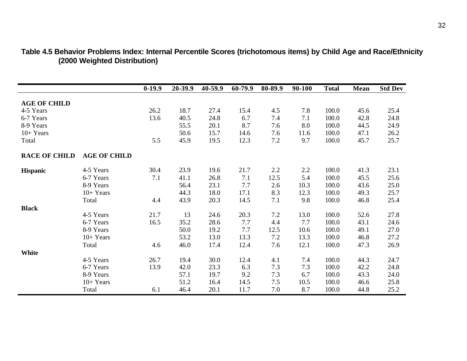|                      |                     | $0-19.9$ | 20-39.9 | 40-59.9 | 60-79.9 | 80-89.9 | 90-100 | <b>Total</b> | <b>Mean</b> | <b>Std Dev</b> |
|----------------------|---------------------|----------|---------|---------|---------|---------|--------|--------------|-------------|----------------|
|                      |                     |          |         |         |         |         |        |              |             |                |
| <b>AGE OF CHILD</b>  |                     |          |         |         |         |         |        |              |             |                |
| 4-5 Years            |                     | 26.2     | 18.7    | 27.4    | 15.4    | 4.5     | 7.8    | 100.0        | 45.6        | 25.4           |
| 6-7 Years            |                     | 13.6     | 40.5    | 24.8    | 6.7     | 7.4     | 7.1    | 100.0        | 42.8        | 24.8           |
| 8-9 Years            |                     |          | 55.5    | 20.1    | 8.7     | 7.6     | 8.0    | 100.0        | 44.5        | 24.9           |
| $10+Years$           |                     |          | 50.6    | 15.7    | 14.6    | 7.6     | 11.6   | 100.0        | 47.1        | 26.2           |
| Total                |                     | 5.5      | 45.9    | 19.5    | 12.3    | 7.2     | 9.7    | 100.0        | 45.7        | 25.7           |
| <b>RACE OF CHILD</b> | <b>AGE OF CHILD</b> |          |         |         |         |         |        |              |             |                |
|                      |                     |          |         |         |         |         |        |              |             |                |
| <b>Hispanic</b>      | 4-5 Years           | 30.4     | 23.9    | 19.6    | 21.7    | 2.2     | 2.2    | 100.0        | 41.3        | 23.1           |
|                      | 6-7 Years           | 7.1      | 41.1    | 26.8    | 7.1     | 12.5    | 5.4    | 100.0        | 45.5        | 25.6           |
|                      | 8-9 Years           |          | 56.4    | 23.1    | 7.7     | 2.6     | 10.3   | 100.0        | 43.6        | 25.0           |
|                      | $10+Years$          |          | 44.3    | 18.0    | 17.1    | 8.3     | 12.3   | 100.0        | 49.3        | 25.7           |
|                      | Total               | 4.4      | 43.9    | 20.3    | 14.5    | 7.1     | 9.8    | 100.0        | 46.8        | 25.4           |
| <b>Black</b>         |                     |          |         |         |         |         |        |              |             |                |
|                      | 4-5 Years           | 21.7     | 13      | 24.6    | 20.3    | 7.2     | 13.0   | 100.0        | 52.6        | 27.8           |
|                      | 6-7 Years           | 16.5     | 35.2    | 28.6    | 7.7     | 4.4     | 7.7    | 100.0        | 43.1        | 24.6           |
|                      | 8-9 Years           |          | 50.0    | 19.2    | 7.7     | 12.5    | 10.6   | 100.0        | 49.1        | 27.0           |
|                      | $10+Years$          |          | 53.2    | 13.0    | 13.3    | 7.2     | 13.3   | 100.0        | 46.8        | 27.2           |
|                      | Total               | 4.6      | 46.0    | 17.4    | 12.4    | 7.6     | 12.1   | 100.0        | 47.3        | 26.9           |
| White                |                     |          |         |         |         |         |        |              |             |                |
|                      | 4-5 Years           | 26.7     | 19.4    | 30.0    | 12.4    | 4.1     | 7.4    | 100.0        | 44.3        | 24.7           |
|                      | 6-7 Years           | 13.9     | 42.0    | 23.3    | 6.3     | 7.3     | 7.3    | 100.0        | 42.2        | 24.8           |
|                      | 8-9 Years           |          | 57.1    | 19.7    | 9.2     | 7.3     | 6.7    | 100.0        | 43.3        | 24.0           |
|                      | $10+Years$          |          | 51.2    | 16.4    | 14.5    | $7.5$   | 10.5   | 100.0        | 46.6        | 25.8           |
|                      | Total               | 6.1      | 46.4    | 20.1    | 11.7    | 7.0     | 8.7    | 100.0        | 44.8        | 25.2           |

| Table 4.5 Behavior Problems Index: Internal Percentile Scores (trichotomous items) by Child Age and Race/Ethnicity |  |
|--------------------------------------------------------------------------------------------------------------------|--|
| (2000 Weighted Distribution)                                                                                       |  |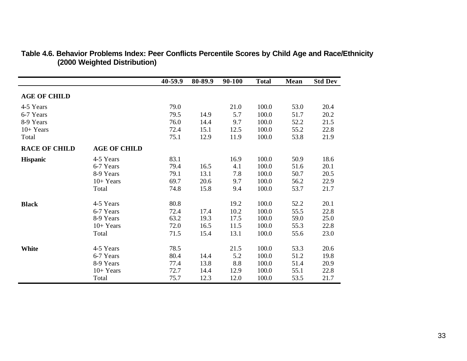|                      |                     | 40-59.9 | 80-89.9 | 90-100 | <b>Total</b> | Mean | <b>Std Dev</b> |
|----------------------|---------------------|---------|---------|--------|--------------|------|----------------|
| <b>AGE OF CHILD</b>  |                     |         |         |        |              |      |                |
| 4-5 Years            |                     | 79.0    |         | 21.0   | 100.0        | 53.0 | 20.4           |
| 6-7 Years            |                     | 79.5    | 14.9    | 5.7    | 100.0        | 51.7 | 20.2           |
| 8-9 Years            |                     | 76.0    | 14.4    | 9.7    | 100.0        | 52.2 | 21.5           |
| $10+Years$           |                     | 72.4    | 15.1    | 12.5   | 100.0        | 55.2 | 22.8           |
| Total                |                     | 75.1    | 12.9    | 11.9   | 100.0        | 53.8 | 21.9           |
| <b>RACE OF CHILD</b> | <b>AGE OF CHILD</b> |         |         |        |              |      |                |
| <b>Hispanic</b>      | 4-5 Years           | 83.1    |         | 16.9   | 100.0        | 50.9 | 18.6           |
|                      | 6-7 Years           | 79.4    | 16.5    | 4.1    | 100.0        | 51.6 | 20.1           |
|                      | 8-9 Years           | 79.1    | 13.1    | 7.8    | 100.0        | 50.7 | 20.5           |
|                      | $10+Years$          | 69.7    | 20.6    | 9.7    | 100.0        | 56.2 | 22.9           |
|                      | Total               | 74.8    | 15.8    | 9.4    | 100.0        | 53.7 | 21.7           |
| <b>Black</b>         | 4-5 Years           | 80.8    |         | 19.2   | 100.0        | 52.2 | 20.1           |
|                      | 6-7 Years           | 72.4    | 17.4    | 10.2   | 100.0        | 55.5 | 22.8           |
|                      | 8-9 Years           | 63.2    | 19.3    | 17.5   | 100.0        | 59.0 | 25.0           |
|                      | $10+Years$          | 72.0    | 16.5    | 11.5   | 100.0        | 55.3 | 22.8           |
|                      | Total               | 71.5    | 15.4    | 13.1   | 100.0        | 55.6 | 23.0           |
| <b>White</b>         | 4-5 Years           | 78.5    |         | 21.5   | 100.0        | 53.3 | 20.6           |
|                      | 6-7 Years           | 80.4    | 14.4    | 5.2    | 100.0        | 51.2 | 19.8           |
|                      | 8-9 Years           | 77.4    | 13.8    | 8.8    | 100.0        | 51.4 | 20.9           |
|                      | $10+Years$          | 72.7    | 14.4    | 12.9   | 100.0        | 55.1 | 22.8           |
|                      | Total               | 75.7    | 12.3    | 12.0   | 100.0        | 53.5 | 21.7           |

#### **Table 4.6. Behavior Problems Index: Peer Conflicts Percentile Scores by Child Age and Race/Ethnicity (2000 Weighted Distribution)**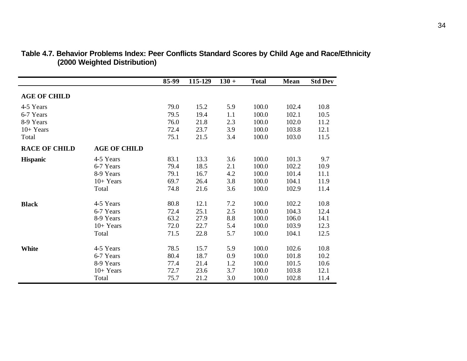|                      |                     | 85-99 | 115-129 | $130 +$ | <b>Total</b> | <b>Mean</b> | <b>Std Dev</b> |
|----------------------|---------------------|-------|---------|---------|--------------|-------------|----------------|
| <b>AGE OF CHILD</b>  |                     |       |         |         |              |             |                |
| 4-5 Years            |                     | 79.0  | 15.2    | 5.9     | 100.0        | 102.4       | 10.8           |
| 6-7 Years            |                     | 79.5  | 19.4    | 1.1     | 100.0        | 102.1       | 10.5           |
| 8-9 Years            |                     | 76.0  | 21.8    | 2.3     | 100.0        | 102.0       | 11.2           |
| $10+Years$           |                     | 72.4  | 23.7    | 3.9     | 100.0        | 103.8       | 12.1           |
| Total                |                     | 75.1  | 21.5    | 3.4     | 100.0        | 103.0       | 11.5           |
| <b>RACE OF CHILD</b> | <b>AGE OF CHILD</b> |       |         |         |              |             |                |
| <b>Hispanic</b>      | 4-5 Years           | 83.1  | 13.3    | 3.6     | 100.0        | 101.3       | 9.7            |
|                      | 6-7 Years           | 79.4  | 18.5    | 2.1     | 100.0        | 102.2       | 10.9           |
|                      | 8-9 Years           | 79.1  | 16.7    | 4.2     | 100.0        | 101.4       | 11.1           |
|                      | $10+Years$          | 69.7  | 26.4    | 3.8     | 100.0        | 104.1       | 11.9           |
|                      | Total               | 74.8  | 21.6    | 3.6     | 100.0        | 102.9       | 11.4           |
| <b>Black</b>         | 4-5 Years           | 80.8  | 12.1    | 7.2     | 100.0        | 102.2       | 10.8           |
|                      | 6-7 Years           | 72.4  | 25.1    | 2.5     | 100.0        | 104.3       | 12.4           |
|                      | 8-9 Years           | 63.2  | 27.9    | 8.8     | 100.0        | 106.0       | 14.1           |
|                      | $10+Years$          | 72.0  | 22.7    | 5.4     | 100.0        | 103.9       | 12.3           |
|                      | Total               | 71.5  | 22.8    | 5.7     | 100.0        | 104.1       | 12.5           |
| <b>White</b>         | 4-5 Years           | 78.5  | 15.7    | 5.9     | 100.0        | 102.6       | 10.8           |
|                      | 6-7 Years           | 80.4  | 18.7    | 0.9     | 100.0        | 101.8       | 10.2           |
|                      | 8-9 Years           | 77.4  | 21.4    | 1.2     | 100.0        | 101.5       | 10.6           |
|                      | $10+Years$          | 72.7  | 23.6    | 3.7     | 100.0        | 103.8       | 12.1           |
|                      | Total               | 75.7  | 21.2    | 3.0     | 100.0        | 102.8       | 11.4           |

#### **Table 4.7. Behavior Problems Index: Peer Conflicts Standard Scores by Child Age and Race/Ethnicity (2000 Weighted Distribution)**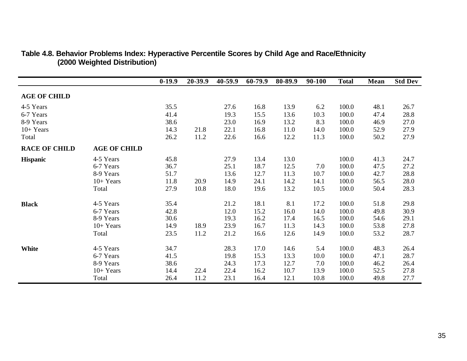|                      |                     | $0-19.9$ | 20-39.9 | 40-59.9 | 60-79.9 | 80-89.9 | 90-100 | <b>Total</b> | Mean | <b>Std Dev</b> |
|----------------------|---------------------|----------|---------|---------|---------|---------|--------|--------------|------|----------------|
| <b>AGE OF CHILD</b>  |                     |          |         |         |         |         |        |              |      |                |
| 4-5 Years            |                     | 35.5     |         | 27.6    | 16.8    | 13.9    | 6.2    | 100.0        | 48.1 | 26.7           |
| 6-7 Years            |                     | 41.4     |         | 19.3    | 15.5    | 13.6    | 10.3   | 100.0        | 47.4 | 28.8           |
| 8-9 Years            |                     | 38.6     |         | 23.0    | 16.9    | 13.2    | 8.3    | 100.0        | 46.9 | 27.0           |
| $10+Years$           |                     | 14.3     | 21.8    | 22.1    | 16.8    | 11.0    | 14.0   | 100.0        | 52.9 | 27.9           |
| Total                |                     | 26.2     | 11.2    | 22.6    | 16.6    | 12.2    | 11.3   | 100.0        | 50.2 | 27.9           |
| <b>RACE OF CHILD</b> | <b>AGE OF CHILD</b> |          |         |         |         |         |        |              |      |                |
| <b>Hispanic</b>      | 4-5 Years           | 45.8     |         | 27.9    | 13.4    | 13.0    |        | 100.0        | 41.3 | 24.7           |
|                      | 6-7 Years           | 36.7     |         | 25.1    | 18.7    | 12.5    | 7.0    | 100.0        | 47.5 | 27.2           |
|                      | 8-9 Years           | 51.7     |         | 13.6    | 12.7    | 11.3    | 10.7   | 100.0        | 42.7 | 28.8           |
|                      | $10+Years$          | 11.8     | 20.9    | 14.9    | 24.1    | 14.2    | 14.1   | 100.0        | 56.5 | 28.0           |
|                      | Total               | 27.9     | 10.8    | 18.0    | 19.6    | 13.2    | 10.5   | 100.0        | 50.4 | 28.3           |
| <b>Black</b>         | 4-5 Years           | 35.4     |         | 21.2    | 18.1    | 8.1     | 17.2   | 100.0        | 51.8 | 29.8           |
|                      | 6-7 Years           | 42.8     |         | 12.0    | 15.2    | 16.0    | 14.0   | 100.0        | 49.8 | 30.9           |
|                      | 8-9 Years           | 30.6     |         | 19.3    | 16.2    | 17.4    | 16.5   | 100.0        | 54.6 | 29.1           |
|                      | $10+Years$          | 14.9     | 18.9    | 23.9    | 16.7    | 11.3    | 14.3   | 100.0        | 53.8 | 27.8           |
|                      | Total               | 23.5     | 11.2    | 21.2    | 16.6    | 12.6    | 14.9   | 100.0        | 53.2 | 28.7           |
| White                | 4-5 Years           | 34.7     |         | 28.3    | 17.0    | 14.6    | 5.4    | 100.0        | 48.3 | 26.4           |
|                      | 6-7 Years           | 41.5     |         | 19.8    | 15.3    | 13.3    | 10.0   | 100.0        | 47.1 | 28.7           |
|                      | 8-9 Years           | 38.6     |         | 24.3    | 17.3    | 12.7    | 7.0    | 100.0        | 46.2 | 26.4           |
|                      | $10+Years$          | 14.4     | 22.4    | 22.4    | 16.2    | 10.7    | 13.9   | 100.0        | 52.5 | 27.8           |
|                      | Total               | 26.4     | 11.2    | 23.1    | 16.4    | 12.1    | 10.8   | 100.0        | 49.8 | 27.7           |

#### **Table 4.8. Behavior Problems Index: Hyperactive Percentile Scores by Child Age and Race/Ethnicity (2000 Weighted Distribution)**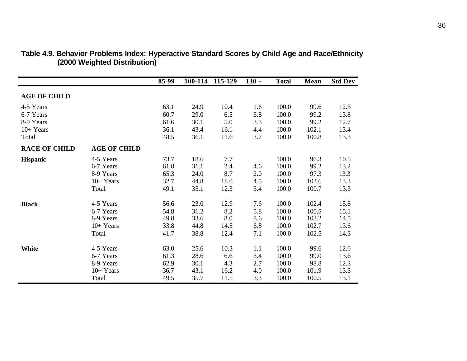|                      |                     | 85-99 | 100-114 | 115-129 | $130 +$ | <b>Total</b> | Mean  | <b>Std Dev</b> |
|----------------------|---------------------|-------|---------|---------|---------|--------------|-------|----------------|
| <b>AGE OF CHILD</b>  |                     |       |         |         |         |              |       |                |
| 4-5 Years            |                     | 63.1  | 24.9    | 10.4    | 1.6     | 100.0        | 99.6  | 12.3           |
| 6-7 Years            |                     | 60.7  | 29.0    | 6.5     | 3.8     | 100.0        | 99.2  | 13.8           |
| 8-9 Years            |                     | 61.6  | 30.1    | 5.0     | 3.3     | 100.0        | 99.2  | 12.7           |
| $10+Years$           |                     | 36.1  | 43.4    | 16.1    | 4.4     | 100.0        | 102.1 | 13.4           |
| Total                |                     | 48.5  | 36.1    | 11.6    | 3.7     | 100.0        | 100.8 | 13.3           |
| <b>RACE OF CHILD</b> | <b>AGE OF CHILD</b> |       |         |         |         |              |       |                |
| <b>Hispanic</b>      | 4-5 Years           | 73.7  | 18.6    | 7.7     |         | 100.0        | 96.3  | 10.5           |
|                      | 6-7 Years           | 61.8  | 31.1    | 2.4     | 4.6     | 100.0        | 99.2  | 13.2           |
|                      | 8-9 Years           | 65.3  | 24.0    | 8.7     | 2.0     | 100.0        | 97.3  | 13.3           |
|                      | $10+Years$          | 32.7  | 44.8    | 18.0    | 4.5     | 100.0        | 103.6 | 13.3           |
|                      | Total               | 49.1  | 35.1    | 12.3    | 3.4     | 100.0        | 100.7 | 13.3           |
| <b>Black</b>         | 4-5 Years           | 56.6  | 23.0    | 12.9    | 7.6     | 100.0        | 102.4 | 15.8           |
|                      | 6-7 Years           | 54.8  | 31.2    | 8.2     | 5.8     | 100.0        | 100.5 | 15.1           |
|                      | 8-9 Years           | 49.8  | 33.6    | 8.0     | 8.6     | 100.0        | 103.2 | 14.5           |
|                      | $10+Years$          | 33.8  | 44.8    | 14.5    | 6.8     | 100.0        | 102.7 | 13.6           |
|                      | Total               | 41.7  | 38.8    | 12.4    | 7.1     | 100.0        | 102.5 | 14.3           |
| White                | 4-5 Years           | 63.0  | 25.6    | 10.3    | 1.1     | 100.0        | 99.6  | 12.0           |
|                      | 6-7 Years           | 61.3  | 28.6    | 6.6     | 3.4     | 100.0        | 99.0  | 13.6           |
|                      | 8-9 Years           | 62.9  | 30.1    | 4.3     | 2.7     | 100.0        | 98.8  | 12.3           |
|                      | $10+Years$          | 36.7  | 43.1    | 16.2    | 4.0     | 100.0        | 101.9 | 13.3           |
|                      | Total               | 49.5  | 35.7    | 11.5    | 3.3     | 100.0        | 100.5 | 13.1           |

#### **Table 4.9. Behavior Problems Index: Hyperactive Standard Scores by Child Age and Race/Ethnicity (2000 Weighted Distribution)**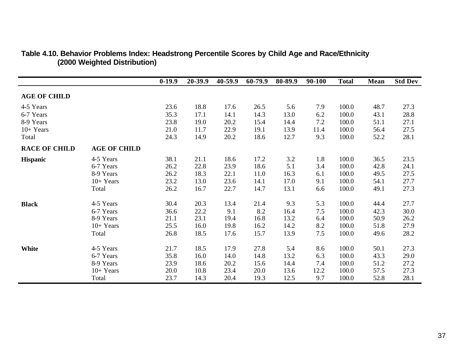|                      |                     | $0-19.9$ | 20-39.9 | 40-59.9 | 60-79.9 | 80-89.9 | 90-100 | <b>Total</b> | Mean | <b>Std Dev</b> |
|----------------------|---------------------|----------|---------|---------|---------|---------|--------|--------------|------|----------------|
| <b>AGE OF CHILD</b>  |                     |          |         |         |         |         |        |              |      |                |
| 4-5 Years            |                     | 23.6     | 18.8    | 17.6    | 26.5    | 5.6     | 7.9    | 100.0        | 48.7 | 27.3           |
| 6-7 Years            |                     | 35.3     | 17.1    | 14.1    | 14.3    | 13.0    | 6.2    | 100.0        | 43.1 | 28.8           |
| 8-9 Years            |                     | 23.8     | 19.0    | 20.2    | 15.4    | 14.4    | 7.2    | 100.0        | 51.1 | 27.1           |
| $10+Years$           |                     | 21.0     | 11.7    | 22.9    | 19.1    | 13.9    | 11.4   | 100.0        | 56.4 | 27.5           |
| Total                |                     | 24.3     | 14.9    | 20.2    | 18.6    | 12.7    | 9.3    | 100.0        | 52.2 | 28.1           |
| <b>RACE OF CHILD</b> | <b>AGE OF CHILD</b> |          |         |         |         |         |        |              |      |                |
| <b>Hispanic</b>      | 4-5 Years           | 38.1     | 21.1    | 18.6    | 17.2    | 3.2     | 1.8    | 100.0        | 36.5 | 23.5           |
|                      | 6-7 Years           | 26.2     | 22.8    | 23.9    | 18.6    | 5.1     | 3.4    | 100.0        | 42.8 | 24.1           |
|                      | 8-9 Years           | 26.2     | 18.3    | 22.1    | 11.0    | 16.3    | 6.1    | 100.0        | 49.5 | 27.5           |
|                      | $10+Years$          | 23.2     | 13.0    | 23.6    | 14.1    | 17.0    | 9.1    | 100.0        | 54.1 | 27.7           |
|                      | Total               | 26.2     | 16.7    | 22.7    | 14.7    | 13.1    | 6.6    | 100.0        | 49.1 | 27.3           |
| <b>Black</b>         | 4-5 Years           | 30.4     | 20.3    | 13.4    | 21.4    | 9.3     | 5.3    | 100.0        | 44.4 | 27.7           |
|                      | 6-7 Years           | 36.6     | 22.2    | 9.1     | 8.2     | 16.4    | 7.5    | 100.0        | 42.3 | 30.0           |
|                      | 8-9 Years           | 21.1     | 23.1    | 19.4    | 16.8    | 13.2    | 6.4    | 100.0        | 50.9 | 26.2           |
|                      | $10+Years$          | 25.5     | 16.0    | 19.8    | 16.2    | 14.2    | 8.2    | 100.0        | 51.8 | 27.9           |
|                      | Total               | 26.8     | 18.5    | 17.6    | 15.7    | 13.9    | 7.5    | 100.0        | 49.6 | 28.2           |
| White                | 4-5 Years           | 21.7     | 18.5    | 17.9    | 27.8    | 5.4     | 8.6    | 100.0        | 50.1 | 27.3           |
|                      | 6-7 Years           | 35.8     | 16.0    | 14.0    | 14.8    | 13.2    | 6.3    | 100.0        | 43.3 | 29.0           |
|                      | 8-9 Years           | 23.9     | 18.6    | 20.2    | 15.6    | 14.4    | 7.4    | 100.0        | 51.2 | 27.2           |
|                      | $10+Years$          | 20.0     | 10.8    | 23.4    | 20.0    | 13.6    | 12.2   | 100.0        | 57.5 | 27.3           |
|                      | Total               | 23.7     | 14.3    | 20.4    | 19.3    | 12.5    | 9.7    | 100.0        | 52.8 | 28.1           |

### **Table 4.10. Behavior Problems Index: Headstrong Percentile Scores by Child Age and Race/Ethnicity (2000 Weighted Distribution)**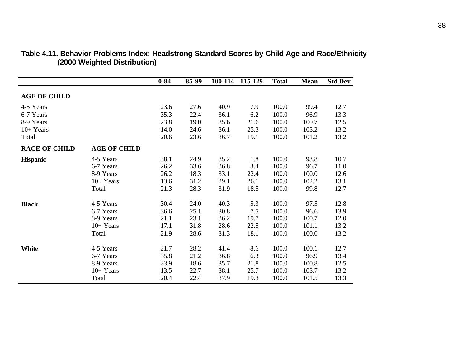|                      |                     | $0 - 84$ | 85-99 | 100-114 | 115-129 | <b>Total</b> | Mean  | <b>Std Dev</b> |
|----------------------|---------------------|----------|-------|---------|---------|--------------|-------|----------------|
| <b>AGE OF CHILD</b>  |                     |          |       |         |         |              |       |                |
| 4-5 Years            |                     | 23.6     | 27.6  | 40.9    | 7.9     | 100.0        | 99.4  | 12.7           |
| 6-7 Years            |                     | 35.3     | 22.4  | 36.1    | 6.2     | 100.0        | 96.9  | 13.3           |
| 8-9 Years            |                     | 23.8     | 19.0  | 35.6    | 21.6    | 100.0        | 100.7 | 12.5           |
| $10+Years$           |                     | 14.0     | 24.6  | 36.1    | 25.3    | 100.0        | 103.2 | 13.2           |
| Total                |                     | 20.6     | 23.6  | 36.7    | 19.1    | 100.0        | 101.2 | 13.2           |
| <b>RACE OF CHILD</b> | <b>AGE OF CHILD</b> |          |       |         |         |              |       |                |
| <b>Hispanic</b>      | 4-5 Years           | 38.1     | 24.9  | 35.2    | 1.8     | 100.0        | 93.8  | 10.7           |
|                      | 6-7 Years           | 26.2     | 33.6  | 36.8    | 3.4     | 100.0        | 96.7  | 11.0           |
|                      | 8-9 Years           | 26.2     | 18.3  | 33.1    | 22.4    | 100.0        | 100.0 | 12.6           |
|                      | $10+Years$          | 13.6     | 31.2  | 29.1    | 26.1    | 100.0        | 102.2 | 13.1           |
|                      | Total               | 21.3     | 28.3  | 31.9    | 18.5    | 100.0        | 99.8  | 12.7           |
| <b>Black</b>         | 4-5 Years           | 30.4     | 24.0  | 40.3    | 5.3     | 100.0        | 97.5  | 12.8           |
|                      | 6-7 Years           | 36.6     | 25.1  | 30.8    | 7.5     | 100.0        | 96.6  | 13.9           |
|                      | 8-9 Years           | 21.1     | 23.1  | 36.2    | 19.7    | 100.0        | 100.7 | 12.0           |
|                      | $10+Years$          | 17.1     | 31.8  | 28.6    | 22.5    | 100.0        | 101.1 | 13.2           |
|                      | Total               | 21.9     | 28.6  | 31.3    | 18.1    | 100.0        | 100.0 | 13.2           |
| <b>White</b>         | 4-5 Years           | 21.7     | 28.2  | 41.4    | 8.6     | 100.0        | 100.1 | 12.7           |
|                      | 6-7 Years           | 35.8     | 21.2  | 36.8    | 6.3     | 100.0        | 96.9  | 13.4           |
|                      | 8-9 Years           | 23.9     | 18.6  | 35.7    | 21.8    | 100.0        | 100.8 | 12.5           |
|                      | $10+Years$          | 13.5     | 22.7  | 38.1    | 25.7    | 100.0        | 103.7 | 13.2           |
|                      | Total               | 20.4     | 22.4  | 37.9    | 19.3    | 100.0        | 101.5 | 13.3           |

### **Table 4.11. Behavior Problems Index: Headstrong Standard Scores by Child Age and Race/Ethnicity (2000 Weighted Distribution)**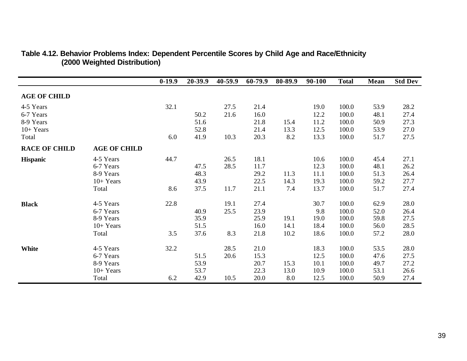|                      |                     | $0-19.9$ | 20-39.9 | 40-59.9 | 60-79.9 | 80-89.9 | 90-100 | <b>Total</b> | Mean | <b>Std Dev</b> |
|----------------------|---------------------|----------|---------|---------|---------|---------|--------|--------------|------|----------------|
| <b>AGE OF CHILD</b>  |                     |          |         |         |         |         |        |              |      |                |
| 4-5 Years            |                     | 32.1     |         | 27.5    | 21.4    |         | 19.0   | 100.0        | 53.9 | 28.2           |
| 6-7 Years            |                     |          | 50.2    | 21.6    | 16.0    |         | 12.2   | 100.0        | 48.1 | 27.4           |
| 8-9 Years            |                     |          | 51.6    |         | 21.8    | 15.4    | 11.2   | 100.0        | 50.9 | 27.3           |
| $10+Years$           |                     |          | 52.8    |         | 21.4    | 13.3    | 12.5   | 100.0        | 53.9 | 27.0           |
| Total                |                     | 6.0      | 41.9    | 10.3    | 20.3    | 8.2     | 13.3   | 100.0        | 51.7 | 27.5           |
| <b>RACE OF CHILD</b> | <b>AGE OF CHILD</b> |          |         |         |         |         |        |              |      |                |
| <b>Hispanic</b>      | 4-5 Years           | 44.7     |         | 26.5    | 18.1    |         | 10.6   | 100.0        | 45.4 | 27.1           |
|                      | 6-7 Years           |          | 47.5    | 28.5    | 11.7    |         | 12.3   | 100.0        | 48.1 | 26.2           |
|                      | 8-9 Years           |          | 48.3    |         | 29.2    | 11.3    | 11.1   | 100.0        | 51.3 | 26.4           |
|                      | $10+Years$          |          | 43.9    |         | 22.5    | 14.3    | 19.3   | 100.0        | 59.2 | 27.7           |
|                      | Total               | 8.6      | 37.5    | 11.7    | 21.1    | 7.4     | 13.7   | 100.0        | 51.7 | 27.4           |
| <b>Black</b>         | 4-5 Years           | 22.8     |         | 19.1    | 27.4    |         | 30.7   | 100.0        | 62.9 | 28.0           |
|                      | 6-7 Years           |          | 40.9    | 25.5    | 23.9    |         | 9.8    | 100.0        | 52.0 | 26.4           |
|                      | 8-9 Years           |          | 35.9    |         | 25.9    | 19.1    | 19.0   | 100.0        | 59.8 | 27.5           |
|                      | $10+Years$          |          | 51.5    |         | 16.0    | 14.1    | 18.4   | 100.0        | 56.0 | 28.5           |
|                      | Total               | 3.5      | 37.6    | 8.3     | 21.8    | 10.2    | 18.6   | 100.0        | 57.2 | 28.0           |
| <b>White</b>         | 4-5 Years           | 32.2     |         | 28.5    | 21.0    |         | 18.3   | 100.0        | 53.5 | 28.0           |
|                      | 6-7 Years           |          | 51.5    | 20.6    | 15.3    |         | 12.5   | 100.0        | 47.6 | 27.5           |
|                      | 8-9 Years           |          | 53.9    |         | 20.7    | 15.3    | 10.1   | 100.0        | 49.7 | 27.2           |
|                      | $10+Years$          |          | 53.7    |         | 22.3    | 13.0    | 10.9   | 100.0        | 53.1 | 26.6           |
|                      | Total               | 6.2      | 42.9    | 10.5    | 20.0    | 8.0     | 12.5   | 100.0        | 50.9 | 27.4           |

### **Table 4.12. Behavior Problems Index: Dependent Percentile Scores by Child Age and Race/Ethnicity (2000 Weighted Distribution)**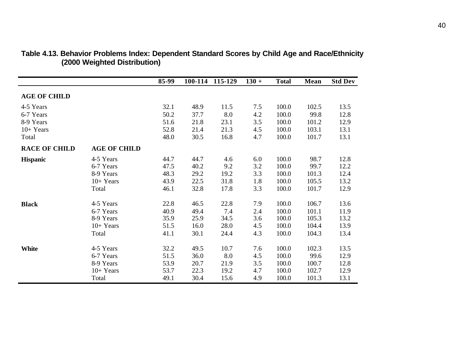|                      |                     | 85-99 | 100-114 | 115-129 | $130 +$ | <b>Total</b> | Mean  | <b>Std Dev</b> |
|----------------------|---------------------|-------|---------|---------|---------|--------------|-------|----------------|
| <b>AGE OF CHILD</b>  |                     |       |         |         |         |              |       |                |
| 4-5 Years            |                     | 32.1  | 48.9    | 11.5    | 7.5     | 100.0        | 102.5 | 13.5           |
| 6-7 Years            |                     | 50.2  | 37.7    | 8.0     | 4.2     | 100.0        | 99.8  | 12.8           |
| 8-9 Years            |                     | 51.6  | 21.8    | 23.1    | 3.5     | 100.0        | 101.2 | 12.9           |
| $10+Years$           |                     | 52.8  | 21.4    | 21.3    | 4.5     | 100.0        | 103.1 | 13.1           |
| Total                |                     | 48.0  | 30.5    | 16.8    | 4.7     | 100.0        | 101.7 | 13.1           |
| <b>RACE OF CHILD</b> | <b>AGE OF CHILD</b> |       |         |         |         |              |       |                |
| <b>Hispanic</b>      | 4-5 Years           | 44.7  | 44.7    | 4.6     | 6.0     | 100.0        | 98.7  | 12.8           |
|                      | 6-7 Years           | 47.5  | 40.2    | 9.2     | 3.2     | 100.0        | 99.7  | 12.2           |
|                      | 8-9 Years           | 48.3  | 29.2    | 19.2    | 3.3     | 100.0        | 101.3 | 12.4           |
|                      | $10+Years$          | 43.9  | 22.5    | 31.8    | 1.8     | 100.0        | 105.5 | 13.2           |
|                      | Total               | 46.1  | 32.8    | 17.8    | 3.3     | 100.0        | 101.7 | 12.9           |
| <b>Black</b>         | 4-5 Years           | 22.8  | 46.5    | 22.8    | 7.9     | 100.0        | 106.7 | 13.6           |
|                      | 6-7 Years           | 40.9  | 49.4    | 7.4     | 2.4     | 100.0        | 101.1 | 11.9           |
|                      | 8-9 Years           | 35.9  | 25.9    | 34.5    | 3.6     | 100.0        | 105.3 | 13.2           |
|                      | $10+Years$          | 51.5  | 16.0    | 28.0    | 4.5     | 100.0        | 104.4 | 13.9           |
|                      | Total               | 41.1  | 30.1    | 24.4    | 4.3     | 100.0        | 104.3 | 13.4           |
| White                | 4-5 Years           | 32.2  | 49.5    | 10.7    | 7.6     | 100.0        | 102.3 | 13.5           |
|                      | 6-7 Years           | 51.5  | 36.0    | 8.0     | 4.5     | 100.0        | 99.6  | 12.9           |
|                      | 8-9 Years           | 53.9  | 20.7    | 21.9    | 3.5     | 100.0        | 100.7 | 12.8           |
|                      | $10+Years$          | 53.7  | 22.3    | 19.2    | 4.7     | 100.0        | 102.7 | 12.9           |
|                      | Total               | 49.1  | 30.4    | 15.6    | 4.9     | 100.0        | 101.3 | 13.1           |

#### **Table 4.13. Behavior Problems Index: Dependent Standard Scores by Child Age and Race/Ethnicity (2000 Weighted Distribution)**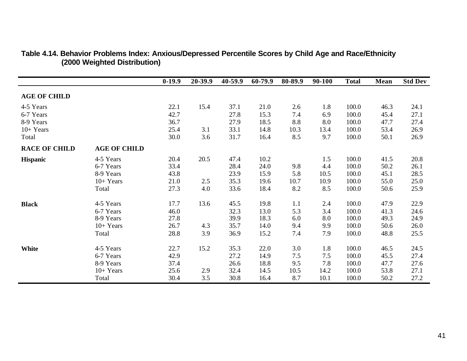|                      |                     | $0-19.9$ | 20-39.9 | 40-59.9 | 60-79.9 | 80-89.9 | 90-100 | <b>Total</b> | Mean | <b>Std Dev</b> |
|----------------------|---------------------|----------|---------|---------|---------|---------|--------|--------------|------|----------------|
| <b>AGE OF CHILD</b>  |                     |          |         |         |         |         |        |              |      |                |
| 4-5 Years            |                     | 22.1     | 15.4    | 37.1    | 21.0    | 2.6     | 1.8    | 100.0        | 46.3 | 24.1           |
| 6-7 Years            |                     | 42.7     |         | 27.8    | 15.3    | 7.4     | 6.9    | 100.0        | 45.4 | 27.1           |
| 8-9 Years            |                     | 36.7     |         | 27.9    | 18.5    | 8.8     | 8.0    | 100.0        | 47.7 | 27.4           |
| $10+Years$           |                     | 25.4     | 3.1     | 33.1    | 14.8    | 10.3    | 13.4   | 100.0        | 53.4 | 26.9           |
| Total                |                     | 30.0     | 3.6     | 31.7    | 16.4    | 8.5     | 9.7    | 100.0        | 50.1 | 26.9           |
| <b>RACE OF CHILD</b> | <b>AGE OF CHILD</b> |          |         |         |         |         |        |              |      |                |
| <b>Hispanic</b>      | 4-5 Years           | 20.4     | 20.5    | 47.4    | 10.2    |         | 1.5    | 100.0        | 41.5 | 20.8           |
|                      | 6-7 Years           | 33.4     |         | 28.4    | 24.0    | 9.8     | 4.4    | 100.0        | 50.2 | 26.1           |
|                      | 8-9 Years           | 43.8     |         | 23.9    | 15.9    | 5.8     | 10.5   | 100.0        | 45.1 | 28.5           |
|                      | $10+Years$          | 21.0     | 2.5     | 35.3    | 19.6    | 10.7    | 10.9   | 100.0        | 55.0 | 25.0           |
|                      | Total               | 27.3     | 4.0     | 33.6    | 18.4    | 8.2     | 8.5    | 100.0        | 50.6 | 25.9           |
| <b>Black</b>         | 4-5 Years           | 17.7     | 13.6    | 45.5    | 19.8    | 1.1     | 2.4    | 100.0        | 47.9 | 22.9           |
|                      | 6-7 Years           | 46.0     |         | 32.3    | 13.0    | 5.3     | 3.4    | 100.0        | 41.3 | 24.6           |
|                      | 8-9 Years           | 27.8     |         | 39.9    | 18.3    | 6.0     | 8.0    | 100.0        | 49.3 | 24.9           |
|                      | $10+Years$          | 26.7     | 4.3     | 35.7    | 14.0    | 9.4     | 9.9    | 100.0        | 50.6 | 26.0           |
|                      | Total               | 28.8     | 3.9     | 36.9    | 15.2    | 7.4     | 7.9    | 100.0        | 48.8 | 25.5           |
| White                | 4-5 Years           | 22.7     | 15.2    | 35.3    | 22.0    | 3.0     | 1.8    | 100.0        | 46.5 | 24.5           |
|                      | 6-7 Years           | 42.9     |         | 27.2    | 14.9    | 7.5     | 7.5    | 100.0        | 45.5 | 27.4           |
|                      | 8-9 Years           | 37.4     |         | 26.6    | 18.8    | 9.5     | 7.8    | 100.0        | 47.7 | 27.6           |
|                      | $10+Years$          | 25.6     | 2.9     | 32.4    | 14.5    | 10.5    | 14.2   | 100.0        | 53.8 | 27.1           |
|                      | Total               | 30.4     | 3.5     | 30.8    | 16.4    | 8.7     | 10.1   | 100.0        | 50.2 | 27.2           |

#### **Table 4.14. Behavior Problems Index: Anxious/Depressed Percentile Scores by Child Age and Race/Ethnicity (2000 Weighted Distribution)**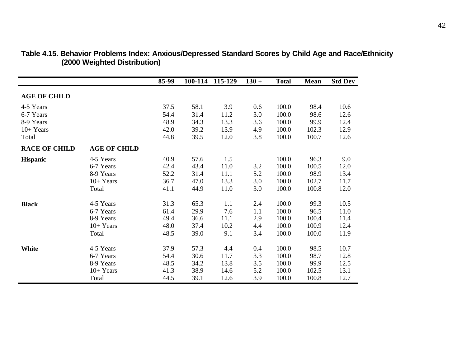|                       |                                                                                                   | 85-99                                                                | 100-114                                                              | 115-129                                                           | $130 +$                                                     | <b>Total</b>                                                                  | <b>Mean</b>                                                              | <b>Std Dev</b>                                                       |
|-----------------------|---------------------------------------------------------------------------------------------------|----------------------------------------------------------------------|----------------------------------------------------------------------|-------------------------------------------------------------------|-------------------------------------------------------------|-------------------------------------------------------------------------------|--------------------------------------------------------------------------|----------------------------------------------------------------------|
| <b>AGE OF CHILD</b>   |                                                                                                   |                                                                      |                                                                      |                                                                   |                                                             |                                                                               |                                                                          |                                                                      |
| 4-5 Years             |                                                                                                   | 37.5                                                                 | 58.1                                                                 | 3.9                                                               | 0.6                                                         | 100.0                                                                         | 98.4                                                                     | 10.6                                                                 |
| 6-7 Years             |                                                                                                   | 54.4                                                                 | 31.4                                                                 | 11.2                                                              | 3.0                                                         | 100.0                                                                         | 98.6                                                                     | 12.6                                                                 |
| 8-9 Years             |                                                                                                   | 48.9                                                                 | 34.3                                                                 | 13.3                                                              | 3.6                                                         | 100.0                                                                         | 99.9                                                                     | 12.4                                                                 |
| $10+Years$            |                                                                                                   | 42.0                                                                 | 39.2                                                                 | 13.9                                                              | 4.9                                                         | 100.0                                                                         | 102.3                                                                    | 12.9                                                                 |
| Total                 |                                                                                                   | 44.8                                                                 | 39.5                                                                 | 12.0                                                              | 3.8                                                         | 100.0                                                                         | 100.7                                                                    | 12.6                                                                 |
| <b>RACE OF CHILD</b>  | <b>AGE OF CHILD</b>                                                                               |                                                                      |                                                                      |                                                                   |                                                             |                                                                               |                                                                          |                                                                      |
| <b>Hispanic</b>       | 4-5 Years                                                                                         | 40.9                                                                 | 57.6                                                                 | 1.5                                                               |                                                             | 100.0                                                                         | 96.3                                                                     | 9.0                                                                  |
|                       | 6-7 Years                                                                                         | 42.4                                                                 | 43.4                                                                 | 11.0                                                              | 3.2                                                         | 100.0                                                                         | 100.5                                                                    | 12.0                                                                 |
|                       | 8-9 Years                                                                                         | 52.2                                                                 | 31.4                                                                 | 11.1                                                              | 5.2                                                         | 100.0                                                                         | 98.9                                                                     | 13.4                                                                 |
|                       | $10+Years$                                                                                        | 36.7                                                                 | 47.0                                                                 | 13.3                                                              | 3.0                                                         | 100.0                                                                         | 102.7                                                                    | 11.7                                                                 |
|                       | Total                                                                                             | 41.1                                                                 | 44.9                                                                 | 11.0                                                              | 3.0                                                         | 100.0                                                                         | 100.8                                                                    | 12.0                                                                 |
|                       |                                                                                                   |                                                                      |                                                                      |                                                                   |                                                             |                                                                               |                                                                          |                                                                      |
|                       |                                                                                                   |                                                                      |                                                                      |                                                                   |                                                             |                                                                               |                                                                          |                                                                      |
|                       |                                                                                                   |                                                                      |                                                                      |                                                                   |                                                             |                                                                               |                                                                          |                                                                      |
|                       | $10+Years$                                                                                        |                                                                      |                                                                      |                                                                   |                                                             |                                                                               |                                                                          |                                                                      |
|                       | Total                                                                                             | 48.5                                                                 | 39.0                                                                 | 9.1                                                               | 3.4                                                         | 100.0                                                                         | 100.0                                                                    | 11.9                                                                 |
|                       |                                                                                                   |                                                                      |                                                                      |                                                                   |                                                             |                                                                               |                                                                          |                                                                      |
|                       |                                                                                                   |                                                                      |                                                                      |                                                                   |                                                             |                                                                               |                                                                          |                                                                      |
|                       |                                                                                                   |                                                                      |                                                                      |                                                                   |                                                             |                                                                               |                                                                          |                                                                      |
|                       |                                                                                                   |                                                                      |                                                                      |                                                                   |                                                             |                                                                               |                                                                          |                                                                      |
|                       |                                                                                                   |                                                                      |                                                                      |                                                                   |                                                             |                                                                               |                                                                          |                                                                      |
| <b>Black</b><br>White | 4-5 Years<br>6-7 Years<br>8-9 Years<br>4-5 Years<br>6-7 Years<br>8-9 Years<br>$10+Years$<br>Total | 31.3<br>61.4<br>49.4<br>48.0<br>37.9<br>54.4<br>48.5<br>41.3<br>44.5 | 65.3<br>29.9<br>36.6<br>37.4<br>57.3<br>30.6<br>34.2<br>38.9<br>39.1 | 1.1<br>7.6<br>11.1<br>10.2<br>4.4<br>11.7<br>13.8<br>14.6<br>12.6 | 2.4<br>1.1<br>2.9<br>4.4<br>0.4<br>3.3<br>3.5<br>5.2<br>3.9 | 100.0<br>100.0<br>100.0<br>100.0<br>100.0<br>100.0<br>100.0<br>100.0<br>100.0 | 99.3<br>96.5<br>100.4<br>100.9<br>98.5<br>98.7<br>99.9<br>102.5<br>100.8 | 10.5<br>11.0<br>11.4<br>12.4<br>10.7<br>12.8<br>12.5<br>13.1<br>12.7 |

#### **Table 4.15. Behavior Problems Index: Anxious/Depressed Standard Scores by Child Age and Race/Ethnicity (2000 Weighted Distribution)**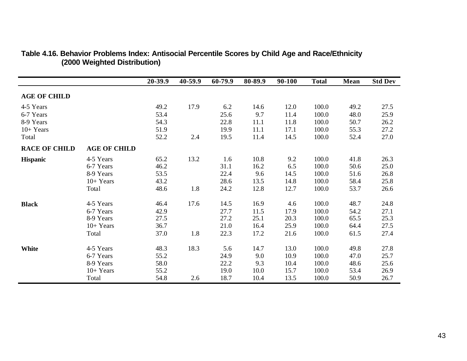|                      |                     | 20-39.9 | 40-59.9 | 60-79.9 | 80-89.9 | 90-100 | <b>Total</b> | <b>Mean</b> | <b>Std Dev</b> |
|----------------------|---------------------|---------|---------|---------|---------|--------|--------------|-------------|----------------|
| <b>AGE OF CHILD</b>  |                     |         |         |         |         |        |              |             |                |
| 4-5 Years            |                     | 49.2    | 17.9    | 6.2     | 14.6    | 12.0   | 100.0        | 49.2        | 27.5           |
| 6-7 Years            |                     | 53.4    |         | 25.6    | 9.7     | 11.4   | 100.0        | 48.0        | 25.9           |
| 8-9 Years            |                     | 54.3    |         | 22.8    | 11.1    | 11.8   | 100.0        | 50.7        | 26.2           |
| $10+Years$           |                     | 51.9    |         | 19.9    | 11.1    | 17.1   | 100.0        | 55.3        | 27.2           |
| Total                |                     | 52.2    | 2.4     | 19.5    | 11.4    | 14.5   | 100.0        | 52.4        | 27.0           |
| <b>RACE OF CHILD</b> | <b>AGE OF CHILD</b> |         |         |         |         |        |              |             |                |
| <b>Hispanic</b>      | 4-5 Years           | 65.2    | 13.2    | 1.6     | 10.8    | 9.2    | 100.0        | 41.8        | 26.3           |
|                      | 6-7 Years           | 46.2    |         | 31.1    | 16.2    | 6.5    | 100.0        | 50.6        | 25.0           |
|                      | 8-9 Years           | 53.5    |         | 22.4    | 9.6     | 14.5   | 100.0        | 51.6        | 26.8           |
|                      | $10+Years$          | 43.2    |         | 28.6    | 13.5    | 14.8   | 100.0        | 58.4        | 25.8           |
|                      | Total               | 48.6    | 1.8     | 24.2    | 12.8    | 12.7   | 100.0        | 53.7        | 26.6           |
| <b>Black</b>         | 4-5 Years           | 46.4    | 17.6    | 14.5    | 16.9    | 4.6    | 100.0        | 48.7        | 24.8           |
|                      | 6-7 Years           | 42.9    |         | 27.7    | 11.5    | 17.9   | 100.0        | 54.2        | 27.1           |
|                      | 8-9 Years           | 27.5    |         | 27.2    | 25.1    | 20.3   | 100.0        | 65.5        | 25.3           |
|                      | $10+Years$          | 36.7    |         | 21.0    | 16.4    | 25.9   | 100.0        | 64.4        | 27.5           |
|                      | Total               | 37.0    | 1.8     | 22.3    | 17.2    | 21.6   | 100.0        | 61.5        | 27.4           |
| <b>White</b>         | 4-5 Years           | 48.3    | 18.3    | 5.6     | 14.7    | 13.0   | 100.0        | 49.8        | 27.8           |
|                      | 6-7 Years           | 55.2    |         | 24.9    | 9.0     | 10.9   | 100.0        | 47.0        | 25.7           |
|                      | 8-9 Years           | 58.0    |         | 22.2    | 9.3     | 10.4   | 100.0        | 48.6        | 25.6           |
|                      | $10+Years$          | 55.2    |         | 19.0    | 10.0    | 15.7   | 100.0        | 53.4        | 26.9           |
|                      | Total               | 54.8    | 2.6     | 18.7    | 10.4    | 13.5   | 100.0        | 50.9        | 26.7           |

### **Table 4.16. Behavior Problems Index: Antisocial Percentile Scores by Child Age and Race/Ethnicity (2000 Weighted Distribution)**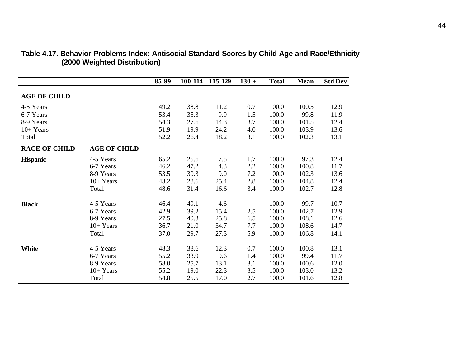|                      |                     | 85-99 | 100-114 | 115-129 | $130 +$ | <b>Total</b> | Mean  | <b>Std Dev</b> |
|----------------------|---------------------|-------|---------|---------|---------|--------------|-------|----------------|
| <b>AGE OF CHILD</b>  |                     |       |         |         |         |              |       |                |
| 4-5 Years            |                     | 49.2  | 38.8    | 11.2    | 0.7     | 100.0        | 100.5 | 12.9           |
| 6-7 Years            |                     | 53.4  | 35.3    | 9.9     | 1.5     | 100.0        | 99.8  | 11.9           |
| 8-9 Years            |                     | 54.3  | 27.6    | 14.3    | 3.7     | 100.0        | 101.5 | 12.4           |
| $10+Years$           |                     | 51.9  | 19.9    | 24.2    | 4.0     | 100.0        | 103.9 | 13.6           |
| Total                |                     | 52.2  | 26.4    | 18.2    | 3.1     | 100.0        | 102.3 | 13.1           |
| <b>RACE OF CHILD</b> | <b>AGE OF CHILD</b> |       |         |         |         |              |       |                |
| <b>Hispanic</b>      | 4-5 Years           | 65.2  | 25.6    | 7.5     | 1.7     | 100.0        | 97.3  | 12.4           |
|                      | 6-7 Years           | 46.2  | 47.2    | 4.3     | 2.2     | 100.0        | 100.8 | 11.7           |
|                      | 8-9 Years           | 53.5  | 30.3    | 9.0     | 7.2     | 100.0        | 102.3 | 13.6           |
|                      | $10+Years$          | 43.2  | 28.6    | 25.4    | 2.8     | 100.0        | 104.8 | 12.4           |
|                      | Total               | 48.6  | 31.4    | 16.6    | 3.4     | 100.0        | 102.7 | 12.8           |
| <b>Black</b>         | 4-5 Years           | 46.4  | 49.1    | 4.6     |         | 100.0        | 99.7  | 10.7           |
|                      | 6-7 Years           | 42.9  | 39.2    | 15.4    | 2.5     | 100.0        | 102.7 | 12.9           |
|                      | 8-9 Years           | 27.5  | 40.3    | 25.8    | 6.5     | 100.0        | 108.1 | 12.6           |
|                      | $10+Years$          | 36.7  | 21.0    | 34.7    | 7.7     | 100.0        | 108.6 | 14.7           |
|                      | Total               | 37.0  | 29.7    | 27.3    | 5.9     | 100.0        | 106.8 | 14.1           |
| <b>White</b>         | 4-5 Years           | 48.3  | 38.6    | 12.3    | 0.7     | 100.0        | 100.8 | 13.1           |
|                      | 6-7 Years           | 55.2  | 33.9    | 9.6     | 1.4     | 100.0        | 99.4  | 11.7           |
|                      | 8-9 Years           | 58.0  | 25.7    | 13.1    | 3.1     | 100.0        | 100.6 | 12.0           |
|                      | $10+Years$          | 55.2  | 19.0    | 22.3    | 3.5     | 100.0        | 103.0 | 13.2           |
|                      | Total               | 54.8  | 25.5    | 17.0    | 2.7     | 100.0        | 101.6 | 12.8           |

#### **Table 4.17. Behavior Problems Index: Antisocial Standard Scores by Child Age and Race/Ethnicity (2000 Weighted Distribution)**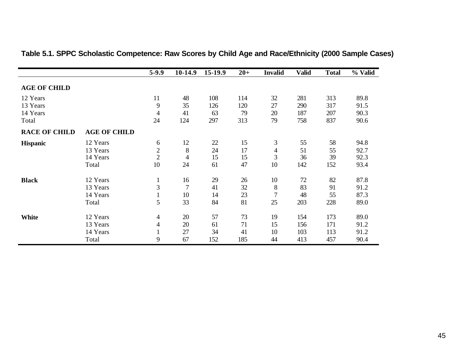|                      |                     | $5-9.9$        | 10-14.9        | 15-19.9 | $20+$ | <b>Invalid</b> | <b>Valid</b> | <b>Total</b> | % Valid |
|----------------------|---------------------|----------------|----------------|---------|-------|----------------|--------------|--------------|---------|
| <b>AGE OF CHILD</b>  |                     |                |                |         |       |                |              |              |         |
| 12 Years             |                     | 11             | 48             | 108     | 114   | 32             | 281          | 313          | 89.8    |
| 13 Years             |                     | 9              | 35             | 126     | 120   | 27             | 290          | 317          | 91.5    |
| 14 Years             |                     | $\overline{4}$ | 41             | 63      | 79    | 20             | 187          | 207          | 90.3    |
| Total                |                     | 24             | 124            | 297     | 313   | 79             | 758          | 837          | 90.6    |
| <b>RACE OF CHILD</b> | <b>AGE OF CHILD</b> |                |                |         |       |                |              |              |         |
| <b>Hispanic</b>      | 12 Years            | 6              | 12             | 22      | 15    | 3              | 55           | 58           | 94.8    |
|                      | 13 Years            | $\mathbf{2}$   | 8              | 24      | 17    | 4              | 51           | 55           | 92.7    |
|                      | 14 Years            | $\overline{2}$ | 4              | 15      | 15    | 3              | 36           | 39           | 92.3    |
|                      | Total               | 10             | 24             | 61      | 47    | 10             | 142          | 152          | 93.4    |
| <b>Black</b>         | 12 Years            | $\mathbf{1}$   | 16             | 29      | 26    | 10             | 72           | 82           | 87.8    |
|                      | 13 Years            | $\mathfrak{Z}$ | $\overline{7}$ | 41      | 32    | 8              | 83           | 91           | 91.2    |
|                      | 14 Years            | $\mathbf{1}$   | 10             | 14      | 23    | 7              | 48           | 55           | 87.3    |
|                      | Total               | 5              | 33             | 84      | 81    | 25             | 203          | 228          | 89.0    |
| <b>White</b>         | 12 Years            | $\overline{4}$ | 20             | 57      | 73    | 19             | 154          | 173          | 89.0    |
|                      | 13 Years            | $\overline{4}$ | 20             | 61      | 71    | 15             | 156          | 171          | 91.2    |
|                      | 14 Years            | $\mathbf{I}$   | 27             | 34      | 41    | 10             | 103          | 113          | 91.2    |
|                      | Total               | 9              | 67             | 152     | 185   | 44             | 413          | 457          | 90.4    |

## **Table 5.1. SPPC Scholastic Competence: Raw Scores by Child Age and Race/Ethnicity (2000 Sample Cases)**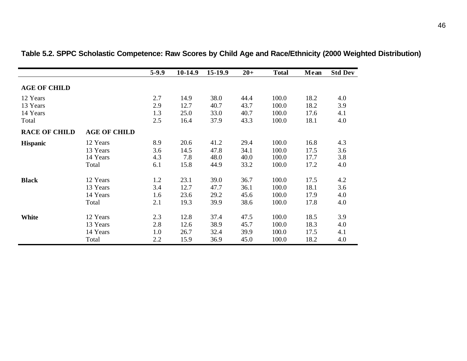|                      |                     | $5-9.9$ | 10-14.9 | 15-19.9 | $20+$ | <b>Total</b> | Mean | <b>Std Dev</b> |
|----------------------|---------------------|---------|---------|---------|-------|--------------|------|----------------|
| <b>AGE OF CHILD</b>  |                     |         |         |         |       |              |      |                |
| 12 Years             |                     | 2.7     | 14.9    | 38.0    | 44.4  | 100.0        | 18.2 | 4.0            |
| 13 Years             |                     | 2.9     | 12.7    | 40.7    | 43.7  | 100.0        | 18.2 | 3.9            |
| 14 Years             |                     | 1.3     | 25.0    | 33.0    | 40.7  | 100.0        | 17.6 | 4.1            |
| Total                |                     | 2.5     | 16.4    | 37.9    | 43.3  | 100.0        | 18.1 | 4.0            |
| <b>RACE OF CHILD</b> | <b>AGE OF CHILD</b> |         |         |         |       |              |      |                |
| <b>Hispanic</b>      | 12 Years            | 8.9     | 20.6    | 41.2    | 29.4  | 100.0        | 16.8 | 4.3            |
|                      | 13 Years            | 3.6     | 14.5    | 47.8    | 34.1  | 100.0        | 17.5 | 3.6            |
|                      | 14 Years            | 4.3     | 7.8     | 48.0    | 40.0  | 100.0        | 17.7 | 3.8            |
|                      | Total               | 6.1     | 15.8    | 44.9    | 33.2  | 100.0        | 17.2 | 4.0            |
| <b>Black</b>         | 12 Years            | 1.2     | 23.1    | 39.0    | 36.7  | 100.0        | 17.5 | 4.2            |
|                      | 13 Years            | 3.4     | 12.7    | 47.7    | 36.1  | 100.0        | 18.1 | 3.6            |
|                      | 14 Years            | 1.6     | 23.6    | 29.2    | 45.6  | 100.0        | 17.9 | 4.0            |
|                      | Total               | 2.1     | 19.3    | 39.9    | 38.6  | 100.0        | 17.8 | 4.0            |
| <b>White</b>         | 12 Years            | 2.3     | 12.8    | 37.4    | 47.5  | 100.0        | 18.5 | 3.9            |
|                      | 13 Years            | 2.8     | 12.6    | 38.9    | 45.7  | 100.0        | 18.3 | 4.0            |
|                      | 14 Years            | 1.0     | 26.7    | 32.4    | 39.9  | 100.0        | 17.5 | 4.1            |
|                      | Total               | 2.2     | 15.9    | 36.9    | 45.0  | 100.0        | 18.2 | 4.0            |

**Table 5.2. SPPC Scholastic Competence: Raw Scores by Child Age and Race/Ethnicity (2000 Weighted Distribution)**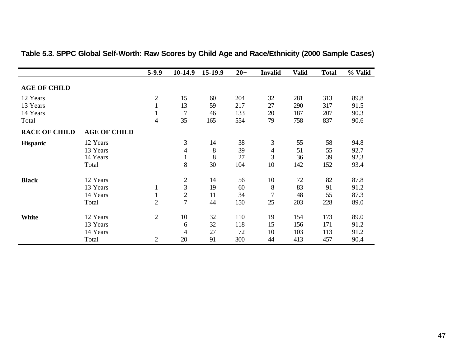|                      |                     | $5-9.9$        | 10-14.9        | 15-19.9 | $20+$ | <b>Invalid</b> | <b>Valid</b> | <b>Total</b> | % Valid |
|----------------------|---------------------|----------------|----------------|---------|-------|----------------|--------------|--------------|---------|
| <b>AGE OF CHILD</b>  |                     |                |                |         |       |                |              |              |         |
| 12 Years             |                     | $\overline{2}$ | 15             | 60      | 204   | 32             | 281          | 313          | 89.8    |
| 13 Years             |                     | $\mathbf{1}$   | 13             | 59      | 217   | 27             | 290          | 317          | 91.5    |
| 14 Years             |                     |                | 7              | 46      | 133   | 20             | 187          | 207          | 90.3    |
| Total                |                     | $\overline{4}$ | 35             | 165     | 554   | 79             | 758          | 837          | 90.6    |
| <b>RACE OF CHILD</b> | <b>AGE OF CHILD</b> |                |                |         |       |                |              |              |         |
| <b>Hispanic</b>      | 12 Years            |                | 3              | 14      | 38    | 3              | 55           | 58           | 94.8    |
|                      | 13 Years            |                | 4              | 8       | 39    | 4              | 51           | 55           | 92.7    |
|                      | 14 Years            |                | $\mathbf{1}$   | $8\,$   | 27    | 3              | 36           | 39           | 92.3    |
|                      | Total               |                | 8              | 30      | 104   | 10             | 142          | 152          | 93.4    |
| <b>Black</b>         | 12 Years            |                | $\overline{c}$ | 14      | 56    | 10             | 72           | 82           | 87.8    |
|                      | 13 Years            | $\mathbf{1}$   | $\overline{3}$ | 19      | 60    | 8              | 83           | 91           | 91.2    |
|                      | 14 Years            | $\mathbf{1}$   | $\overline{2}$ | 11      | 34    | 7              | 48           | 55           | 87.3    |
|                      | Total               | $\overline{2}$ | $\overline{7}$ | 44      | 150   | 25             | 203          | 228          | 89.0    |
| <b>White</b>         | 12 Years            | $\overline{2}$ | 10             | 32      | 110   | 19             | 154          | 173          | 89.0    |
|                      | 13 Years            |                | 6              | 32      | 118   | 15             | 156          | 171          | 91.2    |
|                      | 14 Years            |                | 4              | 27      | 72    | 10             | 103          | 113          | 91.2    |
|                      | Total               | 2              | 20             | 91      | 300   | 44             | 413          | 457          | 90.4    |

## **Table 5.3. SPPC Global Self-Worth: Raw Scores by Child Age and Race/Ethnicity (2000 Sample Cases)**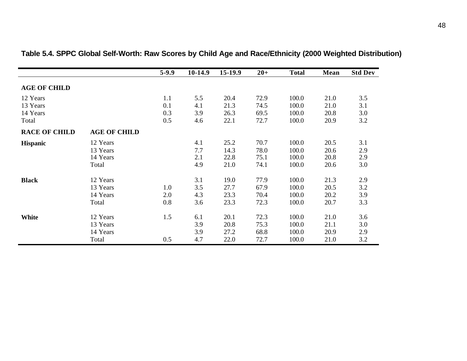|                      |                     | $5-9.9$ | $10-14.9$ | 15-19.9 | $20 +$ | <b>Total</b> | Mean | <b>Std Dev</b> |
|----------------------|---------------------|---------|-----------|---------|--------|--------------|------|----------------|
| <b>AGE OF CHILD</b>  |                     |         |           |         |        |              |      |                |
|                      |                     |         |           |         |        |              |      |                |
| 12 Years             |                     | 1.1     | 5.5       | 20.4    | 72.9   | 100.0        | 21.0 | 3.5            |
| 13 Years             |                     | 0.1     | 4.1       | 21.3    | 74.5   | 100.0        | 21.0 | 3.1            |
| 14 Years             |                     | 0.3     | 3.9       | 26.3    | 69.5   | 100.0        | 20.8 | 3.0            |
| Total                |                     | 0.5     | 4.6       | 22.1    | 72.7   | 100.0        | 20.9 | 3.2            |
| <b>RACE OF CHILD</b> | <b>AGE OF CHILD</b> |         |           |         |        |              |      |                |
| <b>Hispanic</b>      | 12 Years            |         | 4.1       | 25.2    | 70.7   | 100.0        | 20.5 | 3.1            |
|                      | 13 Years            |         | 7.7       | 14.3    | 78.0   | 100.0        | 20.6 | 2.9            |
|                      | 14 Years            |         | 2.1       | 22.8    | 75.1   | 100.0        | 20.8 | 2.9            |
|                      | Total               |         | 4.9       | 21.0    | 74.1   | 100.0        | 20.6 | 3.0            |
| <b>Black</b>         | 12 Years            |         | 3.1       | 19.0    | 77.9   | 100.0        | 21.3 | 2.9            |
|                      | 13 Years            | 1.0     | 3.5       | 27.7    | 67.9   | 100.0        | 20.5 | 3.2            |
|                      | 14 Years            | 2.0     | 4.3       | 23.3    | 70.4   | 100.0        | 20.2 | 3.9            |
|                      | Total               | 0.8     | 3.6       | 23.3    | 72.3   | 100.0        | 20.7 | 3.3            |
|                      |                     |         |           |         |        |              |      |                |
| <b>White</b>         | 12 Years            | 1.5     | 6.1       | 20.1    | 72.3   | 100.0        | 21.0 | 3.6            |
|                      | 13 Years            |         | 3.9       | 20.8    | 75.3   | 100.0        | 21.1 | 3.0            |
|                      | 14 Years            |         | 3.9       | 27.2    | 68.8   | 100.0        | 20.9 | 2.9            |
|                      | Total               | 0.5     | 4.7       | 22.0    | 72.7   | 100.0        | 21.0 | 3.2            |

## **Table 5.4. SPPC Global Self-Worth: Raw Scores by Child Age and Race/Ethnicity (2000 Weighted Distribution)**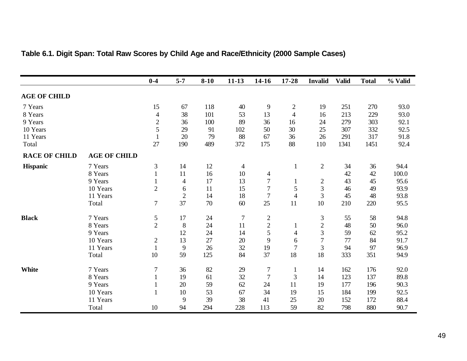|                      |                     | $0-4$          | $5 - 7$        | $8 - 10$ | $11-13$        | 14-16            | 17-28          | <b>Invalid</b> | <b>Valid</b> | <b>Total</b> | % Valid |
|----------------------|---------------------|----------------|----------------|----------|----------------|------------------|----------------|----------------|--------------|--------------|---------|
| <b>AGE OF CHILD</b>  |                     |                |                |          |                |                  |                |                |              |              |         |
| 7 Years              |                     | 15             | 67             | 118      | 40             | 9                | $\overline{2}$ | 19             | 251          | 270          | 93.0    |
| 8 Years              |                     | $\overline{4}$ | 38             | 101      | 53             | 13               | $\overline{4}$ | 16             | 213          | 229          | 93.0    |
| 9 Years              |                     | $\sqrt{2}$     | 36             | 100      | 89             | 36               | 16             | 24             | 279          | 303          | 92.1    |
| 10 Years             |                     | 5              | 29             | 91       | 102            | 50               | 30             | 25             | 307          | 332          | 92.5    |
| 11 Years             |                     |                | 20             | 79       | 88             | 67               | 36             | 26             | 291          | 317          | 91.8    |
| Total                |                     | 27             | 190            | 489      | 372            | 175              | 88             | 110            | 1341         | 1451         | 92.4    |
| <b>RACE OF CHILD</b> | <b>AGE OF CHILD</b> |                |                |          |                |                  |                |                |              |              |         |
| Hispanic             | 7 Years             | 3              | 14             | 12       | $\overline{4}$ |                  |                | $\overline{2}$ | 34           | 36           | 94.4    |
|                      | 8 Years             |                | 11             | 16       | 10             | 4                |                |                | 42           | 42           | 100.0   |
|                      | 9 Years             |                | $\overline{4}$ | 17       | 13             | $\boldsymbol{7}$ |                | $\overline{c}$ | 43           | 45           | 95.6    |
|                      | 10 Years            | $\overline{2}$ | 6              | 11       | 15             | 7                | 5              | $\overline{3}$ | 46           | 49           | 93.9    |
|                      | 11 Years            |                | $\overline{2}$ | 14       | 18             | $\overline{7}$   | $\overline{4}$ | 3              | 45           | 48           | 93.8    |
|                      | Total               | 7              | 37             | 70       | 60             | 25               | 11             | 10             | 210          | 220          | 95.5    |
| <b>Black</b>         | 7 Years             | 5              | 17             | 24       | $\tau$         | $\mathbf{2}$     |                | $\mathfrak{Z}$ | 55           | 58           | 94.8    |
|                      | 8 Years             | $\overline{2}$ | 8              | 24       | 11             | $\boldsymbol{2}$ |                | $\overline{c}$ | 48           | 50           | 96.0    |
|                      | 9 Years             |                | 12             | 24       | 14             | 5                | 4              | 3              | 59           | 62           | 95.2    |
|                      | 10 Years            | $\mathbf{2}$   | 13             | 27       | 20             | 9                | 6              | $\overline{7}$ | 77           | 84           | 91.7    |
|                      | 11 Years            |                | 9              | 26       | 32             | 19               | $\overline{7}$ | 3              | 94           | 97           | 96.9    |
|                      | Total               | 10             | 59             | 125      | 84             | 37               | 18             | 18             | 333          | 351          | 94.9    |
| White                | 7 Years             | 7              | 36             | 82       | 29             | $\overline{7}$   | $\mathbf{1}$   | 14             | 162          | 176          | 92.0    |
|                      | 8 Years             |                | 19             | 61       | 32             | $\overline{7}$   | 3              | 14             | 123          | 137          | 89.8    |
|                      | 9 Years             |                | 20             | 59       | 62             | 24               | 11             | 19             | 177          | 196          | 90.3    |
|                      | 10 Years            |                | 10             | 53       | 67             | 34               | 19             | 15             | 184          | 199          | 92.5    |
|                      | 11 Years            |                | 9              | 39       | 38             | 41               | 25             | 20             | 152          | 172          | 88.4    |
|                      | Total               | 10             | 94             | 294      | 228            | 113              | 59             | 82             | 798          | 880          | 90.7    |

## **Table 6.1. Digit Span: Total Raw Scores by Child Age and Race/Ethnicity (2000 Sample Cases)**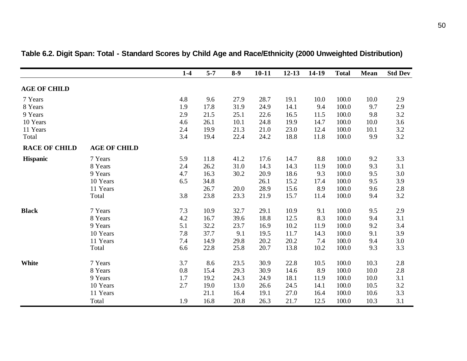|                      |                     | $1-4$   | $5 - 7$ | $8-9$ | $10 - 11$ | $12 - 13$ | 14-19 | <b>Total</b> | <b>Mean</b> | <b>Std Dev</b> |
|----------------------|---------------------|---------|---------|-------|-----------|-----------|-------|--------------|-------------|----------------|
| <b>AGE OF CHILD</b>  |                     |         |         |       |           |           |       |              |             |                |
| 7 Years              |                     | 4.8     | 9.6     | 27.9  | 28.7      | 19.1      | 10.0  | 100.0        | 10.0        | 2.9            |
| 8 Years              |                     | 1.9     | 17.8    | 31.9  | 24.9      | 14.1      | 9.4   | 100.0        | 9.7         | 2.9            |
| 9 Years              |                     | 2.9     | 21.5    | 25.1  | 22.6      | 16.5      | 11.5  | 100.0        | 9.8         | 3.2            |
| 10 Years             |                     | 4.6     | 26.1    | 10.1  | 24.8      | 19.9      | 14.7  | 100.0        | 10.0        | 3.6            |
| 11 Years             |                     | 2.4     | 19.9    | 21.3  | 21.0      | 23.0      | 12.4  | 100.0        | 10.1        | 3.2            |
| Total                |                     | 3.4     | 19.4    | 22.4  | 24.2      | 18.8      | 11.8  | 100.0        | 9.9         | 3.2            |
| <b>RACE OF CHILD</b> | <b>AGE OF CHILD</b> |         |         |       |           |           |       |              |             |                |
| <b>Hispanic</b>      | 7 Years             | 5.9     | 11.8    | 41.2  | 17.6      | 14.7      | 8.8   | 100.0        | 9.2         | 3.3            |
|                      | 8 Years             | 2.4     | 26.2    | 31.0  | 14.3      | 14.3      | 11.9  | 100.0        | 9.3         | 3.1            |
|                      | 9 Years             | 4.7     | 16.3    | 30.2  | 20.9      | 18.6      | 9.3   | 100.0        | 9.5         | 3.0            |
|                      | 10 Years            | 6.5     | 34.8    |       | 26.1      | 15.2      | 17.4  | 100.0        | 9.5         | 3.9            |
|                      | 11 Years            |         | 26.7    | 20.0  | 28.9      | 15.6      | 8.9   | 100.0        | 9.6         | $2.8\,$        |
|                      | Total               | 3.8     | 23.8    | 23.3  | 21.9      | 15.7      | 11.4  | 100.0        | 9.4         | 3.2            |
| <b>Black</b>         | 7 Years             | 7.3     | 10.9    | 32.7  | 29.1      | 10.9      | 9.1   | 100.0        | 9.5         | 2.9            |
|                      | 8 Years             | 4.2     | 16.7    | 39.6  | 18.8      | 12.5      | 8.3   | 100.0        | 9.4         | 3.1            |
|                      | 9 Years             | 5.1     | 32.2    | 23.7  | 16.9      | 10.2      | 11.9  | 100.0        | 9.2         | 3.4            |
|                      | 10 Years            | $7.8\,$ | 37.7    | 9.1   | 19.5      | 11.7      | 14.3  | 100.0        | 9.1         | 3.9            |
|                      | 11 Years            | 7.4     | 14.9    | 29.8  | 20.2      | 20.2      | 7.4   | 100.0        | 9.4         | 3.0            |
|                      | Total               | 6.6     | 22.8    | 25.8  | 20.7      | 13.8      | 10.2  | 100.0        | 9.3         | 3.3            |
| <b>White</b>         | 7 Years             | 3.7     | 8.6     | 23.5  | 30.9      | 22.8      | 10.5  | 100.0        | 10.3        | $2.8\,$        |
|                      | 8 Years             | 0.8     | 15.4    | 29.3  | 30.9      | 14.6      | 8.9   | 100.0        | 10.0        | $2.8\,$        |
|                      | 9 Years             | 1.7     | 19.2    | 24.3  | 24.9      | 18.1      | 11.9  | 100.0        | 10.0        | 3.1            |
|                      | 10 Years            | 2.7     | 19.0    | 13.0  | 26.6      | 24.5      | 14.1  | 100.0        | 10.5        | 3.2            |
|                      | 11 Years            |         | 21.1    | 16.4  | 19.1      | 27.0      | 16.4  | 100.0        | 10.6        | 3.3            |
|                      | Total               | 1.9     | 16.8    | 20.8  | 26.3      | 21.7      | 12.5  | 100.0        | 10.3        | 3.1            |

## **Table 6.2. Digit Span: Total - Standard Scores by Child Age and Race/Ethnicity (2000 Unweighted Distribution)**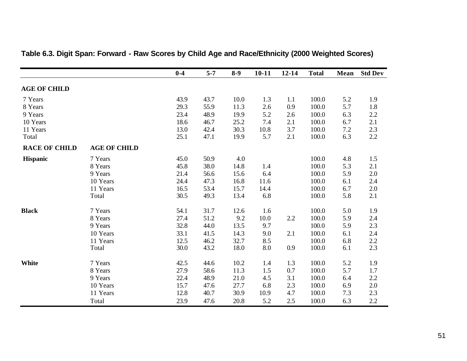|                      |                     | $0-4$ | $5 - 7$ | $8-9$ | $10 - 11$ | $12 - 14$ | <b>Total</b> | Mean | <b>Std Dev</b> |
|----------------------|---------------------|-------|---------|-------|-----------|-----------|--------------|------|----------------|
| <b>AGE OF CHILD</b>  |                     |       |         |       |           |           |              |      |                |
| 7 Years              |                     | 43.9  | 43.7    | 10.0  | 1.3       | 1.1       | 100.0        | 5.2  | 1.9            |
| 8 Years              |                     | 29.3  | 55.9    | 11.3  | 2.6       | 0.9       | 100.0        | 5.7  | 1.8            |
| 9 Years              |                     | 23.4  | 48.9    | 19.9  | 5.2       | 2.6       | 100.0        | 6.3  | 2.2            |
| 10 Years             |                     | 18.6  | 46.7    | 25.2  | 7.4       | 2.1       | 100.0        | 6.7  | 2.1            |
| 11 Years             |                     | 13.0  | 42.4    | 30.3  | 10.8      | 3.7       | 100.0        | 7.2  | 2.3            |
| Total                |                     | 25.1  | 47.1    | 19.9  | 5.7       | 2.1       | 100.0        | 6.3  | $2.2\,$        |
| <b>RACE OF CHILD</b> | <b>AGE OF CHILD</b> |       |         |       |           |           |              |      |                |
| <b>Hispanic</b>      | 7 Years             | 45.0  | 50.9    | 4.0   |           |           | 100.0        | 4.8  | 1.5            |
|                      | 8 Years             | 45.8  | 38.0    | 14.8  | 1.4       |           | 100.0        | 5.3  | 2.1            |
|                      | 9 Years             | 21.4  | 56.6    | 15.6  | 6.4       |           | 100.0        | 5.9  | 2.0            |
|                      | 10 Years            | 24.4  | 47.3    | 16.8  | 11.6      |           | 100.0        | 6.1  | 2.4            |
|                      | 11 Years            | 16.5  | 53.4    | 15.7  | 14.4      |           | 100.0        | 6.7  | 2.0            |
|                      | Total               | 30.5  | 49.3    | 13.4  | 6.8       |           | 100.0        | 5.8  | 2.1            |
| <b>Black</b>         | 7 Years             | 54.1  | 31.7    | 12.6  | 1.6       |           | 100.0        | 5.0  | 1.9            |
|                      | 8 Years             | 27.4  | 51.2    | 9.2   | 10.0      | 2.2       | 100.0        | 5.9  | 2.4            |
|                      | 9 Years             | 32.8  | 44.0    | 13.5  | 9.7       |           | 100.0        | 5.9  | 2.3            |
|                      | 10 Years            | 33.1  | 41.5    | 14.3  | 9.0       | 2.1       | 100.0        | 6.1  | 2.4            |
|                      | 11 Years            | 12.5  | 46.2    | 32.7  | 8.5       |           | 100.0        | 6.8  | $2.2\,$        |
|                      | Total               | 30.0  | 43.2    | 18.0  | 8.0       | 0.9       | 100.0        | 6.1  | 2.3            |
| White                | 7 Years             | 42.5  | 44.6    | 10.2  | 1.4       | 1.3       | 100.0        | 5.2  | 1.9            |
|                      | 8 Years             | 27.9  | 58.6    | 11.3  | 1.5       | 0.7       | 100.0        | 5.7  | 1.7            |
|                      | 9 Years             | 22.4  | 48.9    | 21.0  | 4.5       | 3.1       | 100.0        | 6.4  | 2.2            |
|                      | 10 Years            | 15.7  | 47.6    | 27.7  | 6.8       | 2.3       | 100.0        | 6.9  | $2.0\,$        |
|                      | 11 Years            | 12.8  | 40.7    | 30.9  | 10.9      | 4.7       | 100.0        | 7.3  | 2.3            |
|                      | Total               | 23.9  | 47.6    | 20.8  | 5.2       | 2.5       | 100.0        | 6.3  | $2.2\,$        |

# **Table 6.3. Digit Span: Forward - Raw Scores by Child Age and Race/Ethnicity (2000 Weighted Scores)**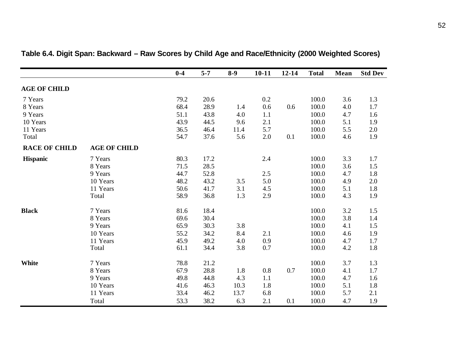|                      |                     | $0-4$ | $5 - 7$ | $8-9$ | $10 - 11$ | $12 - 14$ | <b>Total</b> | Mean | <b>Std Dev</b> |
|----------------------|---------------------|-------|---------|-------|-----------|-----------|--------------|------|----------------|
| <b>AGE OF CHILD</b>  |                     |       |         |       |           |           |              |      |                |
| 7 Years              |                     | 79.2  | 20.6    |       | 0.2       |           | 100.0        | 3.6  | 1.3            |
| 8 Years              |                     | 68.4  | 28.9    | 1.4   | 0.6       | 0.6       | 100.0        | 4.0  | 1.7            |
| 9 Years              |                     | 51.1  | 43.8    | 4.0   | 1.1       |           | 100.0        | 4.7  | 1.6            |
| 10 Years             |                     | 43.9  | 44.5    | 9.6   | 2.1       |           | 100.0        | 5.1  | 1.9            |
| 11 Years             |                     | 36.5  | 46.4    | 11.4  | 5.7       |           | 100.0        | 5.5  | 2.0            |
| Total                |                     | 54.7  | 37.6    | 5.6   | 2.0       | 0.1       | 100.0        | 4.6  | 1.9            |
| <b>RACE OF CHILD</b> | <b>AGE OF CHILD</b> |       |         |       |           |           |              |      |                |
| Hispanic             | 7 Years             | 80.3  | 17.2    |       | 2.4       |           | 100.0        | 3.3  | 1.7            |
|                      | 8 Years             | 71.5  | 28.5    |       |           |           | 100.0        | 3.6  | 1.5            |
|                      | 9 Years             | 44.7  | 52.8    |       | 2.5       |           | 100.0        | 4.7  | 1.8            |
|                      | 10 Years            | 48.2  | 43.2    | 3.5   | 5.0       |           | 100.0        | 4.9  | 2.0            |
|                      | 11 Years            | 50.6  | 41.7    | 3.1   | 4.5       |           | 100.0        | 5.1  | 1.8            |
|                      | Total               | 58.9  | 36.8    | 1.3   | 2.9       |           | 100.0        | 4.3  | 1.9            |
| <b>Black</b>         | 7 Years             | 81.6  | 18.4    |       |           |           | 100.0        | 3.2  | 1.5            |
|                      | 8 Years             | 69.6  | 30.4    |       |           |           | 100.0        | 3.8  | 1.4            |
|                      | 9 Years             | 65.9  | 30.3    | 3.8   |           |           | 100.0        | 4.1  | 1.5            |
|                      | 10 Years            | 55.2  | 34.2    | 8.4   | 2.1       |           | 100.0        | 4.6  | 1.9            |
|                      | 11 Years            | 45.9  | 49.2    | 4.0   | 0.9       |           | 100.0        | 4.7  | 1.7            |
|                      | Total               | 61.1  | 34.4    | 3.8   | 0.7       |           | 100.0        | 4.2  | 1.8            |
| White                | 7 Years             | 78.8  | 21.2    |       |           |           | 100.0        | 3.7  | 1.3            |
|                      | 8 Years             | 67.9  | 28.8    | 1.8   | 0.8       | 0.7       | 100.0        | 4.1  | 1.7            |
|                      | 9 Years             | 49.8  | 44.8    | 4.3   | 1.1       |           | 100.0        | 4.7  | 1.6            |
|                      | 10 Years            | 41.6  | 46.3    | 10.3  | 1.8       |           | 100.0        | 5.1  | 1.8            |
|                      | 11 Years            | 33.4  | 46.2    | 13.7  | 6.8       |           | 100.0        | 5.7  | 2.1            |
|                      | Total               | 53.3  | 38.2    | 6.3   | 2.1       | 0.1       | 100.0        | 4.7  | 1.9            |

## **Table 6.4. Digit Span: Backward – Raw Scores by Child Age and Race/Ethnicity (2000 Weighted Scores)**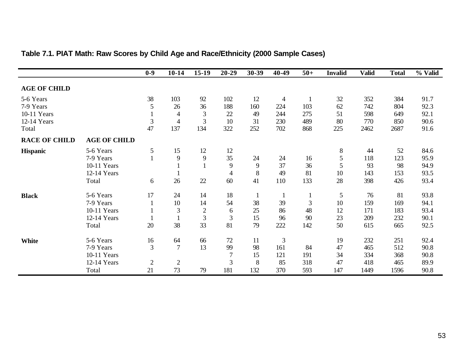|                      |                     | $0-9$          | $10 - 14$      | $15-19$        | $20 - 29$      | 30-39          | 40-49          | $50+$        | <b>Invalid</b> | <b>Valid</b> | <b>Total</b> | % Valid |
|----------------------|---------------------|----------------|----------------|----------------|----------------|----------------|----------------|--------------|----------------|--------------|--------------|---------|
| <b>AGE OF CHILD</b>  |                     |                |                |                |                |                |                |              |                |              |              |         |
| 5-6 Years            |                     | 38             | 103            | 92             | 102            | 12             | $\overline{4}$ | $\mathbf{1}$ | 32             | 352          | 384          | 91.7    |
| 7-9 Years            |                     | 5              | 26             | 36             | 188            | 160            | 224            | 103          | 62             | 742          | 804          | 92.3    |
| 10-11 Years          |                     |                | 4              | $\mathfrak{Z}$ | 22             | 49             | 244            | 275          | 51             | 598          | 649          | 92.1    |
| 12-14 Years          |                     | $\mathfrak{Z}$ | $\overline{4}$ | 3              | 10             | 31             | 230            | 489          | 80             | 770          | 850          | 90.6    |
| Total                |                     | 47             | 137            | 134            | 322            | 252            | 702            | 868          | 225            | 2462         | 2687         | 91.6    |
| <b>RACE OF CHILD</b> | <b>AGE OF CHILD</b> |                |                |                |                |                |                |              |                |              |              |         |
| <b>Hispanic</b>      | 5-6 Years           | $\mathfrak{S}$ | 15             | 12             | 12             |                |                |              | 8              | 44           | 52           | 84.6    |
|                      | 7-9 Years           |                | 9              | 9              | 35             | 24             | 24             | 16           | 5              | 118          | 123          | 95.9    |
|                      | 10-11 Years         |                |                |                | 9              | $\overline{9}$ | 37             | 36           | 5              | 93           | 98           | 94.9    |
|                      | 12-14 Years         |                |                |                | $\overline{4}$ | 8              | 49             | 81           | 10             | 143          | 153          | 93.5    |
|                      | Total               | 6              | 26             | 22             | 60             | 41             | 110            | 133          | 28             | 398          | 426          | 93.4    |
| <b>Black</b>         | 5-6 Years           | 17             | 24             | 14             | 18             | $\mathbf{1}$   | $\mathbf{1}$   | $\mathbf{1}$ | 5              | 76           | 81           | 93.8    |
|                      | 7-9 Years           |                | 10             | 14             | 54             | 38             | 39             | 3            | 10             | 159          | 169          | 94.1    |
|                      | 10-11 Years         |                | $\mathfrak{Z}$ | $\sqrt{2}$     | 6              | 25             | 86             | 48           | 12             | 171          | 183          | 93.4    |
|                      | 12-14 Years         |                |                | 3              | 3              | 15             | 96             | 90           | 23             | 209          | 232          | 90.1    |
|                      | Total               | 20             | 38             | 33             | 81             | 79             | 222            | 142          | 50             | 615          | 665          | 92.5    |
| <b>White</b>         | 5-6 Years           | 16             | 64             | 66             | 72             | 11             | $\mathfrak{Z}$ |              | 19             | 232          | 251          | 92.4    |
|                      | 7-9 Years           | 3              | 7              | 13             | 99             | 98             | 161            | 84           | 47             | 465          | 512          | 90.8    |
|                      | 10-11 Years         |                |                |                | 7              | 15             | 121            | 191          | 34             | 334          | 368          | 90.8    |
|                      | 12-14 Years         | $\mathbf{2}$   | $\mathbf{2}$   |                | 3              | 8              | 85             | 318          | 47             | 418          | 465          | 89.9    |
|                      | Total               | 21             | 73             | 79             | 181            | 132            | 370            | 593          | 147            | 1449         | 1596         | 90.8    |

## **Table 7.1. PIAT Math: Raw Scores by Child Age and Race/Ethnicity (2000 Sample Cases)**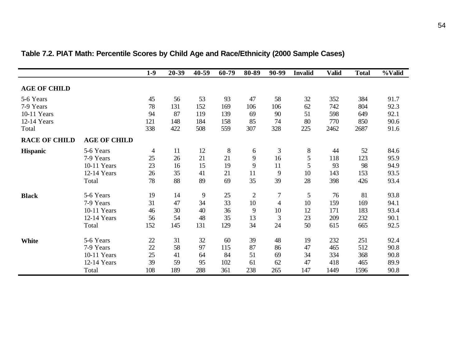|                      |                     | $1-9$  | 20-39 | 40-59 | 60-79   | 80-89          | 90-99          | <b>Invalid</b> | <b>Valid</b> | <b>Total</b> | %Valid |
|----------------------|---------------------|--------|-------|-------|---------|----------------|----------------|----------------|--------------|--------------|--------|
| <b>AGE OF CHILD</b>  |                     |        |       |       |         |                |                |                |              |              |        |
| 5-6 Years            |                     | 45     | 56    | 53    | 93      | 47             | 58             | 32             | 352          | 384          | 91.7   |
| 7-9 Years            |                     | 78     | 131   | 152   | 169     | 106            | 106            | 62             | 742          | 804          | 92.3   |
| 10-11 Years          |                     | 94     | 87    | 119   | 139     | 69             | 90             | 51             | 598          | 649          | 92.1   |
| 12-14 Years          |                     | 121    | 148   | 184   | 158     | 85             | 74             | 80             | 770          | 850          | 90.6   |
| Total                |                     | 338    | 422   | 508   | 559     | 307            | 328            | 225            | 2462         | 2687         | 91.6   |
| <b>RACE OF CHILD</b> | <b>AGE OF CHILD</b> |        |       |       |         |                |                |                |              |              |        |
| <b>Hispanic</b>      | 5-6 Years           | 4      | 11    | 12    | $\,8\,$ | 6              | 3              | 8              | 44           | 52           | 84.6   |
|                      | 7-9 Years           | 25     | 26    | 21    | 21      | 9              | 16             | 5              | 118          | 123          | 95.9   |
|                      | 10-11 Years         | 23     | 16    | 15    | 19      | 9              | 11             | 5              | 93           | 98           | 94.9   |
|                      | 12-14 Years         | 26     | 35    | 41    | 21      | 11             | 9              | 10             | 143          | 153          | 93.5   |
|                      | Total               | 78     | 88    | 89    | 69      | 35             | 39             | 28             | 398          | 426          | 93.4   |
| <b>Black</b>         | 5-6 Years           | 19     | 14    | 9     | 25      | $\overline{2}$ | $\overline{7}$ | 5              | 76           | 81           | 93.8   |
|                      | 7-9 Years           | 31     | 47    | 34    | 33      | 10             | $\overline{4}$ | 10             | 159          | 169          | 94.1   |
|                      | 10-11 Years         | 46     | 30    | 40    | 36      | 9              | 10             | 12             | 171          | 183          | 93.4   |
|                      | 12-14 Years         | 56     | 54    | 48    | 35      | 13             | 3              | 23             | 209          | 232          | 90.1   |
|                      | Total               | 152    | 145   | 131   | 129     | 34             | 24             | 50             | 615          | 665          | 92.5   |
| White                | 5-6 Years           | $22\,$ | 31    | 32    | 60      | 39             | 48             | 19             | 232          | 251          | 92.4   |
|                      | 7-9 Years           | 22     | 58    | 97    | 115     | 87             | 86             | 47             | 465          | 512          | 90.8   |
|                      | 10-11 Years         | 25     | 41    | 64    | 84      | 51             | 69             | 34             | 334          | 368          | 90.8   |
|                      | 12-14 Years         | 39     | 59    | 95    | 102     | 61             | 62             | 47             | 418          | 465          | 89.9   |
|                      | Total               | 108    | 189   | 288   | 361     | 238            | 265            | 147            | 1449         | 1596         | 90.8   |

## **Table 7.2. PIAT Math: Percentile Scores by Child Age and Race/Ethnicity (2000 Sample Cases)**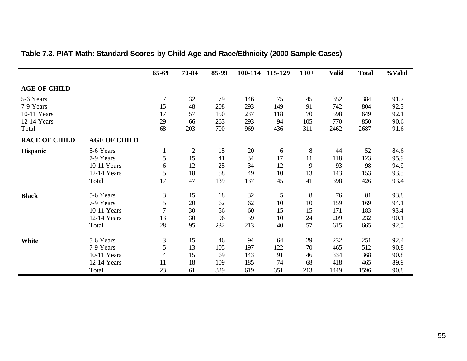|                      |                     | 65-69          | 70-84          | 85-99 | 100-114 | 115-129 | $130+$ | <b>Valid</b> | <b>Total</b> | %Valid |
|----------------------|---------------------|----------------|----------------|-------|---------|---------|--------|--------------|--------------|--------|
| <b>AGE OF CHILD</b>  |                     |                |                |       |         |         |        |              |              |        |
| 5-6 Years            |                     | $\tau$         | 32             | 79    | 146     | 75      | 45     | 352          | 384          | 91.7   |
| 7-9 Years            |                     | 15             | 48             | 208   | 293     | 149     | 91     | 742          | 804          | 92.3   |
| 10-11 Years          |                     | 17             | 57             | 150   | 237     | 118     | 70     | 598          | 649          | 92.1   |
| 12-14 Years          |                     | 29             | 66             | 263   | 293     | 94      | 105    | 770          | 850          | 90.6   |
| Total                |                     | 68             | 203            | 700   | 969     | 436     | 311    | 2462         | 2687         | 91.6   |
| <b>RACE OF CHILD</b> | <b>AGE OF CHILD</b> |                |                |       |         |         |        |              |              |        |
| Hispanic             | 5-6 Years           | $\mathbf{1}$   | $\overline{2}$ | 15    | 20      | 6       | $8\,$  | 44           | 52           | 84.6   |
|                      | 7-9 Years           | 5              | 15             | 41    | 34      | 17      | 11     | 118          | 123          | 95.9   |
|                      | 10-11 Years         | 6              | 12             | 25    | 34      | 12      | 9      | 93           | 98           | 94.9   |
|                      | 12-14 Years         | 5              | 18             | 58    | 49      | 10      | 13     | 143          | 153          | 93.5   |
|                      | Total               | 17             | 47             | 139   | 137     | 45      | 41     | 398          | 426          | 93.4   |
| <b>Black</b>         | 5-6 Years           | $\mathfrak{Z}$ | 15             | 18    | 32      | 5       | $8\,$  | 76           | 81           | 93.8   |
|                      | 7-9 Years           | 5              | 20             | 62    | 62      | 10      | 10     | 159          | 169          | 94.1   |
|                      | 10-11 Years         | 7              | 30             | 56    | 60      | 15      | 15     | 171          | 183          | 93.4   |
|                      | 12-14 Years         | 13             | 30             | 96    | 59      | 10      | 24     | 209          | 232          | 90.1   |
|                      | Total               | 28             | 95             | 232   | 213     | 40      | 57     | 615          | 665          | 92.5   |
| White                | 5-6 Years           | 3              | 15             | 46    | 94      | 64      | 29     | 232          | 251          | 92.4   |
|                      | 7-9 Years           | 5              | 13             | 105   | 197     | 122     | 70     | 465          | 512          | 90.8   |
|                      | 10-11 Years         | 4              | 15             | 69    | 143     | 91      | 46     | 334          | 368          | 90.8   |
|                      | 12-14 Years         | 11             | 18             | 109   | 185     | 74      | 68     | 418          | 465          | 89.9   |
|                      | Total               | 23             | 61             | 329   | 619     | 351     | 213    | 1449         | 1596         | 90.8   |

## **Table 7.3. PIAT Math: Standard Scores by Child Age and Race/Ethnicity (2000 Sample Cases)**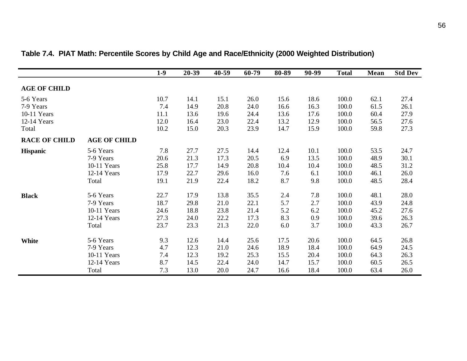|                      |                     | $1-9$ | 20-39 | 40-59 | 60-79 | 80-89 | 90-99 | <b>Total</b> | <b>Mean</b> | <b>Std Dev</b> |
|----------------------|---------------------|-------|-------|-------|-------|-------|-------|--------------|-------------|----------------|
| <b>AGE OF CHILD</b>  |                     |       |       |       |       |       |       |              |             |                |
| 5-6 Years            |                     | 10.7  | 14.1  | 15.1  | 26.0  | 15.6  | 18.6  | 100.0        | 62.1        | 27.4           |
| 7-9 Years            |                     | 7.4   | 14.9  | 20.8  | 24.0  | 16.6  | 16.3  | 100.0        | 61.5        | 26.1           |
| 10-11 Years          |                     | 11.1  | 13.6  | 19.6  | 24.4  | 13.6  | 17.6  | 100.0        | 60.4        | 27.9           |
| 12-14 Years          |                     | 12.0  | 16.4  | 23.0  | 22.4  | 13.2  | 12.9  | 100.0        | 56.5        | 27.6           |
| Total                |                     | 10.2  | 15.0  | 20.3  | 23.9  | 14.7  | 15.9  | 100.0        | 59.8        | 27.3           |
| <b>RACE OF CHILD</b> | <b>AGE OF CHILD</b> |       |       |       |       |       |       |              |             |                |
| <b>Hispanic</b>      | 5-6 Years           | 7.8   | 27.7  | 27.5  | 14.4  | 12.4  | 10.1  | 100.0        | 53.5        | 24.7           |
|                      | 7-9 Years           | 20.6  | 21.3  | 17.3  | 20.5  | 6.9   | 13.5  | 100.0        | 48.9        | 30.1           |
|                      | 10-11 Years         | 25.8  | 17.7  | 14.9  | 20.8  | 10.4  | 10.4  | 100.0        | 48.5        | 31.2           |
|                      | 12-14 Years         | 17.9  | 22.7  | 29.6  | 16.0  | 7.6   | 6.1   | 100.0        | 46.1        | 26.0           |
|                      | Total               | 19.1  | 21.9  | 22.4  | 18.2  | 8.7   | 9.8   | 100.0        | 48.5        | 28.4           |
| <b>Black</b>         | 5-6 Years           | 22.7  | 17.9  | 13.8  | 35.5  | 2.4   | 7.8   | 100.0        | 48.1        | 28.0           |
|                      | 7-9 Years           | 18.7  | 29.8  | 21.0  | 22.1  | 5.7   | 2.7   | 100.0        | 43.9        | 24.8           |
|                      | 10-11 Years         | 24.6  | 18.8  | 23.8  | 21.4  | 5.2   | 6.2   | 100.0        | 45.2        | 27.6           |
|                      | 12-14 Years         | 27.3  | 24.0  | 22.2  | 17.3  | 8.3   | 0.9   | 100.0        | 39.6        | 26.3           |
|                      | Total               | 23.7  | 23.3  | 21.3  | 22.0  | 6.0   | 3.7   | 100.0        | 43.3        | 26.7           |
| White                | 5-6 Years           | 9.3   | 12.6  | 14.4  | 25.6  | 17.5  | 20.6  | 100.0        | 64.5        | 26.8           |
|                      | 7-9 Years           | 4.7   | 12.3  | 21.0  | 24.6  | 18.9  | 18.4  | 100.0        | 64.9        | 24.5           |
|                      | 10-11 Years         | 7.4   | 12.3  | 19.2  | 25.3  | 15.5  | 20.4  | 100.0        | 64.3        | 26.3           |
|                      | 12-14 Years         | 8.7   | 14.5  | 22.4  | 24.0  | 14.7  | 15.7  | 100.0        | 60.5        | 26.5           |
|                      | Total               | 7.3   | 13.0  | 20.0  | 24.7  | 16.6  | 18.4  | 100.0        | 63.4        | 26.0           |

**Table 7.4. PIAT Math: Percentile Scores by Child Age and Race/Ethnicity (2000 Weighted Distribution)**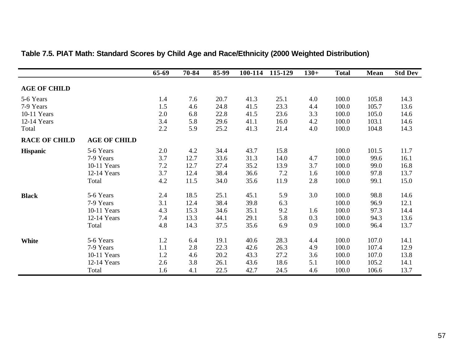|                      |                     | 65-69 | 70-84 | 85-99 | 100-114 | 115-129 | $130+$ | <b>Total</b> | Mean  | <b>Std Dev</b> |
|----------------------|---------------------|-------|-------|-------|---------|---------|--------|--------------|-------|----------------|
| <b>AGE OF CHILD</b>  |                     |       |       |       |         |         |        |              |       |                |
| 5-6 Years            |                     | 1.4   | 7.6   | 20.7  | 41.3    | 25.1    | 4.0    | 100.0        | 105.8 | 14.3           |
| 7-9 Years            |                     | 1.5   | 4.6   | 24.8  | 41.5    | 23.3    | 4.4    | 100.0        | 105.7 | 13.6           |
| 10-11 Years          |                     | 2.0   | 6.8   | 22.8  | 41.5    | 23.6    | 3.3    | 100.0        | 105.0 | 14.6           |
| 12-14 Years          |                     | 3.4   | 5.8   | 29.6  | 41.1    | 16.0    | 4.2    | 100.0        | 103.1 | 14.6           |
| Total                |                     | 2.2   | 5.9   | 25.2  | 41.3    | 21.4    | 4.0    | 100.0        | 104.8 | 14.3           |
| <b>RACE OF CHILD</b> | <b>AGE OF CHILD</b> |       |       |       |         |         |        |              |       |                |
| <b>Hispanic</b>      | 5-6 Years           | 2.0   | 4.2   | 34.4  | 43.7    | 15.8    |        | 100.0        | 101.5 | 11.7           |
|                      | 7-9 Years           | 3.7   | 12.7  | 33.6  | 31.3    | 14.0    | 4.7    | 100.0        | 99.6  | 16.1           |
|                      | 10-11 Years         | 7.2   | 12.7  | 27.4  | 35.2    | 13.9    | 3.7    | 100.0        | 99.0  | 16.8           |
|                      | 12-14 Years         | 3.7   | 12.4  | 38.4  | 36.6    | 7.2     | 1.6    | 100.0        | 97.8  | 13.7           |
|                      | Total               | 4.2   | 11.5  | 34.0  | 35.6    | 11.9    | 2.8    | 100.0        | 99.1  | 15.0           |
| <b>Black</b>         | 5-6 Years           | 2.4   | 18.5  | 25.1  | 45.1    | 5.9     | 3.0    | 100.0        | 98.8  | 14.6           |
|                      | 7-9 Years           | 3.1   | 12.4  | 38.4  | 39.8    | 6.3     |        | 100.0        | 96.9  | 12.1           |
|                      | 10-11 Years         | 4.3   | 15.3  | 34.6  | 35.1    | 9.2     | 1.6    | 100.0        | 97.3  | 14.4           |
|                      | 12-14 Years         | 7.4   | 13.3  | 44.1  | 29.1    | 5.8     | 0.3    | 100.0        | 94.3  | 13.6           |
|                      | Total               | 4.8   | 14.3  | 37.5  | 35.6    | 6.9     | 0.9    | 100.0        | 96.4  | 13.7           |
| <b>White</b>         | 5-6 Years           | 1.2   | 6.4   | 19.1  | 40.6    | 28.3    | 4.4    | 100.0        | 107.0 | 14.1           |
|                      | 7-9 Years           | 1.1   | 2.8   | 22.3  | 42.6    | 26.3    | 4.9    | 100.0        | 107.4 | 12.9           |
|                      | 10-11 Years         | 1.2   | 4.6   | 20.2  | 43.3    | 27.2    | 3.6    | 100.0        | 107.0 | 13.8           |
|                      | 12-14 Years         | 2.6   | 3.8   | 26.1  | 43.6    | 18.6    | 5.1    | 100.0        | 105.2 | 14.1           |
|                      | Total               | 1.6   | 4.1   | 22.5  | 42.7    | 24.5    | 4.6    | 100.0        | 106.6 | 13.7           |

## **Table 7.5. PIAT Math: Standard Scores by Child Age and Race/Ethnicity (2000 Weighted Distribution)**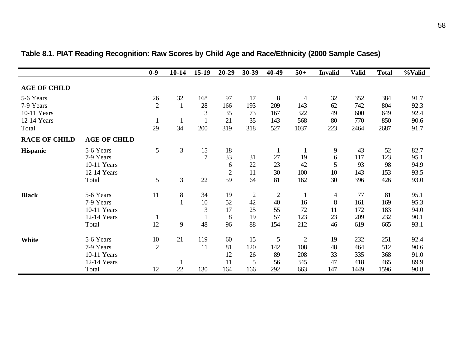|                      |                     | $0-9$          | $10 - 14$    | $15-19$        | $20 - 29$      | 30-39          | 40-49          | $50+$        | <b>Invalid</b> | <b>Valid</b> | <b>Total</b> | %Valid |
|----------------------|---------------------|----------------|--------------|----------------|----------------|----------------|----------------|--------------|----------------|--------------|--------------|--------|
| <b>AGE OF CHILD</b>  |                     |                |              |                |                |                |                |              |                |              |              |        |
| 5-6 Years            |                     | 26             | 32           | 168            | 97             | 17             | 8              | 4            | 32             | 352          | 384          | 91.7   |
| 7-9 Years            |                     | $\overline{2}$ | $\mathbf{1}$ | 28             | 166            | 193            | 209            | 143          | 62             | 742          | 804          | 92.3   |
| 10-11 Years          |                     |                |              | 3              | 35             | 73             | 167            | 322          | 49             | 600          | 649          | 92.4   |
| 12-14 Years          |                     |                | $\mathbf{1}$ |                | 21             | 35             | 143            | 568          | 80             | 770          | 850          | 90.6   |
| Total                |                     | 29             | 34           | 200            | 319            | 318            | 527            | 1037         | 223            | 2464         | 2687         | 91.7   |
| <b>RACE OF CHILD</b> | <b>AGE OF CHILD</b> |                |              |                |                |                |                |              |                |              |              |        |
| <b>Hispanic</b>      | 5-6 Years           | 5              | 3            | 15             | 18             |                | 1              |              | 9              | 43           | 52           | 82.7   |
|                      | 7-9 Years           |                |              | $\overline{7}$ | 33             | 31             | 27             | 19           | 6              | 117          | 123          | 95.1   |
|                      | 10-11 Years         |                |              |                | 6              | 22             | 23             | 42           | 5              | 93           | 98           | 94.9   |
|                      | 12-14 Years         |                |              |                | $\overline{c}$ | 11             | 30             | 100          | 10             | 143          | 153          | 93.5   |
|                      | Total               | 5              | 3            | 22             | 59             | 64             | 81             | 162          | 30             | 396          | 426          | 93.0   |
| <b>Black</b>         | 5-6 Years           | 11             | $8\,$        | 34             | 19             | $\overline{2}$ | $\overline{2}$ |              | $\overline{4}$ | 77           | 81           | 95.1   |
|                      | 7-9 Years           |                |              | 10             | 52             | 42             | 40             | 16           | 8              | 161          | 169          | 95.3   |
|                      | 10-11 Years         |                |              | 3              | 17             | 25             | 55             | 72           | 11             | 172          | 183          | 94.0   |
|                      | 12-14 Years         | -1             |              |                | $\,8\,$        | 19             | 57             | 123          | 23             | 209          | 232          | 90.1   |
|                      | Total               | 12             | 9            | 48             | 96             | 88             | 154            | 212          | 46             | 619          | 665          | 93.1   |
| White                | 5-6 Years           | 10             | 21           | 119            | 60             | 15             | 5              | $\mathbf{2}$ | 19             | 232          | 251          | 92.4   |
|                      | 7-9 Years           | $\overline{2}$ |              | 11             | 81             | 120            | 142            | 108          | 48             | 464          | 512          | 90.6   |
|                      | 10-11 Years         |                |              |                | 12             | 26             | 89             | 208          | 33             | 335          | 368          | 91.0   |
|                      | 12-14 Years         |                |              |                | 11             | 5              | 56             | 345          | 47             | 418          | 465          | 89.9   |
|                      | Total               | 12             | 22           | 130            | 164            | 166            | 292            | 663          | 147            | 1449         | 1596         | 90.8   |

## **Table 8.1. PIAT Reading Recognition: Raw Scores by Child Age and Race/Ethnicity (2000 Sample Cases)**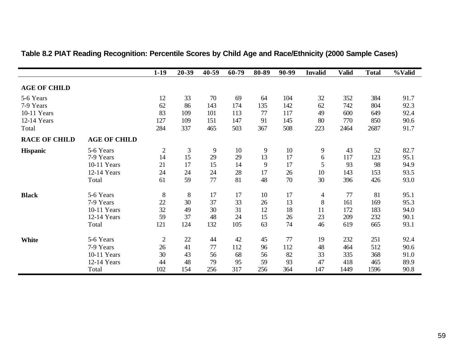|                      |                     | $1-19$       | 20-39   | $40 - 59$ | 60-79 | 80-89 | 90-99 | <b>Invalid</b> | <b>Valid</b> | <b>Total</b> | %Valid |
|----------------------|---------------------|--------------|---------|-----------|-------|-------|-------|----------------|--------------|--------------|--------|
| <b>AGE OF CHILD</b>  |                     |              |         |           |       |       |       |                |              |              |        |
| 5-6 Years            |                     | 12           | 33      | 70        | 69    | 64    | 104   | 32             | 352          | 384          | 91.7   |
| 7-9 Years            |                     | 62           | 86      | 143       | 174   | 135   | 142   | 62             | 742          | 804          | 92.3   |
| 10-11 Years          |                     | 83           | 109     | 101       | 113   | 77    | 117   | 49             | 600          | 649          | 92.4   |
| 12-14 Years          |                     | 127          | 109     | 151       | 147   | 91    | 145   | 80             | 770          | 850          | 90.6   |
| Total                |                     | 284          | 337     | 465       | 503   | 367   | 508   | 223            | 2464         | 2687         | 91.7   |
| <b>RACE OF CHILD</b> | <b>AGE OF CHILD</b> |              |         |           |       |       |       |                |              |              |        |
| <b>Hispanic</b>      | 5-6 Years           | $\sqrt{2}$   | 3       | 9         | 10    | 9     | 10    | 9              | 43           | 52           | 82.7   |
|                      | 7-9 Years           | 14           | 15      | 29        | 29    | 13    | 17    | 6              | 117          | 123          | 95.1   |
|                      | 10-11 Years         | 21           | 17      | 15        | 14    | 9     | 17    | 5              | 93           | 98           | 94.9   |
|                      | 12-14 Years         | 24           | 24      | 24        | 28    | 17    | 26    | 10             | 143          | 153          | 93.5   |
|                      | Total               | 61           | 59      | 77        | 81    | 48    | 70    | 30             | 396          | 426          | 93.0   |
| <b>Black</b>         | 5-6 Years           | $\,8\,$      | $\,8\,$ | 17        | 17    | 10    | 17    | $\overline{4}$ | 77           | 81           | 95.1   |
|                      | 7-9 Years           | 22           | 30      | 37        | 33    | 26    | 13    | 8              | 161          | 169          | 95.3   |
|                      | 10-11 Years         | 32           | 49      | 30        | 31    | 12    | 18    | 11             | 172          | 183          | 94.0   |
|                      | 12-14 Years         | 59           | 37      | 48        | 24    | 15    | 26    | 23             | 209          | 232          | 90.1   |
|                      | Total               | 121          | 124     | 132       | 105   | 63    | 74    | 46             | 619          | 665          | 93.1   |
| <b>White</b>         | 5-6 Years           | $\mathbf{2}$ | 22      | 44        | 42    | 45    | 77    | 19             | 232          | 251          | 92.4   |
|                      | 7-9 Years           | 26           | 41      | 77        | 112   | 96    | 112   | 48             | 464          | 512          | 90.6   |
|                      | 10-11 Years         | 30           | 43      | 56        | 68    | 56    | 82    | 33             | 335          | 368          | 91.0   |
|                      | 12-14 Years         | 44           | 48      | 79        | 95    | 59    | 93    | 47             | 418          | 465          | 89.9   |
|                      | Total               | 102          | 154     | 256       | 317   | 256   | 364   | 147            | 1449         | 1596         | 90.8   |

### **Table 8.2 PIAT Reading Recognition: Percentile Scores by Child Age and Race/Ethnicity (2000 Sample Cases)**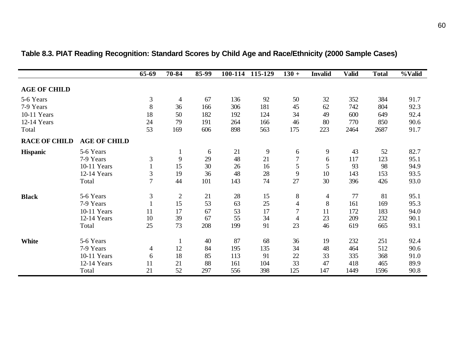|                      |                     | 65-69          | 70-84          | 85-99 | 100-114 | 115-129 | $130 +$        | <b>Invalid</b> | <b>Valid</b> | <b>Total</b> | %Valid |
|----------------------|---------------------|----------------|----------------|-------|---------|---------|----------------|----------------|--------------|--------------|--------|
| <b>AGE OF CHILD</b>  |                     |                |                |       |         |         |                |                |              |              |        |
| 5-6 Years            |                     | $\mathfrak{Z}$ | $\overline{4}$ | 67    | 136     | 92      | 50             | 32             | 352          | 384          | 91.7   |
| 7-9 Years            |                     | 8              | 36             | 166   | 306     | 181     | 45             | 62             | 742          | 804          | 92.3   |
| 10-11 Years          |                     | 18             | 50             | 182   | 192     | 124     | 34             | 49             | 600          | 649          | 92.4   |
| 12-14 Years          |                     | 24             | 79             | 191   | 264     | 166     | 46             | 80             | 770          | 850          | 90.6   |
| Total                |                     | 53             | 169            | 606   | 898     | 563     | 175            | 223            | 2464         | 2687         | 91.7   |
| <b>RACE OF CHILD</b> | <b>AGE OF CHILD</b> |                |                |       |         |         |                |                |              |              |        |
| <b>Hispanic</b>      | 5-6 Years           |                |                | 6     | 21      | 9       | 6              | 9              | 43           | 52           | 82.7   |
|                      | 7-9 Years           | $\mathfrak{Z}$ | 9              | 29    | 48      | 21      | 7              | 6              | 117          | 123          | 95.1   |
|                      | 10-11 Years         |                | 15             | 30    | 26      | 16      | 5              | 5              | 93           | 98           | 94.9   |
|                      | 12-14 Years         | 3              | 19             | 36    | 48      | 28      | 9              | 10             | 143          | 153          | 93.5   |
|                      | Total               | $\overline{7}$ | 44             | 101   | 143     | 74      | 27             | 30             | 396          | 426          | 93.0   |
| <b>Black</b>         | 5-6 Years           | $\mathfrak{Z}$ | $\overline{2}$ | 21    | 28      | 15      | $\, 8$         | 4              | 77           | 81           | 95.1   |
|                      | 7-9 Years           |                | 15             | 53    | 63      | 25      | $\overline{4}$ | 8              | 161          | 169          | 95.3   |
|                      | 10-11 Years         | 11             | 17             | 67    | 53      | 17      | $\tau$         | 11             | 172          | 183          | 94.0   |
|                      | 12-14 Years         | 10             | 39             | 67    | 55      | 34      | $\overline{4}$ | 23             | 209          | 232          | 90.1   |
|                      | Total               | 25             | 73             | 208   | 199     | 91      | 23             | 46             | 619          | 665          | 93.1   |
| <b>White</b>         | 5-6 Years           |                |                | 40    | 87      | 68      | 36             | 19             | 232          | 251          | 92.4   |
|                      | 7-9 Years           | 4              | 12             | 84    | 195     | 135     | 34             | 48             | 464          | 512          | 90.6   |
|                      | 10-11 Years         | 6              | 18             | 85    | 113     | 91      | 22             | 33             | 335          | 368          | 91.0   |
|                      | 12-14 Years         | 11             | 21             | 88    | 161     | 104     | 33             | 47             | 418          | 465          | 89.9   |
|                      | Total               | 21             | 52             | 297   | 556     | 398     | 125            | 147            | 1449         | 1596         | 90.8   |

**Table 8.3. PIAT Reading Recognition: Standard Scores by Child Age and Race/Ethnicity (2000 Sample Cases)**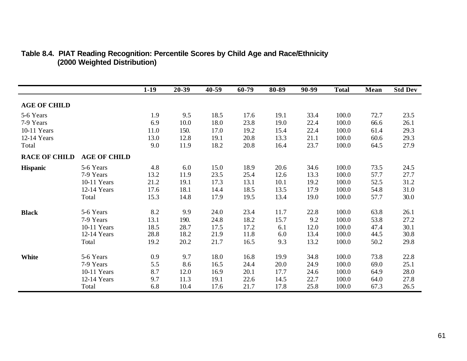|                      |                     | $1-19$ | 20-39 | 40-59 | 60-79 | 80-89 | 90-99 | <b>Total</b> | Mean | <b>Std Dev</b> |
|----------------------|---------------------|--------|-------|-------|-------|-------|-------|--------------|------|----------------|
| <b>AGE OF CHILD</b>  |                     |        |       |       |       |       |       |              |      |                |
| 5-6 Years            |                     | 1.9    | 9.5   | 18.5  | 17.6  | 19.1  | 33.4  | 100.0        | 72.7 | 23.5           |
| 7-9 Years            |                     | 6.9    | 10.0  | 18.0  | 23.8  | 19.0  | 22.4  | 100.0        | 66.6 | 26.1           |
| 10-11 Years          |                     | 11.0   | 150.  | 17.0  | 19.2  | 15.4  | 22.4  | 100.0        | 61.4 | 29.3           |
| 12-14 Years          |                     | 13.0   | 12.8  | 19.1  | 20.8  | 13.3  | 21.1  | 100.0        | 60.6 | 29.3           |
| Total                |                     | 9.0    | 11.9  | 18.2  | 20.8  | 16.4  | 23.7  | 100.0        | 64.5 | 27.9           |
| <b>RACE OF CHILD</b> | <b>AGE OF CHILD</b> |        |       |       |       |       |       |              |      |                |
| <b>Hispanic</b>      | 5-6 Years           | 4.8    | 6.0   | 15.0  | 18.9  | 20.6  | 34.6  | 100.0        | 73.5 | 24.5           |
|                      | 7-9 Years           | 13.2   | 11.9  | 23.5  | 25.4  | 12.6  | 13.3  | 100.0        | 57.7 | 27.7           |
|                      | 10-11 Years         | 21.2   | 19.1  | 17.3  | 13.1  | 10.1  | 19.2  | 100.0        | 52.5 | 31.2           |
|                      | 12-14 Years         | 17.6   | 18.1  | 14.4  | 18.5  | 13.5  | 17.9  | 100.0        | 54.8 | 31.0           |
|                      | Total               | 15.3   | 14.8  | 17.9  | 19.5  | 13.4  | 19.0  | 100.0        | 57.7 | 30.0           |
| <b>Black</b>         | 5-6 Years           | 8.2    | 9.9   | 24.0  | 23.4  | 11.7  | 22.8  | 100.0        | 63.8 | 26.1           |
|                      | 7-9 Years           | 13.1   | 190.  | 24.8  | 18.2  | 15.7  | 9.2   | 100.0        | 53.8 | 27.2           |
|                      | 10-11 Years         | 18.5   | 28.7  | 17.5  | 17.2  | 6.1   | 12.0  | 100.0        | 47.4 | 30.1           |
|                      | 12-14 Years         | 28.8   | 18.2  | 21.9  | 11.8  | 6.0   | 13.4  | 100.0        | 44.5 | 30.8           |
|                      | Total               | 19.2   | 20.2  | 21.7  | 16.5  | 9.3   | 13.2  | 100.0        | 50.2 | 29.8           |
| <b>White</b>         | 5-6 Years           | 0.9    | 9.7   | 18.0  | 16.8  | 19.9  | 34.8  | 100.0        | 73.8 | 22.8           |
|                      | 7-9 Years           | 5.5    | 8.6   | 16.5  | 24.4  | 20.0  | 24.9  | 100.0        | 69.0 | 25.1           |
|                      | 10-11 Years         | 8.7    | 12.0  | 16.9  | 20.1  | 17.7  | 24.6  | 100.0        | 64.9 | 28.0           |
|                      | 12-14 Years         | 9.7    | 11.3  | 19.1  | 22.6  | 14.5  | 22.7  | 100.0        | 64.0 | 27.8           |
|                      | Total               | 6.8    | 10.4  | 17.6  | 21.7  | 17.8  | 25.8  | 100.0        | 67.3 | 26.5           |

#### **Table 8.4. PIAT Reading Recognition: Percentile Scores by Child Age and Race/Ethnicity (2000 Weighted Distribution)**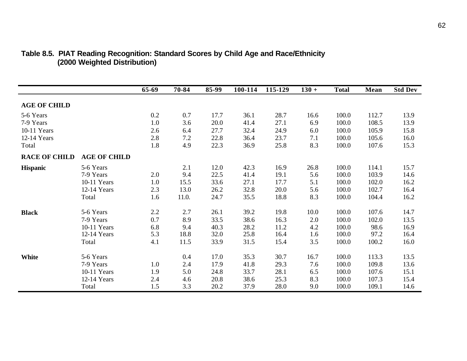|                      |                     | 65-69 | 70-84 | 85-99 | 100-114 | 115-129 | $130 +$ | <b>Total</b> | <b>Mean</b> | <b>Std Dev</b> |
|----------------------|---------------------|-------|-------|-------|---------|---------|---------|--------------|-------------|----------------|
| <b>AGE OF CHILD</b>  |                     |       |       |       |         |         |         |              |             |                |
| 5-6 Years            |                     | 0.2   | 0.7   | 17.7  | 36.1    | 28.7    | 16.6    | 100.0        | 112.7       | 13.9           |
| 7-9 Years            |                     | 1.0   | 3.6   | 20.0  | 41.4    | 27.1    | 6.9     | 100.0        | 108.5       | 13.9           |
| 10-11 Years          |                     | 2.6   | 6.4   | 27.7  | 32.4    | 24.9    | 6.0     | 100.0        | 105.9       | 15.8           |
| 12-14 Years          |                     | 2.8   | 7.2   | 22.8  | 36.4    | 23.7    | 7.1     | 100.0        | 105.6       | 16.0           |
| Total                |                     | 1.8   | 4.9   | 22.3  | 36.9    | 25.8    | 8.3     | 100.0        | 107.6       | 15.3           |
| <b>RACE OF CHILD</b> | <b>AGE OF CHILD</b> |       |       |       |         |         |         |              |             |                |
| <b>Hispanic</b>      | 5-6 Years           |       | 2.1   | 12.0  | 42.3    | 16.9    | 26.8    | 100.0        | 114.1       | 15.7           |
|                      | 7-9 Years           | 2.0   | 9.4   | 22.5  | 41.4    | 19.1    | 5.6     | 100.0        | 103.9       | 14.6           |
|                      | 10-11 Years         | 1.0   | 15.5  | 33.6  | 27.1    | 17.7    | 5.1     | 100.0        | 102.0       | 16.2           |
|                      | 12-14 Years         | 2.3   | 13.0  | 26.2  | 32.8    | 20.0    | 5.6     | 100.0        | 102.7       | 16.4           |
|                      | Total               | 1.6   | 11.0. | 24.7  | 35.5    | 18.8    | 8.3     | 100.0        | 104.4       | 16.2           |
| <b>Black</b>         | 5-6 Years           | 2.2   | 2.7   | 26.1  | 39.2    | 19.8    | 10.0    | 100.0        | 107.6       | 14.7           |
|                      | 7-9 Years           | 0.7   | 8.9   | 33.5  | 38.6    | 16.3    | 2.0     | 100.0        | 102.0       | 13.5           |
|                      | 10-11 Years         | 6.8   | 9.4   | 40.3  | 28.2    | 11.2    | 4.2     | 100.0        | 98.6        | 16.9           |
|                      | 12-14 Years         | 5.3   | 18.8  | 32.0  | 25.8    | 16.4    | 1.6     | 100.0        | 97.2        | 16.4           |
|                      | Total               | 4.1   | 11.5  | 33.9  | 31.5    | 15.4    | 3.5     | 100.0        | 100.2       | 16.0           |
| <b>White</b>         | 5-6 Years           |       | 0.4   | 17.0  | 35.3    | 30.7    | 16.7    | 100.0        | 113.3       | 13.5           |
|                      | 7-9 Years           | 1.0   | 2.4   | 17.9  | 41.8    | 29.3    | 7.6     | 100.0        | 109.8       | 13.6           |
|                      | 10-11 Years         | 1.9   | 5.0   | 24.8  | 33.7    | 28.1    | 6.5     | 100.0        | 107.6       | 15.1           |
|                      | 12-14 Years         | 2.4   | 4.6   | 20.8  | 38.6    | 25.3    | 8.3     | 100.0        | 107.3       | 15.4           |
|                      | Total               | 1.5   | 3.3   | 20.2  | 37.9    | 28.0    | 9.0     | 100.0        | 109.1       | 14.6           |

### **Table 8.5. PIAT Reading Recognition: Standard Scores by Child Age and Race/Ethnicity (2000 Weighted Distribution)**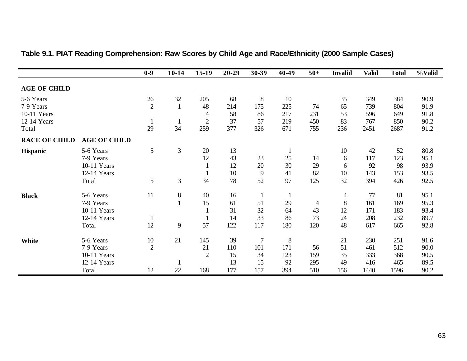|                      |                     | $0-9$          | $10-14$        | $15-19$        | $20 - 29$ | 30-39          | 40-49        | $50+$          | <b>Invalid</b> | <b>Valid</b> | <b>Total</b> | %Valid |
|----------------------|---------------------|----------------|----------------|----------------|-----------|----------------|--------------|----------------|----------------|--------------|--------------|--------|
| <b>AGE OF CHILD</b>  |                     |                |                |                |           |                |              |                |                |              |              |        |
| 5-6 Years            |                     | 26             | 32             | 205            | 68        | $8\phantom{.}$ | 10           |                | 35             | 349          | 384          | 90.9   |
| 7-9 Years            |                     | $\overline{2}$ | $\mathbf{1}$   | 48             | 214       | 175            | 225          | 74             | 65             | 739          | 804          | 91.9   |
| 10-11 Years          |                     |                |                | 4              | 58        | 86             | 217          | 231            | 53             | 596          | 649          | 91.8   |
| 12-14 Years          |                     | $\mathbf{1}$   | $\mathbf{1}$   | $\overline{2}$ | 37        | 57             | 219          | 450            | 83             | 767          | 850          | 90.2   |
| Total                |                     | 29             | 34             | 259            | 377       | 326            | 671          | 755            | 236            | 2451         | 2687         | 91.2   |
| <b>RACE OF CHILD</b> | <b>AGE OF CHILD</b> |                |                |                |           |                |              |                |                |              |              |        |
| <b>Hispanic</b>      | 5-6 Years           | 5              | $\mathfrak{Z}$ | 20             | 13        |                | 1            |                | 10             | 42           | 52           | 80.8   |
|                      | 7-9 Years           |                |                | 12             | 43        | 23             | 25           | 14             | 6              | 117          | 123          | 95.1   |
|                      | 10-11 Years         |                |                |                | 12        | 20             | 30           | 29             | 6              | 92           | 98           | 93.9   |
|                      | 12-14 Years         |                |                |                | 10        | 9              | 41           | 82             | 10             | 143          | 153          | 93.5   |
|                      | Total               | 5              | $\mathfrak{Z}$ | 34             | 78        | 52             | 97           | 125            | 32             | 394          | 426          | 92.5   |
| <b>Black</b>         | 5-6 Years           | 11             | $8\,$          | 40             | 16        | $\mathbf{1}$   | $\mathbf{1}$ |                | $\overline{4}$ | 77           | 81           | 95.1   |
|                      | 7-9 Years           |                | $\mathbf{1}$   | 15             | 61        | 51             | 29           | $\overline{4}$ | 8              | 161          | 169          | 95.3   |
|                      | 10-11 Years         |                |                |                | 31        | 32             | 64           | 43             | 12             | 171          | 183          | 93.4   |
|                      | 12-14 Years         | 1              |                |                | 14        | 33             | 86           | 73             | 24             | 208          | 232          | 89.7   |
|                      | Total               | 12             | 9              | 57             | 122       | 117            | 180          | 120            | 48             | 617          | 665          | 92.8   |
| <b>White</b>         | 5-6 Years           | 10             | 21             | 145            | 39        | $\overline{7}$ | 8            |                | 21             | 230          | 251          | 91.6   |
|                      | 7-9 Years           | $\overline{2}$ |                | 21             | 110       | 101            | 171          | 56             | 51             | 461          | 512          | 90.0   |
|                      | 10-11 Years         |                |                | $\overline{2}$ | 15        | 34             | 123          | 159            | 35             | 333          | 368          | 90.5   |
|                      | 12-14 Years         |                |                |                | 13        | 15             | 92           | 295            | 49             | 416          | 465          | 89.5   |
|                      | Total               | 12             | 22             | 168            | 177       | 157            | 394          | 510            | 156            | 1440         | 1596         | 90.2   |

## **Table 9.1. PIAT Reading Comprehension: Raw Scores by Child Age and Race/Ethnicity (2000 Sample Cases)**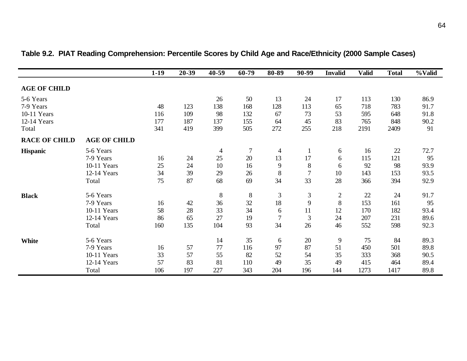|                      |                     | $1-19$ | 20-39 | 40-59          | 60-79  | 80-89          | 90-99          | <b>Invalid</b>   | <b>Valid</b> | <b>Total</b> | %Valid |
|----------------------|---------------------|--------|-------|----------------|--------|----------------|----------------|------------------|--------------|--------------|--------|
| <b>AGE OF CHILD</b>  |                     |        |       |                |        |                |                |                  |              |              |        |
| 5-6 Years            |                     |        |       | 26             | 50     | 13             | 24             | 17               | 113          | 130          | 86.9   |
| 7-9 Years            |                     | 48     | 123   | 138            | 168    | 128            | 113            | 65               | 718          | 783          | 91.7   |
| 10-11 Years          |                     | 116    | 109   | 98             | 132    | 67             | 73             | 53               | 595          | 648          | 91.8   |
| 12-14 Years          |                     | 177    | 187   | 137            | 155    | 64             | 45             | 83               | 765          | 848          | 90.2   |
| Total                |                     | 341    | 419   | 399            | 505    | 272            | 255            | 218              | 2191         | 2409         | 91     |
| <b>RACE OF CHILD</b> | <b>AGE OF CHILD</b> |        |       |                |        |                |                |                  |              |              |        |
| <b>Hispanic</b>      | 5-6 Years           |        |       | $\overline{4}$ | $\tau$ | 4              |                | 6                | 16           | 22           | 72.7   |
|                      | 7-9 Years           | 16     | 24    | 25             | 20     | 13             | 17             | 6                | 115          | 121          | 95     |
|                      | 10-11 Years         | 25     | 24    | 10             | 16     | 9              | 8              | 6                | 92           | 98           | 93.9   |
|                      | 12-14 Years         | 34     | 39    | 29             | 26     | $8\,$          | $\overline{7}$ | 10               | 143          | 153          | 93.5   |
|                      | Total               | 75     | 87    | 68             | 69     | 34             | 33             | 28               | 366          | 394          | 92.9   |
| <b>Black</b>         | 5-6 Years           |        |       | $\,8\,$        | $\, 8$ | $\mathfrak{Z}$ | $\mathfrak{Z}$ | $\boldsymbol{2}$ | 22           | 24           | 91.7   |
|                      | 7-9 Years           | 16     | 42    | 36             | 32     | 18             | 9              | $\, 8$           | 153          | 161          | 95     |
|                      | 10-11 Years         | 58     | 28    | 33             | 34     | 6              | 11             | 12               | 170          | 182          | 93.4   |
|                      | 12-14 Years         | 86     | 65    | 27             | 19     | 7              | 3              | 24               | 207          | 231          | 89.6   |
|                      | Total               | 160    | 135   | 104            | 93     | 34             | 26             | 46               | 552          | 598          | 92.3   |
| <b>White</b>         | 5-6 Years           |        |       | 14             | 35     | 6              | $20\,$         | 9                | 75           | 84           | 89.3   |
|                      | 7-9 Years           | 16     | 57    | 77             | 116    | 97             | 87             | 51               | 450          | 501          | 89.8   |
|                      | 10-11 Years         | 33     | 57    | 55             | 82     | 52             | 54             | 35               | 333          | 368          | 90.5   |
|                      | 12-14 Years         | 57     | 83    | 81             | 110    | 49             | 35             | 49               | 415          | 464          | 89.4   |
|                      | Total               | 106    | 197   | 227            | 343    | 204            | 196            | 144              | 1273         | 1417         | 89.8   |

**Table 9.2. PIAT Reading Comprehension: Percentile Scores by Child Age and Race/Ethnicity (2000 Sample Cases)**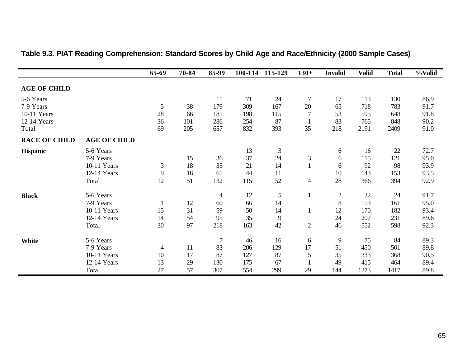|                      |                     | 65-69          | 70-84 | 85-99          |     | 100-114 115-129 | $130+$         | <b>Invalid</b> | <b>Valid</b> | <b>Total</b> | %Valid |
|----------------------|---------------------|----------------|-------|----------------|-----|-----------------|----------------|----------------|--------------|--------------|--------|
| <b>AGE OF CHILD</b>  |                     |                |       |                |     |                 |                |                |              |              |        |
| 5-6 Years            |                     |                |       | 11             | 71  | 24              | $\tau$         | 17             | 113          | 130          | 86.9   |
| 7-9 Years            |                     | 5              | 38    | 179            | 309 | 167             | 20             | 65             | 718          | 783          | 91.7   |
| 10-11 Years          |                     | 28             | 66    | 181            | 198 | 115             | $\overline{7}$ | 53             | 595          | 648          | 91.8   |
| 12-14 Years          |                     | 36             | 101   | 286            | 254 | 87              |                | 83             | 765          | 848          | 90.2   |
| Total                |                     | 69             | 205   | 657            | 832 | 393             | 35             | 218            | 2191         | 2409         | 91.0   |
| <b>RACE OF CHILD</b> | <b>AGE OF CHILD</b> |                |       |                |     |                 |                |                |              |              |        |
| <b>Hispanic</b>      | 5-6 Years           |                |       |                | 13  | $\mathfrak{Z}$  |                | 6              | 16           | 22           | 72.7   |
|                      | 7-9 Years           |                | 15    | 36             | 37  | 24              | $\mathfrak{Z}$ | 6              | 115          | 121          | 95.0   |
|                      | 10-11 Years         | $\mathfrak{Z}$ | 18    | 35             | 21  | 14              |                | 6              | 92           | 98           | 93.9   |
|                      | 12-14 Years         | 9              | 18    | 61             | 44  | 11              |                | 10             | 143          | 153          | 93.5   |
|                      | Total               | 12             | 51    | 132            | 115 | 52              | $\overline{4}$ | 28             | 366          | 394          | 92.9   |
| <b>Black</b>         | 5-6 Years           |                |       | $\overline{4}$ | 12  | 5               | $\mathbf{1}$   | $\overline{c}$ | $22\,$       | 24           | 91.7   |
|                      | 7-9 Years           |                | 12    | 60             | 66  | 14              |                | $\,8\,$        | 153          | 161          | 95.0   |
|                      | 10-11 Years         | 15             | 31    | 59             | 50  | 14              |                | 12             | 170          | 182          | 93.4   |
|                      | 12-14 Years         | 14             | 54    | 95             | 35  | 9               |                | 24             | 207          | 231          | 89.6   |
|                      | Total               | 30             | 97    | 218            | 163 | 42              | $\overline{2}$ | 46             | 552          | 598          | 92.3   |
| White                | 5-6 Years           |                |       | $\tau$         | 46  | 16              | 6              | 9              | 75           | 84           | 89.3   |
|                      | 7-9 Years           | $\overline{4}$ | 11    | 83             | 206 | 129             | 17             | 51             | 450          | 501          | 89.8   |
|                      | 10-11 Years         | 10             | 17    | 87             | 127 | 87              | 5              | 35             | 333          | 368          | 90.5   |
|                      | 12-14 Years         | 13             | 29    | 130            | 175 | 67              |                | 49             | 415          | 464          | 89.4   |
|                      | Total               | 27             | 57    | 307            | 554 | 299             | 29             | 144            | 1273         | 1417         | 89.8   |

### **Table 9.3. PIAT Reading Comprehension: Standard Scores by Child Age and Race/Ethnicity (2000 Sample Cases)**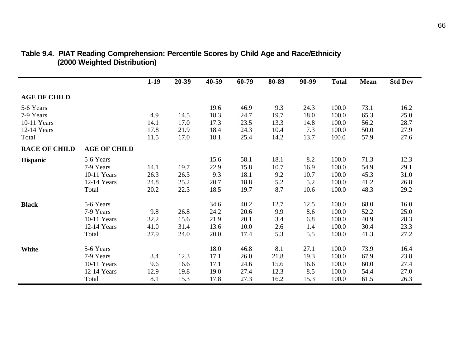|                      |                     | $1-19$ | 20-39 | 40-59 | 60-79 | 80-89 | 90-99 | <b>Total</b> | Mean | <b>Std Dev</b> |
|----------------------|---------------------|--------|-------|-------|-------|-------|-------|--------------|------|----------------|
| <b>AGE OF CHILD</b>  |                     |        |       |       |       |       |       |              |      |                |
| 5-6 Years            |                     |        |       | 19.6  | 46.9  | 9.3   | 24.3  | 100.0        | 73.1 | 16.2           |
| 7-9 Years            |                     | 4.9    | 14.5  | 18.3  | 24.7  | 19.7  | 18.0  | 100.0        | 65.3 | 25.0           |
| 10-11 Years          |                     | 14.1   | 17.0  | 17.3  | 23.5  | 13.3  | 14.8  | 100.0        | 56.2 | 28.7           |
| 12-14 Years          |                     | 17.8   | 21.9  | 18.4  | 24.3  | 10.4  | 7.3   | 100.0        | 50.0 | 27.9           |
| Total                |                     | 11.5   | 17.0  | 18.1  | 25.4  | 14.2  | 13.7  | 100.0        | 57.9 | 27.6           |
| <b>RACE OF CHILD</b> | <b>AGE OF CHILD</b> |        |       |       |       |       |       |              |      |                |
| <b>Hispanic</b>      | 5-6 Years           |        |       | 15.6  | 58.1  | 18.1  | 8.2   | 100.0        | 71.3 | 12.3           |
|                      | 7-9 Years           | 14.1   | 19.7  | 22.9  | 15.8  | 10.7  | 16.9  | 100.0        | 54.9 | 29.1           |
|                      | 10-11 Years         | 26.3   | 26.3  | 9.3   | 18.1  | 9.2   | 10.7  | 100.0        | 45.3 | 31.0           |
|                      | 12-14 Years         | 24.8   | 25.2  | 20.7  | 18.8  | 5.2   | 5.2   | 100.0        | 41.2 | 26.8           |
|                      | Total               | 20.2   | 22.3  | 18.5  | 19.7  | 8.7   | 10.6  | 100.0        | 48.3 | 29.2           |
| <b>Black</b>         | 5-6 Years           |        |       | 34.6  | 40.2  | 12.7  | 12.5  | 100.0        | 68.0 | 16.0           |
|                      | 7-9 Years           | 9.8    | 26.8  | 24.2  | 20.6  | 9.9   | 8.6   | 100.0        | 52.2 | 25.0           |
|                      | 10-11 Years         | 32.2   | 15.6  | 21.9  | 20.1  | 3.4   | 6.8   | 100.0        | 40.9 | 28.3           |
|                      | 12-14 Years         | 41.0   | 31.4  | 13.6  | 10.0  | 2.6   | 1.4   | 100.0        | 30.4 | 23.3           |
|                      | Total               | 27.9   | 24.0  | 20.0  | 17.4  | 5.3   | 5.5   | 100.0        | 41.3 | 27.2           |
| <b>White</b>         | 5-6 Years           |        |       | 18.0  | 46.8  | 8.1   | 27.1  | 100.0        | 73.9 | 16.4           |
|                      | 7-9 Years           | 3.4    | 12.3  | 17.1  | 26.0  | 21.8  | 19.3  | 100.0        | 67.9 | 23.8           |
|                      | 10-11 Years         | 9.6    | 16.6  | 17.1  | 24.6  | 15.6  | 16.6  | 100.0        | 60.0 | 27.4           |
|                      | 12-14 Years         | 12.9   | 19.8  | 19.0  | 27.4  | 12.3  | 8.5   | 100.0        | 54.4 | 27.0           |
|                      | Total               | 8.1    | 15.3  | 17.8  | 27.3  | 16.2  | 15.3  | 100.0        | 61.5 | 26.3           |

#### **Table 9.4. PIAT Reading Comprehension: Percentile Scores by Child Age and Race/Ethnicity (2000 Weighted Distribution)**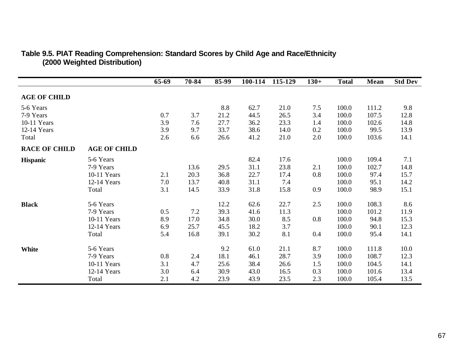|                      |                     | $65-69$ | 70-84 | 85-99 | 100-114 | 115-129 | $130+$ | <b>Total</b> | Mean  | <b>Std Dev</b> |
|----------------------|---------------------|---------|-------|-------|---------|---------|--------|--------------|-------|----------------|
| <b>AGE OF CHILD</b>  |                     |         |       |       |         |         |        |              |       |                |
| 5-6 Years            |                     |         |       | 8.8   | 62.7    | 21.0    | 7.5    | 100.0        | 111.2 | 9.8            |
| 7-9 Years            |                     | 0.7     | 3.7   | 21.2  | 44.5    | 26.5    | 3.4    | 100.0        | 107.5 | 12.8           |
| 10-11 Years          |                     | 3.9     | 7.6   | 27.7  | 36.2    | 23.3    | 1.4    | 100.0        | 102.6 | 14.8           |
| 12-14 Years          |                     | 3.9     | 9.7   | 33.7  | 38.6    | 14.0    | 0.2    | 100.0        | 99.5  | 13.9           |
| Total                |                     | 2.6     | 6.6   | 26.6  | 41.2    | 21.0    | 2.0    | 100.0        | 103.6 | 14.1           |
| <b>RACE OF CHILD</b> | <b>AGE OF CHILD</b> |         |       |       |         |         |        |              |       |                |
| <b>Hispanic</b>      | 5-6 Years           |         |       |       | 82.4    | 17.6    |        | 100.0        | 109.4 | 7.1            |
|                      | 7-9 Years           |         | 13.6  | 29.5  | 31.1    | 23.8    | 2.1    | 100.0        | 102.7 | 14.8           |
|                      | 10-11 Years         | 2.1     | 20.3  | 36.8  | 22.7    | 17.4    | 0.8    | 100.0        | 97.4  | 15.7           |
|                      | 12-14 Years         | 7.0     | 13.7  | 40.8  | 31.1    | 7.4     |        | 100.0        | 95.1  | 14.2           |
|                      | Total               | 3.1     | 14.5  | 33.9  | 31.8    | 15.8    | 0.9    | 100.0        | 98.9  | 15.1           |
| <b>Black</b>         | 5-6 Years           |         |       | 12.2  | 62.6    | 22.7    | 2.5    | 100.0        | 108.3 | 8.6            |
|                      | 7-9 Years           | 0.5     | 7.2   | 39.3  | 41.6    | 11.3    |        | 100.0        | 101.2 | 11.9           |
|                      | 10-11 Years         | 8.9     | 17.0  | 34.8  | 30.0    | 8.5     | 0.8    | 100.0        | 94.8  | 15.3           |
|                      | 12-14 Years         | 6.9     | 25.7  | 45.5  | 18.2    | 3.7     |        | 100.0        | 90.1  | 12.3           |
|                      | Total               | 5.4     | 16.8  | 39.1  | 30.2    | 8.1     | 0.4    | 100.0        | 95.4  | 14.1           |
| White                | 5-6 Years           |         |       | 9.2   | 61.0    | 21.1    | 8.7    | 100.0        | 111.8 | 10.0           |
|                      | 7-9 Years           | 0.8     | 2.4   | 18.1  | 46.1    | 28.7    | 3.9    | 100.0        | 108.7 | 12.3           |
|                      | 10-11 Years         | 3.1     | 4.7   | 25.6  | 38.4    | 26.6    | 1.5    | 100.0        | 104.5 | 14.1           |
|                      | 12-14 Years         | 3.0     | 6.4   | 30.9  | 43.0    | 16.5    | 0.3    | 100.0        | 101.6 | 13.4           |
|                      | Total               | 2.1     | 4.2   | 23.9  | 43.9    | 23.5    | 2.3    | 100.0        | 105.4 | 13.5           |

#### **Table 9.5. PIAT Reading Comprehension: Standard Scores by Child Age and Race/Ethnicity (2000 Weighted Distribution)**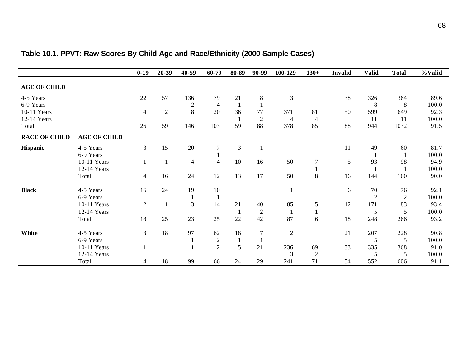|                      |                     | $0-19$         | $20 - 39$    | $40 - 59$        | 60-79            | 80-89          | 90-99          | 100-129        | $130+$         | <b>Invalid</b> | <b>Valid</b>   | <b>Total</b>   | %Valid |
|----------------------|---------------------|----------------|--------------|------------------|------------------|----------------|----------------|----------------|----------------|----------------|----------------|----------------|--------|
| <b>AGE OF CHILD</b>  |                     |                |              |                  |                  |                |                |                |                |                |                |                |        |
| 4-5 Years            |                     | 22             | 57           | 136              | 79               | 21             | $\,8\,$        | $\mathfrak{Z}$ |                | 38             | 326            | 364            | 89.6   |
| 6-9 Years            |                     |                |              | $\boldsymbol{2}$ | $\overline{4}$   | $\overline{1}$ | $\mathbf{1}$   |                |                |                | 8              | 8              | 100.0  |
| 10-11 Years          |                     | $\overline{4}$ | $\mathbf{2}$ | 8                | 20               | 36             | 77             | 371            | 81             | 50             | 599            | 649            | 92.3   |
| 12-14 Years          |                     |                |              |                  |                  | $\mathbf{1}$   | $\overline{2}$ | $\overline{4}$ | $\overline{4}$ |                | 11             | 11             | 100.0  |
| Total                |                     | 26             | 59           | 146              | 103              | 59             | 88             | 378            | 85             | 88             | 944            | 1032           | 91.5   |
| <b>RACE OF CHILD</b> | <b>AGE OF CHILD</b> |                |              |                  |                  |                |                |                |                |                |                |                |        |
| Hispanic             | 4-5 Years           | 3              | 15           | 20               | 7                | $\mathfrak{Z}$ |                |                |                | 11             | 49             | 60             | 81.7   |
|                      | 6-9 Years           |                |              |                  |                  |                |                |                |                |                |                | $\mathbf{1}$   | 100.0  |
|                      | 10-11 Years         | $\mathbf{1}$   |              | $\overline{4}$   | $\overline{4}$   | 10             | 16             | 50             | $\overline{7}$ | 5              | 93             | 98             | 94.9   |
|                      | 12-14 Years         |                |              |                  |                  |                |                |                |                |                |                | $\mathbf{1}$   | 100.0  |
|                      | Total               | $\overline{4}$ | 16           | 24               | 12               | 13             | 17             | 50             | 8              | 16             | 144            | 160            | 90.0   |
| <b>Black</b>         | 4-5 Years           | 16             | 24           | 19               | 10               |                |                |                |                | 6              | 70             | 76             | 92.1   |
|                      | 6-9 Years           |                |              | $\mathbf{1}$     | $\mathbf{1}$     |                |                |                |                |                | $\overline{2}$ | $\overline{2}$ | 100.0  |
|                      | 10-11 Years         | $\overline{2}$ |              | $\overline{3}$   | 14               | 21             | 40             | 85             | 5              | 12             | 171            | 183            | 93.4   |
|                      | 12-14 Years         |                |              |                  |                  |                | $\overline{2}$ |                |                |                | 5              | 5              | 100.0  |
|                      | Total               | 18             | 25           | 23               | 25               | 22             | 42             | 87             | 6              | 18             | 248            | 266            | 93.2   |
| White                | 4-5 Years           | 3              | 18           | 97               | 62               | 18             | $\overline{7}$ | $\overline{2}$ |                | 21             | 207            | 228            | 90.8   |
|                      | 6-9 Years           |                |              |                  | $\boldsymbol{2}$ | $\mathbf{1}$   | $\mathbf{1}$   |                |                |                | 5              | 5              | 100.0  |
|                      | 10-11 Years         | $\mathbf{1}$   |              |                  | $\overline{2}$   | 5              | 21             | 236            | 69             | 33             | 335            | 368            | 91.0   |
|                      | 12-14 Years         |                |              |                  |                  |                |                | 3              | $\overline{2}$ |                | 5              | 5              | 100.0  |
|                      | Total               | 4              | 18           | 99               | 66               | 24             | 29             | 241            | 71             | 54             | 552            | 606            | 91.1   |

# **Table 10.1. PPVT: Raw Scores By Child Age and Race/Ethnicity (2000 Sample Cases)**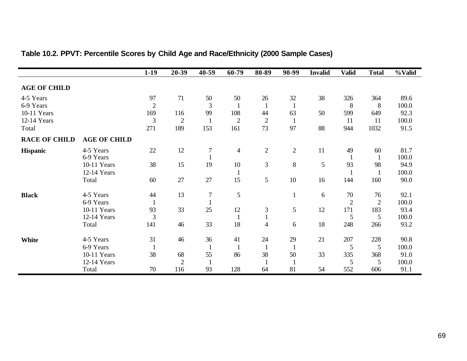|                      |                     | $1-19$         | 20-39          | 40-59          | 60-79          | 80-89          | 90-99        | <b>Invalid</b> | <b>Valid</b>   | <b>Total</b>   | %Valid |
|----------------------|---------------------|----------------|----------------|----------------|----------------|----------------|--------------|----------------|----------------|----------------|--------|
| <b>AGE OF CHILD</b>  |                     |                |                |                |                |                |              |                |                |                |        |
| 4-5 Years            |                     | 97             | 71             | 50             | 50             | 26             | 32           | 38             | 326            | 364            | 89.6   |
| 6-9 Years            |                     | $\overline{2}$ |                | 3              |                |                | $\mathbf{1}$ |                | 8              | 8              | 100.0  |
| 10-11 Years          |                     | 169            | 116            | 99             | 108            | 44             | 63           | 50             | 599            | 649            | 92.3   |
| 12-14 Years          |                     | 3              | $\overline{2}$ | $\mathbf{1}$   | $\overline{2}$ | $\mathbf{2}$   | $\mathbf{1}$ |                | 11             | 11             | 100.0  |
| Total                |                     | 271            | 189            | 153            | 161            | 73             | 97           | 88             | 944            | 1032           | 91.5   |
| <b>RACE OF CHILD</b> | <b>AGE OF CHILD</b> |                |                |                |                |                |              |                |                |                |        |
| <b>Hispanic</b>      | 4-5 Years           | 22             | 12             | $\overline{7}$ | $\overline{4}$ | $\overline{2}$ | $\mathbf{2}$ | 11             | 49             | 60             | 81.7   |
|                      | 6-9 Years           |                |                |                |                |                |              |                | -1             | $\mathbf{1}$   | 100.0  |
|                      | 10-11 Years         | 38             | 15             | 19             | $10\,$         | 3              | 8            | $\mathfrak{S}$ | 93             | 98             | 94.9   |
|                      | 12-14 Years         |                |                |                |                |                |              |                |                |                | 100.0  |
|                      | Total               | 60             | 27             | 27             | 15             | 5              | 10           | 16             | 144            | 160            | 90.0   |
| <b>Black</b>         | 4-5 Years           | 44             | 13             | $\tau$         | 5              |                | $\mathbf{1}$ | 6              | 70             | 76             | 92.1   |
|                      | 6-9 Years           | 1              |                |                |                |                |              |                | $\overline{2}$ | $\overline{2}$ | 100.0  |
|                      | 10-11 Years         | 93             | 33             | 25             | 12             | 3              | 5            | 12             | 171            | 183            | 93.4   |
|                      | 12-14 Years         | 3              |                |                |                |                |              |                | 5              | 5              | 100.0  |
|                      | Total               | 141            | 46             | 33             | 18             | $\overline{4}$ | 6            | 18             | 248            | 266            | 93.2   |
| White                | 4-5 Years           | 31             | 46             | 36             | 41             | 24             | 29           | 21             | 207            | 228            | 90.8   |
|                      | 6-9 Years           | $\mathbf{1}$   |                | -1             | $\mathbf{1}$   | 1              | $\mathbf{1}$ |                | 5              | 5              | 100.0  |
|                      | 10-11 Years         | 38             | 68             | 55             | 86             | 38             | 50           | 33             | 335            | 368            | 91.0   |
|                      | 12-14 Years         |                | $\overline{2}$ | $\mathbf{1}$   |                |                |              |                | 5              | 5              | 100.0  |
|                      | Total               | 70             | 116            | 93             | 128            | 64             | 81           | 54             | 552            | 606            | 91.1   |

# **Table 10.2. PPVT: Percentile Scores by Child Age and Race/Ethnicity (2000 Sample Cases)**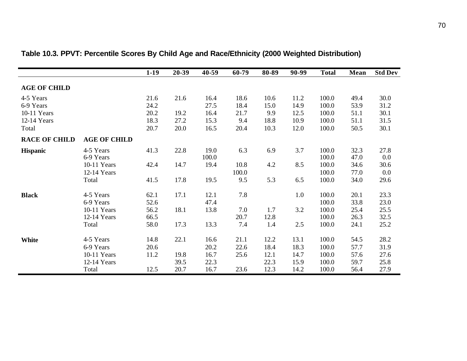|                      |                     | $1-19$ | 20-39 | $40 - 59$ | 60-79 | 80-89 | 90-99 | <b>Total</b> | Mean | <b>Std Dev</b> |
|----------------------|---------------------|--------|-------|-----------|-------|-------|-------|--------------|------|----------------|
| <b>AGE OF CHILD</b>  |                     |        |       |           |       |       |       |              |      |                |
| 4-5 Years            |                     | 21.6   | 21.6  | 16.4      | 18.6  | 10.6  | 11.2  | 100.0        | 49.4 | 30.0           |
| 6-9 Years            |                     | 24.2   |       | 27.5      | 18.4  | 15.0  | 14.9  | 100.0        | 53.9 | 31.2           |
| 10-11 Years          |                     | 20.2   | 19.2  | 16.4      | 21.7  | 9.9   | 12.5  | 100.0        | 51.1 | 30.1           |
| 12-14 Years          |                     | 18.3   | 27.2  | 15.3      | 9.4   | 18.8  | 10.9  | 100.0        | 51.1 | 31.5           |
| Total                |                     | 20.7   | 20.0  | 16.5      | 20.4  | 10.3  | 12.0  | 100.0        | 50.5 | 30.1           |
| <b>RACE OF CHILD</b> | <b>AGE OF CHILD</b> |        |       |           |       |       |       |              |      |                |
| <b>Hispanic</b>      | 4-5 Years           | 41.3   | 22.8  | 19.0      | 6.3   | 6.9   | 3.7   | 100.0        | 32.3 | 27.8           |
|                      | 6-9 Years           |        |       | 100.0     |       |       |       | 100.0        | 47.0 | 0.0            |
|                      | 10-11 Years         | 42.4   | 14.7  | 19.4      | 10.8  | 4.2   | 8.5   | 100.0        | 34.6 | 30.6           |
|                      | 12-14 Years         |        |       |           | 100.0 |       |       | 100.0        | 77.0 | 0.0            |
|                      | Total               | 41.5   | 17.8  | 19.5      | 9.5   | 5.3   | 6.5   | 100.0        | 34.0 | 29.6           |
| <b>Black</b>         | 4-5 Years           | 62.1   | 17.1  | 12.1      | 7.8   |       | 1.0   | 100.0        | 20.1 | 23.3           |
|                      | 6-9 Years           | 52.6   |       | 47.4      |       |       |       | 100.0        | 33.8 | 23.0           |
|                      | 10-11 Years         | 56.2   | 18.1  | 13.8      | 7.0   | 1.7   | 3.2   | 100.0        | 25.4 | 25.5           |
|                      | 12-14 Years         | 66.5   |       |           | 20.7  | 12.8  |       | 100.0        | 26.3 | 32.5           |
|                      | Total               | 58.0   | 17.3  | 13.3      | 7.4   | 1.4   | 2.5   | 100.0        | 24.1 | 25.2           |
| <b>White</b>         | 4-5 Years           | 14.8   | 22.1  | 16.6      | 21.1  | 12.2  | 13.1  | 100.0        | 54.5 | 28.2           |
|                      | 6-9 Years           | 20.6   |       | 20.2      | 22.6  | 18.4  | 18.3  | 100.0        | 57.7 | 31.9           |
|                      | 10-11 Years         | 11.2   | 19.8  | 16.7      | 25.6  | 12.1  | 14.7  | 100.0        | 57.6 | 27.6           |
|                      | 12-14 Years         |        | 39.5  | 22.3      |       | 22.3  | 15.9  | 100.0        | 59.7 | 25.8           |
|                      | Total               | 12.5   | 20.7  | 16.7      | 23.6  | 12.3  | 14.2  | 100.0        | 56.4 | 27.9           |

## **Table 10.3. PPVT: Percentile Scores By Child Age and Race/Ethnicity (2000 Weighted Distribution)**